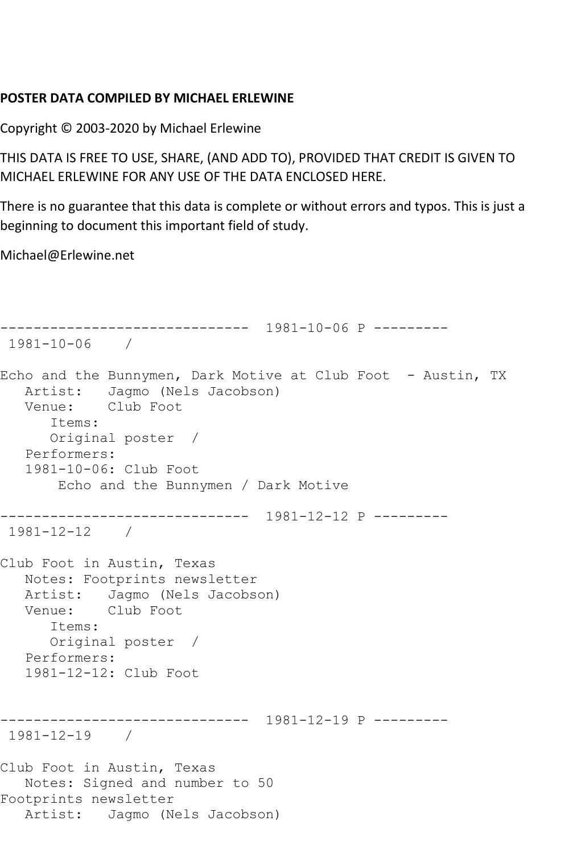## **POSTER DATA COMPILED BY MICHAEL ERLEWINE**

Copyright © 2003-2020 by Michael Erlewine

THIS DATA IS FREE TO USE, SHARE, (AND ADD TO), PROVIDED THAT CREDIT IS GIVEN TO MICHAEL ERLEWINE FOR ANY USE OF THE DATA ENCLOSED HERE.

There is no guarantee that this data is complete or without errors and typos. This is just a beginning to document this important field of study.

Michael@Erlewine.net

```
------------------------------ 1981-10-06 P ---------
1981-10-06 / 
Echo and the Bunnymen, Dark Motive at Club Foot - Austin, TX
  Artist: Jagmo (Nels Jacobson)<br>Venue: Club Foot
            Club Foot
       Items:
       Original poster / 
   Performers:
    1981-10-06: Club Foot
        Echo and the Bunnymen / Dark Motive
   ------------------------------ 1981-12-12 P ---------
1981-12-12 / 
Club Foot in Austin, Texas
   Notes: Footprints newsletter
   Artist: Jagmo (Nels Jacobson)
   Venue: Club Foot
       Items:
       Original poster / 
   Performers:
    1981-12-12: Club Foot
                ------------------------------ 1981-12-19 P ---------
1981-12-19 / 
Club Foot in Austin, Texas
   Notes: Signed and number to 50
Footprints newsletter
   Artist: Jagmo (Nels Jacobson)
```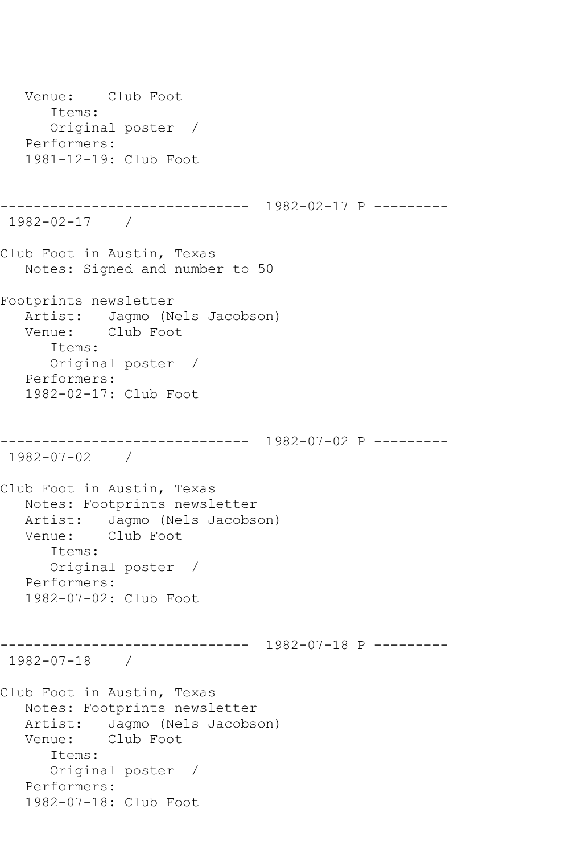Venue: Club Foot Items: Original poster / Performers: 1981-12-19: Club Foot ------------------------------ 1982-02-17 P --------- 1982-02-17 / Club Foot in Austin, Texas Notes: Signed and number to 50 Footprints newsletter Artist: Jagmo (Nels Jacobson) Venue: Club Foot Items: Original poster / Performers: 1982-02-17: Club Foot ------------------------------ 1982-07-02 P --------- 1982-07-02 / Club Foot in Austin, Texas Notes: Footprints newsletter Artist: Jagmo (Nels Jacobson) Venue: Club Foot Items: Original poster / Performers: 1982-07-02: Club Foot ------------------------------ 1982-07-18 P --------- 1982-07-18 / Club Foot in Austin, Texas Notes: Footprints newsletter Artist: Jagmo (Nels Jacobson) Venue: Club Foot Items: Original poster / Performers: 1982-07-18: Club Foot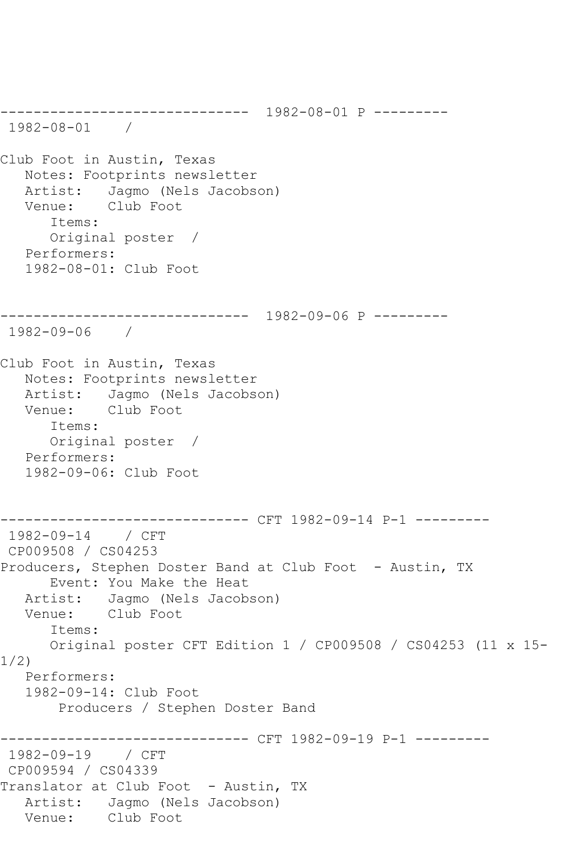------------------------------ 1982-08-01 P --------- 1982-08-01 / Club Foot in Austin, Texas Notes: Footprints newsletter Artist: Jagmo (Nels Jacobson)<br>Venue: Club Foot Club Foot Items: Original poster / Performers: 1982-08-01: Club Foot ------------------------------ 1982-09-06 P --------- 1982-09-06 / Club Foot in Austin, Texas Notes: Footprints newsletter Artist: Jagmo (Nels Jacobson)<br>Venue: Club Foot Club Foot Items: Original poster / Performers: 1982-09-06: Club Foot ------------------------------ CFT 1982-09-14 P-1 --------- 1982-09-14 / CFT CP009508 / CS04253 Producers, Stephen Doster Band at Club Foot - Austin, TX Event: You Make the Heat Artist: Jagmo (Nels Jacobson)<br>Venue: Club Foot Club Foot Items: Original poster CFT Edition 1 / CP009508 / CS04253 (11 x 15- 1/2) Performers: 1982-09-14: Club Foot Producers / Stephen Doster Band ------------------------------ CFT 1982-09-19 P-1 --------- 1982-09-19 / CFT CP009594 / CS04339 Translator at Club Foot - Austin, TX Artist: Jagmo (Nels Jacobson) Venue: Club Foot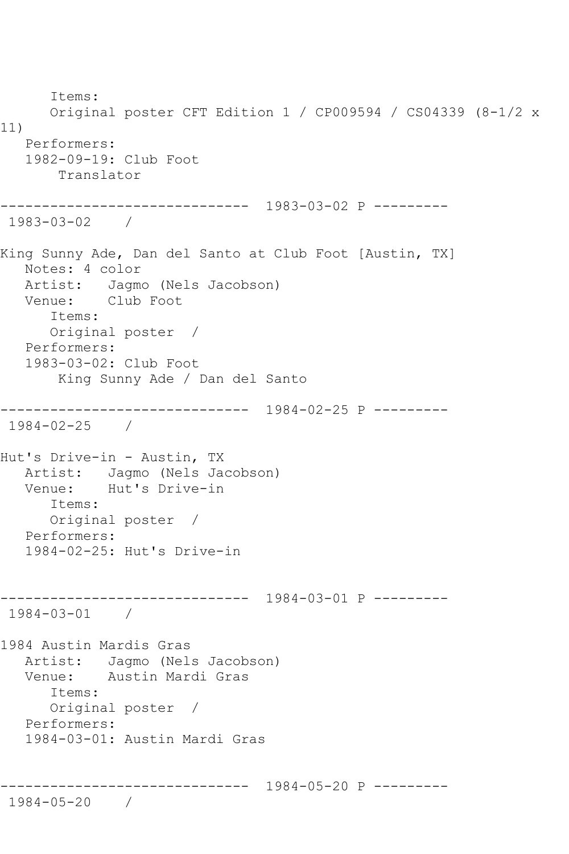Items: Original poster CFT Edition 1 / CP009594 / CS04339 (8-1/2 x 11) Performers: 1982-09-19: Club Foot Translator ------------------------------ 1983-03-02 P --------- 1983-03-02 / King Sunny Ade, Dan del Santo at Club Foot [Austin, TX] Notes: 4 color Artist: Jagmo (Nels Jacobson) Venue: Club Foot Items: Original poster / Performers: 1983-03-02: Club Foot King Sunny Ade / Dan del Santo ------------------------------ 1984-02-25 P --------- 1984-02-25 / Hut's Drive-in - Austin, TX Artist: Jagmo (Nels Jacobson)<br>Venue: Hut's Drive-in Hut's Drive-in Items: Original poster / Performers: 1984-02-25: Hut's Drive-in ------------------------------ 1984-03-01 P --------- 1984-03-01 / 1984 Austin Mardis Gras Artist: Jagmo (Nels Jacobson) Venue: Austin Mardi Gras Items: Original poster / Performers: 1984-03-01: Austin Mardi Gras ------------------------------ 1984-05-20 P --------- 1984-05-20 /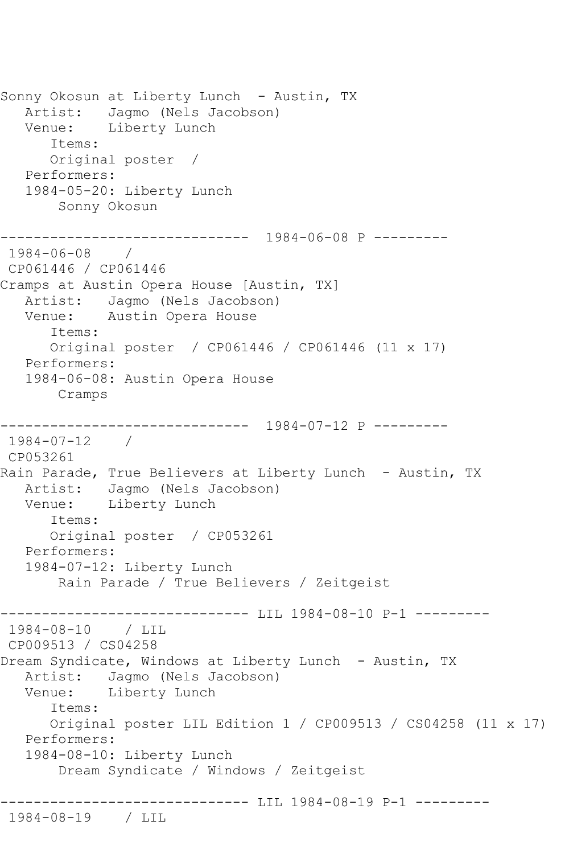Sonny Okosun at Liberty Lunch - Austin, TX Artist: Jagmo (Nels Jacobson) Venue: Liberty Lunch Items: Original poster / Performers: 1984-05-20: Liberty Lunch Sonny Okosun ------------------------------ 1984-06-08 P --------- 1984-06-08 / CP061446 / CP061446 Cramps at Austin Opera House [Austin, TX] Artist: Jagmo (Nels Jacobson) Venue: Austin Opera House Items: Original poster / CP061446 / CP061446 (11 x 17) Performers: 1984-06-08: Austin Opera House Cramps ------------------------------ 1984-07-12 P --------- 1984-07-12 / CP053261 Rain Parade, True Believers at Liberty Lunch - Austin, TX Artist: Jagmo (Nels Jacobson) Venue: Liberty Lunch Items: Original poster / CP053261 Performers: 1984-07-12: Liberty Lunch Rain Parade / True Believers / Zeitgeist ----------------------------- LIL 1984-08-10 P-1 ---------1984-08-10 / LIL CP009513 / CS04258 Dream Syndicate, Windows at Liberty Lunch - Austin, TX Artist: Jagmo (Nels Jacobson) Venue: Liberty Lunch Items: Original poster LIL Edition 1 / CP009513 / CS04258 (11 x 17) Performers: 1984-08-10: Liberty Lunch Dream Syndicate / Windows / Zeitgeist ------------------------------ LIL 1984-08-19 P-1 --------- 1984-08-19 / LIL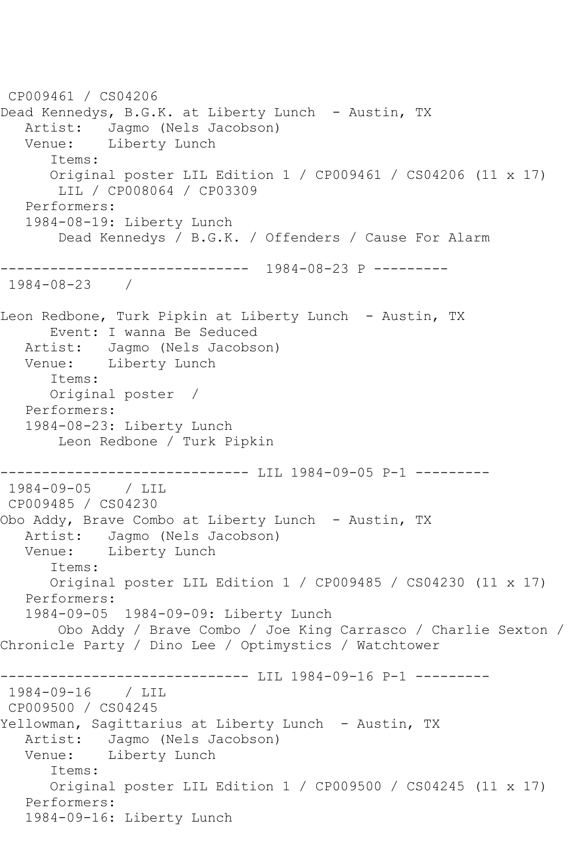```
CP009461 / CS04206
Dead Kennedys, B.G.K. at Liberty Lunch - Austin, TX
   Artist: Jagmo (Nels Jacobson)
   Venue: Liberty Lunch
       Items:
      Original poster LIL Edition 1 / CP009461 / CS04206 (11 x 17)
        LIL / CP008064 / CP03309
   Performers:
   1984-08-19: Liberty Lunch
        Dead Kennedys / B.G.K. / Offenders / Cause For Alarm
------------------------------ 1984-08-23 P ---------
1984-08-23 / 
Leon Redbone, Turk Pipkin at Liberty Lunch - Austin, TX
      Event: I wanna Be Seduced
   Artist: Jagmo (Nels Jacobson)
   Venue: Liberty Lunch
      Items:
      Original poster / 
   Performers:
   1984-08-23: Liberty Lunch
       Leon Redbone / Turk Pipkin
                   ------------------------------ LIL 1984-09-05 P-1 ---------
1984-09-05 / LIL 
CP009485 / CS04230
Obo Addy, Brave Combo at Liberty Lunch - Austin, TX
   Artist: Jagmo (Nels Jacobson)
   Venue: Liberty Lunch
       Items:
       Original poster LIL Edition 1 / CP009485 / CS04230 (11 x 17)
   Performers:
   1984-09-05 1984-09-09: Liberty Lunch
        Obo Addy / Brave Combo / Joe King Carrasco / Charlie Sexton / 
Chronicle Party / Dino Lee / Optimystics / Watchtower
        ------------------------------ LIL 1984-09-16 P-1 ---------
1984-09-16 / LIL 
CP009500 / CS04245
Yellowman, Sagittarius at Liberty Lunch - Austin, TX
   Artist: Jagmo (Nels Jacobson)
   Venue: Liberty Lunch
       Items:
      Original poster LIL Edition 1 / CP009500 / CS04245 (11 x 17)
   Performers:
   1984-09-16: Liberty Lunch
```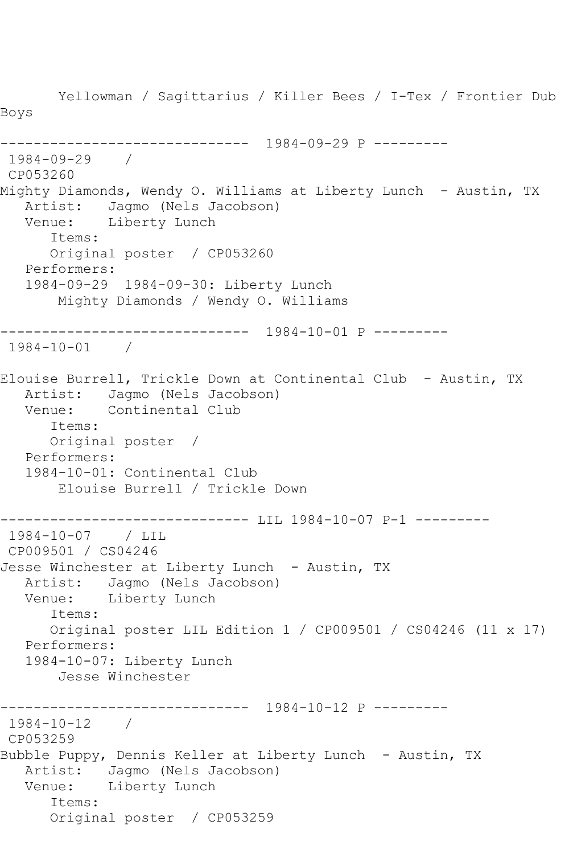Yellowman / Sagittarius / Killer Bees / I-Tex / Frontier Dub Boys ------------------------------ 1984-09-29 P --------- 1984-09-29 / CP053260 Mighty Diamonds, Wendy O. Williams at Liberty Lunch - Austin, TX Artist: Jagmo (Nels Jacobson) Venue: Liberty Lunch Items: Original poster / CP053260 Performers: 1984-09-29 1984-09-30: Liberty Lunch Mighty Diamonds / Wendy O. Williams ------------------------------ 1984-10-01 P --------- 1984-10-01 / Elouise Burrell, Trickle Down at Continental Club - Austin, TX Artist: Jagmo (Nels Jacobson) Venue: Continental Club Items: Original poster / Performers: 1984-10-01: Continental Club Elouise Burrell / Trickle Down ----------------------------- LIL 1984-10-07 P-1 ----------1984-10-07 / LIL CP009501 / CS04246 Jesse Winchester at Liberty Lunch - Austin, TX Artist: Jagmo (Nels Jacobson) Venue: Liberty Lunch Items: Original poster LIL Edition 1 / CP009501 / CS04246 (11 x 17) Performers: 1984-10-07: Liberty Lunch Jesse Winchester ------------------------------ 1984-10-12 P --------- 1984-10-12 / CP053259 Bubble Puppy, Dennis Keller at Liberty Lunch - Austin, TX Artist: Jagmo (Nels Jacobson) Venue: Liberty Lunch Items: Original poster / CP053259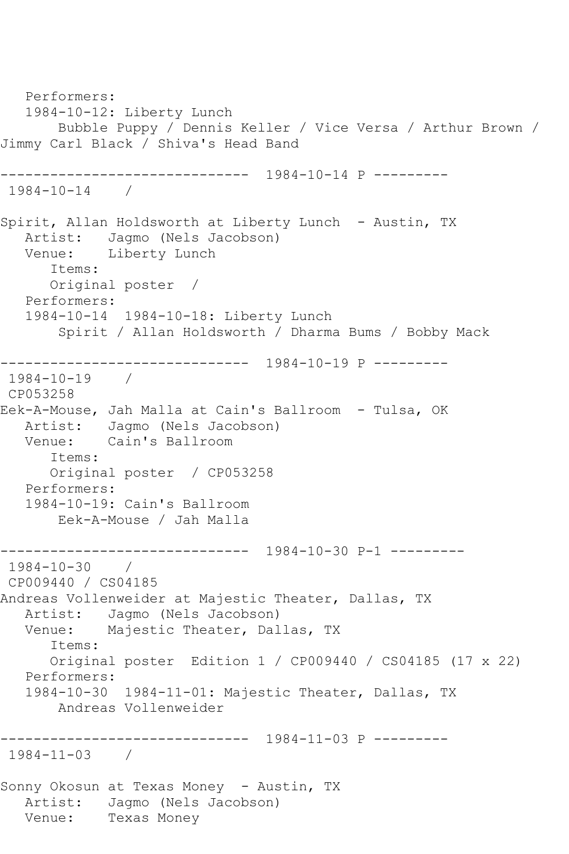Performers: 1984-10-12: Liberty Lunch Bubble Puppy / Dennis Keller / Vice Versa / Arthur Brown / Jimmy Carl Black / Shiva's Head Band ------------------------------ 1984-10-14 P --------- 1984-10-14 / Spirit, Allan Holdsworth at Liberty Lunch - Austin, TX Artist: Jagmo (Nels Jacobson) Venue: Liberty Lunch Items: Original poster / Performers: 1984-10-14 1984-10-18: Liberty Lunch Spirit / Allan Holdsworth / Dharma Bums / Bobby Mack ------------------------------ 1984-10-19 P --------- 1984-10-19 / CP053258 Eek-A-Mouse, Jah Malla at Cain's Ballroom - Tulsa, OK Artist: Jagmo (Nels Jacobson) Venue: Cain's Ballroom Items: Original poster / CP053258 Performers: 1984-10-19: Cain's Ballroom Eek-A-Mouse / Jah Malla ------------------------------ 1984-10-30 P-1 --------- 1984-10-30 / CP009440 / CS04185 Andreas Vollenweider at Majestic Theater, Dallas, TX Artist: Jagmo (Nels Jacobson) Venue: Majestic Theater, Dallas, TX Items: Original poster Edition 1 / CP009440 / CS04185 (17 x 22) Performers: 1984-10-30 1984-11-01: Majestic Theater, Dallas, TX Andreas Vollenweider ------------------------------ 1984-11-03 P --------- 1984-11-03 / Sonny Okosun at Texas Money - Austin, TX Artist: Jagmo (Nels Jacobson) Venue: Texas Money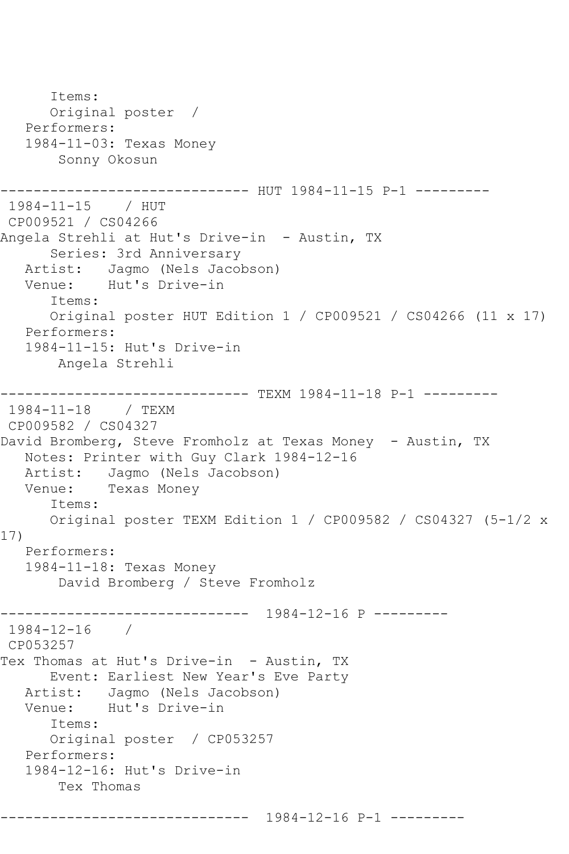```
 Items:
       Original poster / 
    Performers:
    1984-11-03: Texas Money
        Sonny Okosun
    ------------------------------ HUT 1984-11-15 P-1 ---------
1984-11-15 / HUT 
CP009521 / CS04266
Angela Strehli at Hut's Drive-in - Austin, TX
       Series: 3rd Anniversary
   Artist: Jagmo (Nels Jacobson)<br>Venue: Hut's Drive-in
            Hut's Drive-in
       Items:
       Original poster HUT Edition 1 / CP009521 / CS04266 (11 x 17)
    Performers:
    1984-11-15: Hut's Drive-in
        Angela Strehli
------------------------------ TEXM 1984-11-18 P-1 ---------
1984-11-18 / TEXM 
CP009582 / CS04327
David Bromberg, Steve Fromholz at Texas Money - Austin, TX
   Notes: Printer with Guy Clark 1984-12-16
  Artist: Jagmo (Nels Jacobson)<br>Venue: Texas Monev
            Texas Money
       Items:
       Original poster TEXM Edition 1 / CP009582 / CS04327 (5-1/2 x 
17)
   Performers:
    1984-11-18: Texas Money
        David Bromberg / Steve Fromholz
       ------------------------------ 1984-12-16 P ---------
1984-12-16 / 
CP053257
Tex Thomas at Hut's Drive-in - Austin, TX
       Event: Earliest New Year's Eve Party
   Artist: Jagmo (Nels Jacobson)<br>Venue: Hut's Drive-in
            Hut's Drive-in
       Items:
       Original poster / CP053257
   Performers:
    1984-12-16: Hut's Drive-in
        Tex Thomas
         ------------------------------ 1984-12-16 P-1 ---------
```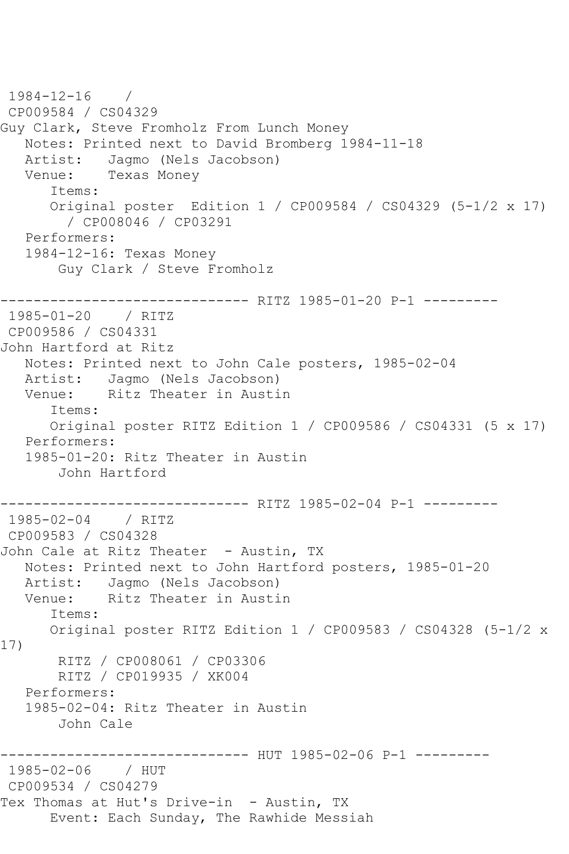```
1984-12-16 / 
CP009584 / CS04329
Guy Clark, Steve Fromholz From Lunch Money
    Notes: Printed next to David Bromberg 1984-11-18
   Artist: Jagmo (Nels Jacobson)
   Venue: Texas Money
       Items:
       Original poster Edition 1 / CP009584 / CS04329 (5-1/2 x 17)
         / CP008046 / CP03291
   Performers:
   1984-12-16: Texas Money
        Guy Clark / Steve Fromholz
------------------------------- RITZ 1985-01-20 P-1 ---------<br>1985-01-20   / RITZ
1985 - 01 - 20CP009586 / CS04331
John Hartford at Ritz
   Notes: Printed next to John Cale posters, 1985-02-04
  Artist: Jagmo (Nels Jacobson)<br>Venue: Ritz Theater in Austi
            Ritz Theater in Austin
       Items:
       Original poster RITZ Edition 1 / CP009586 / CS04331 (5 x 17)
   Performers:
   1985-01-20: Ritz Theater in Austin
        John Hartford
------------------------------ RITZ 1985-02-04 P-1 ---------
1985-02-04 / RITZ 
CP009583 / CS04328
John Cale at Ritz Theater - Austin, TX
   Notes: Printed next to John Hartford posters, 1985-01-20
  Artist: Jagmo (Nels Jacobson)<br>Venue: Ritz Theater in Austi
            Ritz Theater in Austin
       Items:
       Original poster RITZ Edition 1 / CP009583 / CS04328 (5-1/2 x 
17)
        RITZ / CP008061 / CP03306
        RITZ / CP019935 / XK004
   Performers:
    1985-02-04: Ritz Theater in Austin
        John Cale
                 -------------- HUT 1985-02-06 P-1 ---------
1985-02-06 / HUT 
CP009534 / CS04279
Tex Thomas at Hut's Drive-in - Austin, TX
       Event: Each Sunday, The Rawhide Messiah
```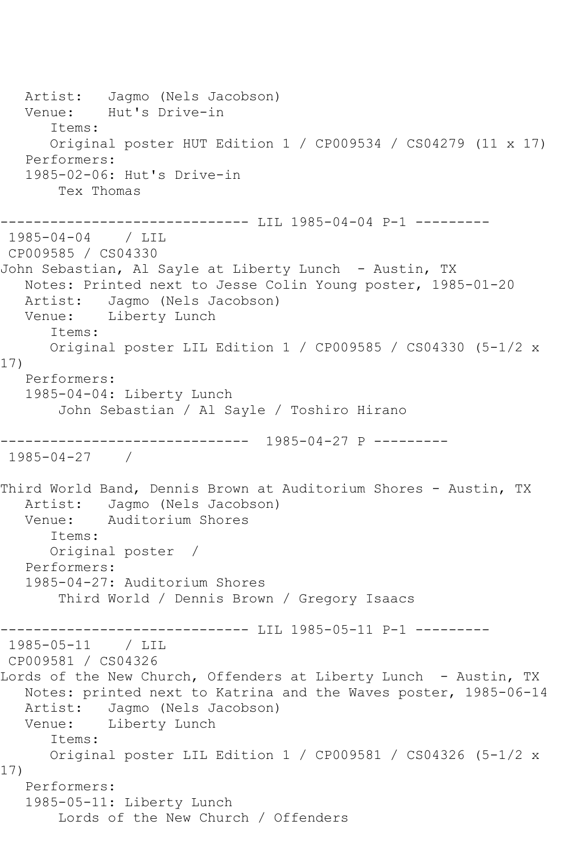Artist: Jagmo (Nels Jacobson) Venue: Hut's Drive-in Items: Original poster HUT Edition 1 / CP009534 / CS04279 (11 x 17) Performers: 1985-02-06: Hut's Drive-in Tex Thomas ------------------------------ LIL 1985-04-04 P-1 --------- 1985-04-04 / LIL CP009585 / CS04330 John Sebastian, Al Sayle at Liberty Lunch - Austin, TX Notes: Printed next to Jesse Colin Young poster, 1985-01-20 Artist: Jagmo (Nels Jacobson) Venue: Liberty Lunch Items: Original poster LIL Edition 1 / CP009585 / CS04330 (5-1/2 x 17) Performers: 1985-04-04: Liberty Lunch John Sebastian / Al Sayle / Toshiro Hirano ------------------------------ 1985-04-27 P --------- 1985-04-27 / Third World Band, Dennis Brown at Auditorium Shores - Austin, TX Artist: Jagmo (Nels Jacobson) Venue: Auditorium Shores Items: Original poster / Performers: 1985-04-27: Auditorium Shores Third World / Dennis Brown / Gregory Isaacs ------------------------------ LIL 1985-05-11 P-1 --------- 1985-05-11 / LIL CP009581 / CS04326 Lords of the New Church, Offenders at Liberty Lunch - Austin, TX Notes: printed next to Katrina and the Waves poster, 1985-06-14 Artist: Jagmo (Nels Jacobson)<br>Venue: Liberty Lunch Liberty Lunch Items: Original poster LIL Edition 1 / CP009581 / CS04326 (5-1/2 x 17) Performers: 1985-05-11: Liberty Lunch Lords of the New Church / Offenders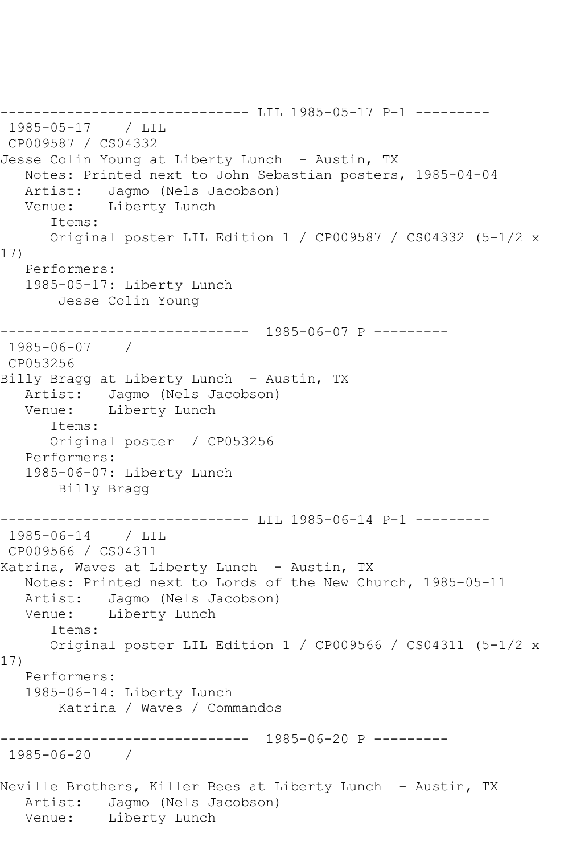------------------------------ LIL 1985-05-17 P-1 --------- 1985-05-17 / LIL CP009587 / CS04332 Jesse Colin Young at Liberty Lunch - Austin, TX Notes: Printed next to John Sebastian posters, 1985-04-04 Artist: Jagmo (Nels Jacobson) Venue: Liberty Lunch Items: Original poster LIL Edition 1 / CP009587 / CS04332 (5-1/2 x 17) Performers: 1985-05-17: Liberty Lunch Jesse Colin Young ------------------------------ 1985-06-07 P --------- 1985-06-07 / CP053256 Billy Bragg at Liberty Lunch - Austin, TX Artist: Jagmo (Nels Jacobson) Venue: Liberty Lunch Items: Original poster / CP053256 Performers: 1985-06-07: Liberty Lunch Billy Bragg ------------------------------ LIL 1985-06-14 P-1 --------- 1985-06-14 / LIL CP009566 / CS04311 Katrina, Waves at Liberty Lunch - Austin, TX Notes: Printed next to Lords of the New Church, 1985-05-11 Artist: Jagmo (Nels Jacobson)<br>Venue: Liberty Lunch Liberty Lunch Items: Original poster LIL Edition 1 / CP009566 / CS04311 (5-1/2 x 17) Performers: 1985-06-14: Liberty Lunch Katrina / Waves / Commandos ------------------------------ 1985-06-20 P --------- 1985-06-20 / Neville Brothers, Killer Bees at Liberty Lunch - Austin, TX Artist: Jagmo (Nels Jacobson) Venue: Liberty Lunch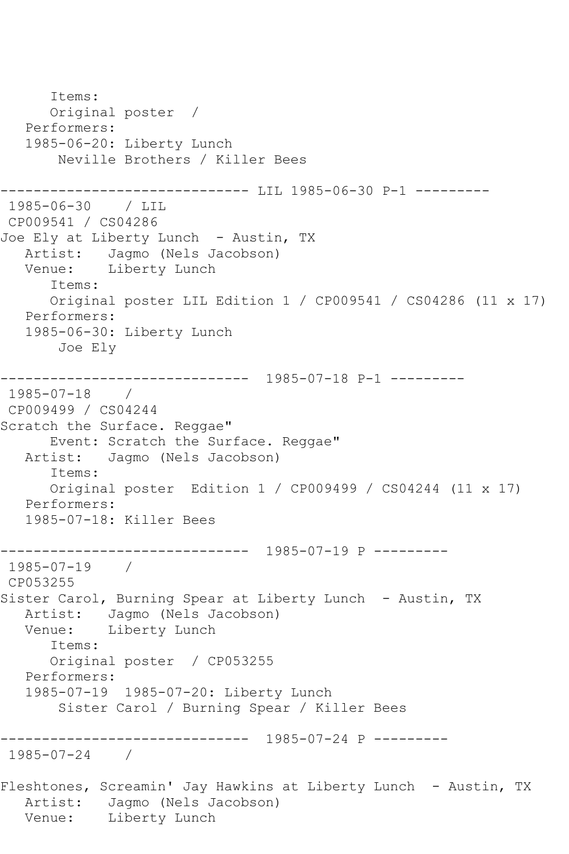Items: Original poster / Performers: 1985-06-20: Liberty Lunch Neville Brothers / Killer Bees ------------------------------ LIL 1985-06-30 P-1 --------- 1985-06-30 / LIL CP009541 / CS04286 Joe Ely at Liberty Lunch - Austin, TX Artist: Jagmo (Nels Jacobson) Venue: Liberty Lunch Items: Original poster LIL Edition 1 / CP009541 / CS04286 (11 x 17) Performers: 1985-06-30: Liberty Lunch Joe Ely ------------------------------ 1985-07-18 P-1 --------- 1985-07-18 / CP009499 / CS04244 Scratch the Surface. Reggae" Event: Scratch the Surface. Reggae"<br>Artist: Jaqmo (Nels Jacobson) Jagmo (Nels Jacobson) Items: Original poster Edition 1 / CP009499 / CS04244 (11 x 17) Performers: 1985-07-18: Killer Bees ------------------------------ 1985-07-19 P --------- 1985-07-19 / CP053255 Sister Carol, Burning Spear at Liberty Lunch - Austin, TX Artist: Jagmo (Nels Jacobson) Venue: Liberty Lunch Items: Original poster / CP053255 Performers: 1985-07-19 1985-07-20: Liberty Lunch Sister Carol / Burning Spear / Killer Bees ------------------------------ 1985-07-24 P --------- 1985-07-24 / Fleshtones, Screamin' Jay Hawkins at Liberty Lunch - Austin, TX Artist: Jagmo (Nels Jacobson) Venue: Liberty Lunch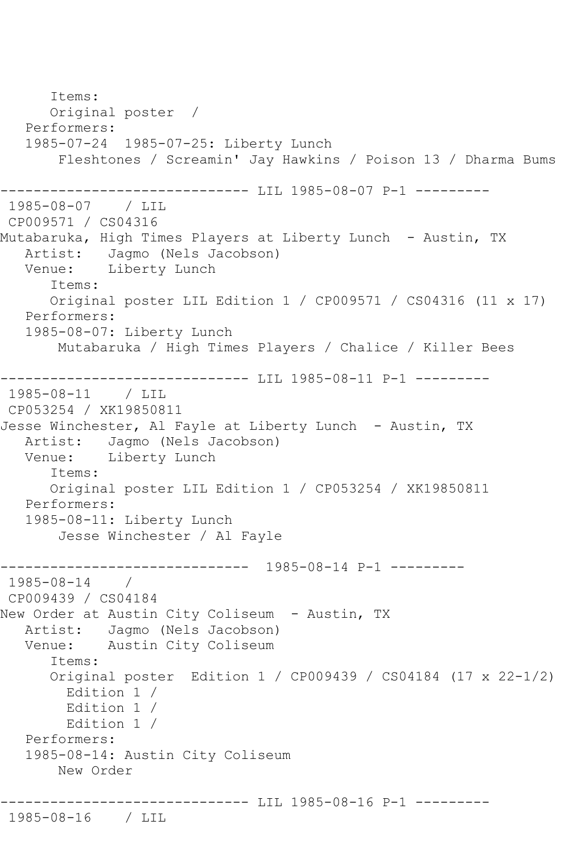Items: Original poster / Performers: 1985-07-24 1985-07-25: Liberty Lunch Fleshtones / Screamin' Jay Hawkins / Poison 13 / Dharma Bums ------------------------------ LIL 1985-08-07 P-1 --------- 1985-08-07 / LIL CP009571 / CS04316 Mutabaruka, High Times Players at Liberty Lunch - Austin, TX Artist: Jagmo (Nels Jacobson) Venue: Liberty Lunch Items: Original poster LIL Edition 1 / CP009571 / CS04316 (11 x 17) Performers: 1985-08-07: Liberty Lunch Mutabaruka / High Times Players / Chalice / Killer Bees ------------------------------ LIL 1985-08-11 P-1 --------- 1985-08-11 / LIL CP053254 / XK19850811 Jesse Winchester, Al Fayle at Liberty Lunch - Austin, TX Artist: Jagmo (Nels Jacobson)<br>Venue: Liberty Lunch Liberty Lunch Items: Original poster LIL Edition 1 / CP053254 / XK19850811 Performers: 1985-08-11: Liberty Lunch Jesse Winchester / Al Fayle ------------------------------ 1985-08-14 P-1 --------- 1985-08-14 / CP009439 / CS04184 New Order at Austin City Coliseum - Austin, TX Artist: Jagmo (Nels Jacobson) Venue: Austin City Coliseum Items: Original poster Edition 1 / CP009439 / CS04184 (17 x 22-1/2) Edition 1 / Edition 1 / Edition 1 / Performers: 1985-08-14: Austin City Coliseum New Order ---------------- LIL 1985-08-16 P-1 ---------1985-08-16 / LIL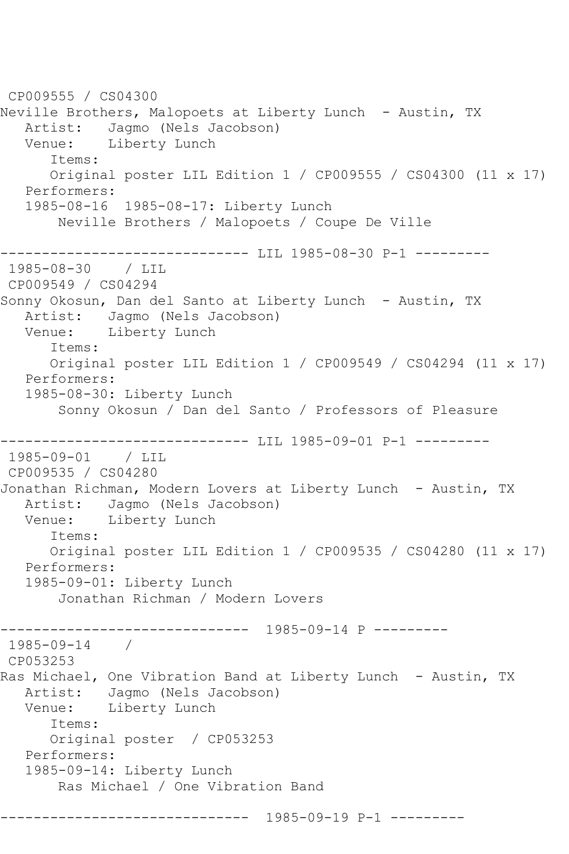CP009555 / CS04300 Neville Brothers, Malopoets at Liberty Lunch - Austin, TX Artist: Jagmo (Nels Jacobson) Venue: Liberty Lunch Items: Original poster LIL Edition 1 / CP009555 / CS04300 (11 x 17) Performers: 1985-08-16 1985-08-17: Liberty Lunch Neville Brothers / Malopoets / Coupe De Ville ----------------------------- LIL 1985-08-30 P-1 ---------1985-08-30 / LIL CP009549 / CS04294 Sonny Okosun, Dan del Santo at Liberty Lunch - Austin, TX Artist: Jagmo (Nels Jacobson) Venue: Liberty Lunch Items: Original poster LIL Edition 1 / CP009549 / CS04294 (11 x 17) Performers: 1985-08-30: Liberty Lunch Sonny Okosun / Dan del Santo / Professors of Pleasure ------------------------------ LIL 1985-09-01 P-1 --------- 1985-09-01 / LIL CP009535 / CS04280 Jonathan Richman, Modern Lovers at Liberty Lunch - Austin, TX Artist: Jagmo (Nels Jacobson) Venue: Liberty Lunch Items: Original poster LIL Edition 1 / CP009535 / CS04280 (11 x 17) Performers: 1985-09-01: Liberty Lunch Jonathan Richman / Modern Lovers ------------------------------ 1985-09-14 P --------- 1985-09-14 / CP053253 Ras Michael, One Vibration Band at Liberty Lunch - Austin, TX Artist: Jagmo (Nels Jacobson)<br>Venue: Liberty Lunch Liberty Lunch Items: Original poster / CP053253 Performers: 1985-09-14: Liberty Lunch Ras Michael / One Vibration Band ------------------------------ 1985-09-19 P-1 ---------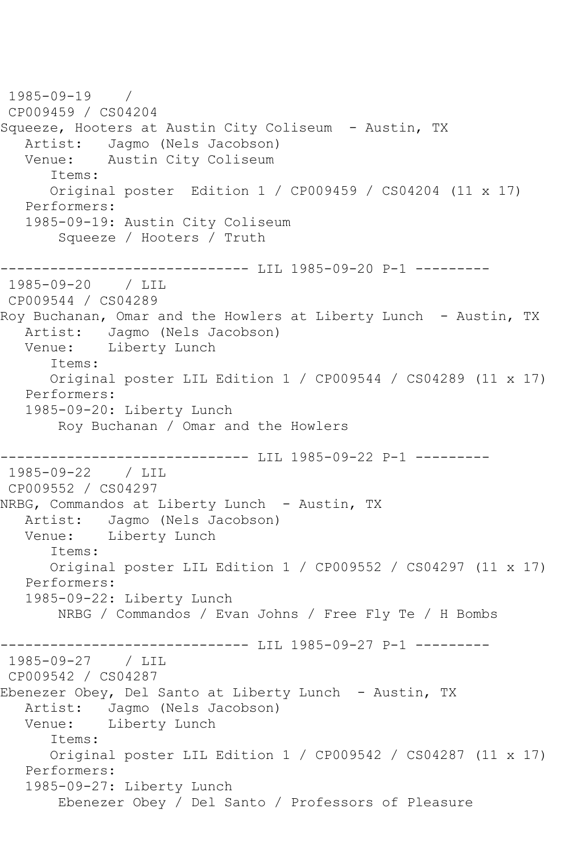1985-09-19 / CP009459 / CS04204 Squeeze, Hooters at Austin City Coliseum - Austin, TX Artist: Jagmo (Nels Jacobson)<br>Venue: Austin City Coliseum Austin City Coliseum Items: Original poster Edition 1 / CP009459 / CS04204 (11 x 17) Performers: 1985-09-19: Austin City Coliseum Squeeze / Hooters / Truth ------------------------------ LIL 1985-09-20 P-1 --------- 1985-09-20 / LIL CP009544 / CS04289 Roy Buchanan, Omar and the Howlers at Liberty Lunch - Austin, TX Artist: Jagmo (Nels Jacobson) Venue: Liberty Lunch Items: Original poster LIL Edition 1 / CP009544 / CS04289 (11 x 17) Performers: 1985-09-20: Liberty Lunch Roy Buchanan / Omar and the Howlers ------------------------------ LIL 1985-09-22 P-1 --------- 1985-09-22 / LIL CP009552 / CS04297 NRBG, Commandos at Liberty Lunch - Austin, TX Artist: Jagmo (Nels Jacobson) Venue: Liberty Lunch Items: Original poster LIL Edition 1 / CP009552 / CS04297 (11 x 17) Performers: 1985-09-22: Liberty Lunch NRBG / Commandos / Evan Johns / Free Fly Te / H Bombs ------------------------------ LIL 1985-09-27 P-1 --------- 1985-09-27 / LIL CP009542 / CS04287 Ebenezer Obey, Del Santo at Liberty Lunch - Austin, TX Artist: Jagmo (Nels Jacobson)<br>Venue: Liberty Lunch Liberty Lunch Items: Original poster LIL Edition 1 / CP009542 / CS04287 (11 x 17) Performers: 1985-09-27: Liberty Lunch Ebenezer Obey / Del Santo / Professors of Pleasure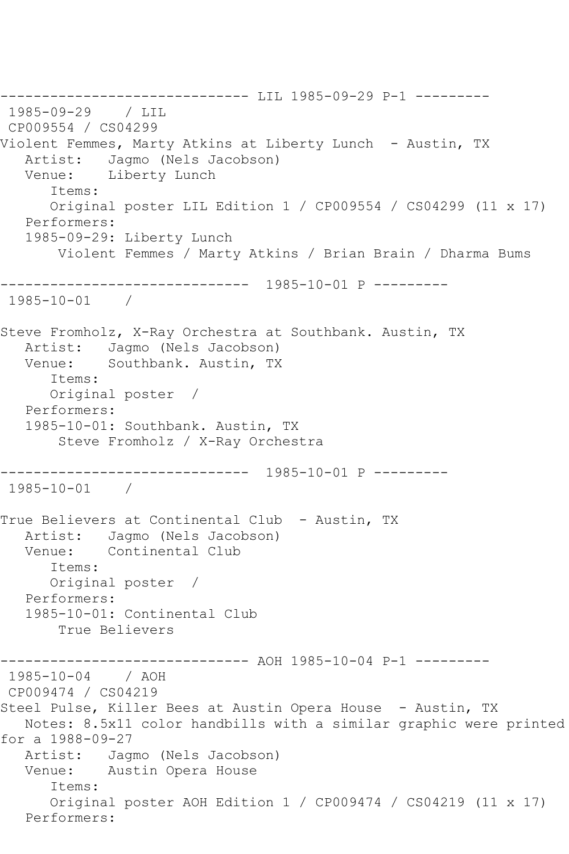------------------------------ LIL 1985-09-29 P-1 --------- 1985-09-29 / LIL CP009554 / CS04299 Violent Femmes, Marty Atkins at Liberty Lunch - Austin, TX Artist: Jagmo (Nels Jacobson) Venue: Liberty Lunch Items: Original poster LIL Edition 1 / CP009554 / CS04299 (11 x 17) Performers: 1985-09-29: Liberty Lunch Violent Femmes / Marty Atkins / Brian Brain / Dharma Bums ------------------------------ 1985-10-01 P --------- 1985-10-01 / Steve Fromholz, X-Ray Orchestra at Southbank. Austin, TX Artist: Jagmo (Nels Jacobson)<br>Venue: Southbank. Austin, TX Southbank. Austin, TX Items: Original poster / Performers: 1985-10-01: Southbank. Austin, TX Steve Fromholz / X-Ray Orchestra ------------------------------ 1985-10-01 P --------- 1985-10-01 / True Believers at Continental Club - Austin, TX Artist: Jagmo (Nels Jacobson) Venue: Continental Club Items: Original poster / Performers: 1985-10-01: Continental Club True Believers ------------------------------ AOH 1985-10-04 P-1 --------- 1985-10-04 / AOH CP009474 / CS04219 Steel Pulse, Killer Bees at Austin Opera House - Austin, TX Notes: 8.5x11 color handbills with a similar graphic were printed for a 1988-09-27 Artist: Jagmo (Nels Jacobson) Venue: Austin Opera House Items: Original poster AOH Edition 1 / CP009474 / CS04219 (11 x 17) Performers: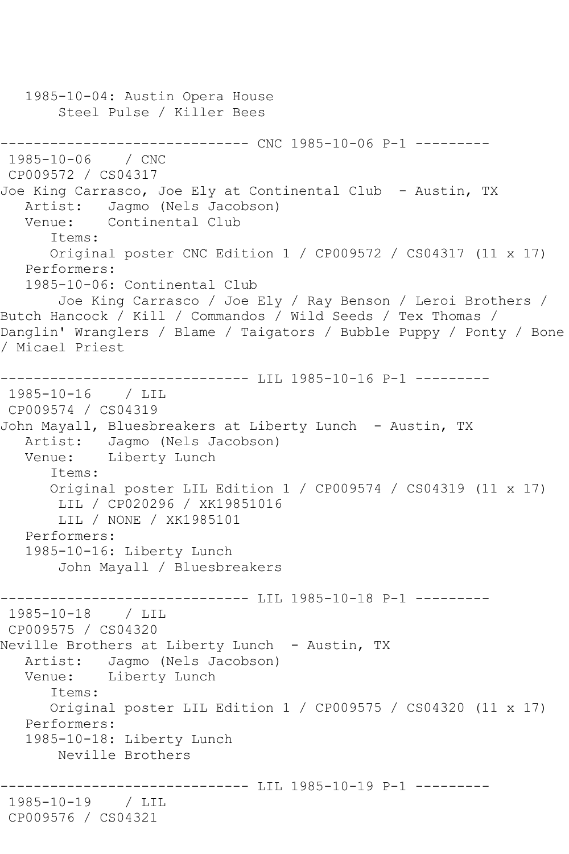```
 1985-10-04: Austin Opera House
        Steel Pulse / Killer Bees
               ------------------------------ CNC 1985-10-06 P-1 ---------
1985 - 10 - 06CP009572 / CS04317
Joe King Carrasco, Joe Ely at Continental Club - Austin, TX
    Artist: Jagmo (Nels Jacobson)
    Venue: Continental Club
       Items:
       Original poster CNC Edition 1 / CP009572 / CS04317 (11 x 17)
    Performers:
    1985-10-06: Continental Club
        Joe King Carrasco / Joe Ely / Ray Benson / Leroi Brothers / 
Butch Hancock / Kill / Commandos / Wild Seeds / Tex Thomas / 
Danglin' Wranglers / Blame / Taigators / Bubble Puppy / Ponty / Bone 
/ Micael Priest
                     ------------------------------ LIL 1985-10-16 P-1 ---------
1985-10-16 / LIL 
CP009574 / CS04319
John Mayall, Bluesbreakers at Liberty Lunch - Austin, TX
   Artist: Jagmo (Nels Jacobson)<br>Venue: Liberty Lunch
           Liberty Lunch
       Items:
       Original poster LIL Edition 1 / CP009574 / CS04319 (11 x 17)
        LIL / CP020296 / XK19851016
        LIL / NONE / XK1985101
    Performers:
    1985-10-16: Liberty Lunch
        John Mayall / Bluesbreakers
------------------------------- LIL 1985-10-18 P-1 ----------<br>1985-10-18 / LIL
1985 - 10 - 18CP009575 / CS04320
Neville Brothers at Liberty Lunch - Austin, TX
    Artist: Jagmo (Nels Jacobson)
    Venue: Liberty Lunch
       Items:
       Original poster LIL Edition 1 / CP009575 / CS04320 (11 x 17)
    Performers:
    1985-10-18: Liberty Lunch
        Neville Brothers
                    ------------------------------ LIL 1985-10-19 P-1 ---------
1985-10-19 / LIL 
CP009576 / CS04321
```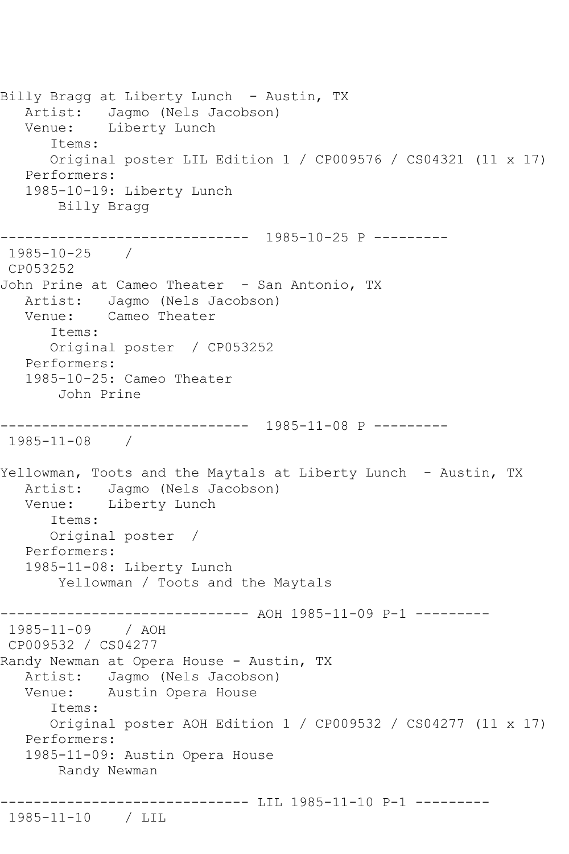Billy Bragg at Liberty Lunch - Austin, TX Artist: Jagmo (Nels Jacobson) Venue: Liberty Lunch Items: Original poster LIL Edition 1 / CP009576 / CS04321 (11 x 17) Performers: 1985-10-19: Liberty Lunch Billy Bragg ------------------------------ 1985-10-25 P --------- 1985-10-25 / CP053252 John Prine at Cameo Theater - San Antonio, TX Artist: Jagmo (Nels Jacobson) Venue: Cameo Theater Items: Original poster / CP053252 Performers: 1985-10-25: Cameo Theater John Prine ------------------------------ 1985-11-08 P --------- 1985-11-08 / Yellowman, Toots and the Maytals at Liberty Lunch - Austin, TX Artist: Jagmo (Nels Jacobson)<br>Venue: Liberty Lunch Liberty Lunch Items: Original poster / Performers: 1985-11-08: Liberty Lunch Yellowman / Toots and the Maytals ------------------------------ AOH 1985-11-09 P-1 --------- 1985-11-09 / AOH CP009532 / CS04277 Randy Newman at Opera House - Austin, TX Artist: Jagmo (Nels Jacobson) Venue: Austin Opera House Items: Original poster AOH Edition 1 / CP009532 / CS04277 (11 x 17) Performers: 1985-11-09: Austin Opera House Randy Newman ------------------------------ LIL 1985-11-10 P-1 --------- 1985-11-10 / LIL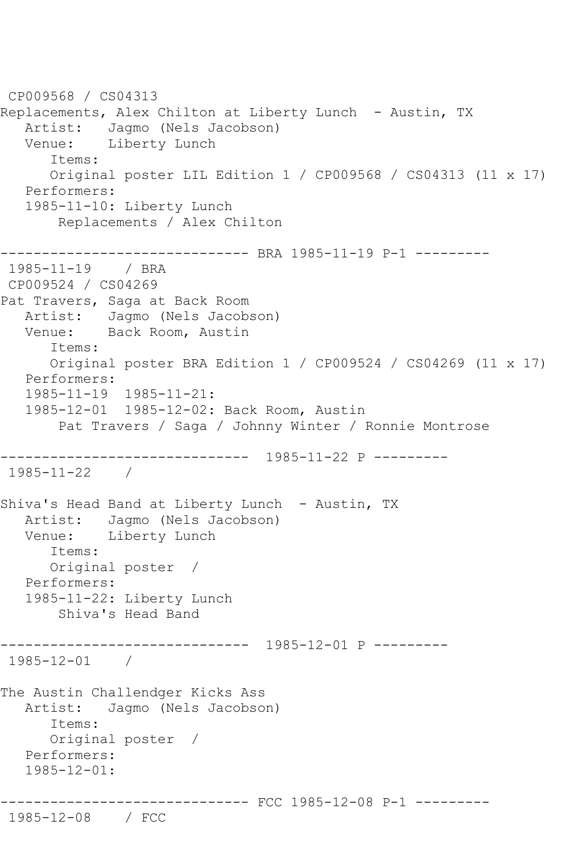```
CP009568 / CS04313
Replacements, Alex Chilton at Liberty Lunch - Austin, TX
   Artist: Jagmo (Nels Jacobson)
   Venue: Liberty Lunch
       Items:
       Original poster LIL Edition 1 / CP009568 / CS04313 (11 x 17)
   Performers:
    1985-11-10: Liberty Lunch
        Replacements / Alex Chilton
------------------------------ BRA 1985-11-19 P-1 ---------
1985-11-19 / BRA 
CP009524 / CS04269
Pat Travers, Saga at Back Room
   Artist: Jagmo (Nels Jacobson)
   Venue: Back Room, Austin
       Items:
       Original poster BRA Edition 1 / CP009524 / CS04269 (11 x 17)
   Performers:
    1985-11-19 1985-11-21:
    1985-12-01 1985-12-02: Back Room, Austin
        Pat Travers / Saga / Johnny Winter / Ronnie Montrose
------------------------------ 1985-11-22 P ---------
1985-11-22 / 
Shiva's Head Band at Liberty Lunch - Austin, TX
   Artist: Jagmo (Nels Jacobson)
   Venue: Liberty Lunch
       Items:
      Original poster / 
    Performers:
   1985-11-22: Liberty Lunch
        Shiva's Head Band
------------------------------ 1985-12-01 P ---------
1985-12-01 / 
The Austin Challendger Kicks Ass<br>Artist: Jagmo (Nels Jacobso
            Jagmo (Nels Jacobson)
       Items:
       Original poster / 
   Performers:
   1985-12-01:
              ------------------------------ FCC 1985-12-08 P-1 ---------
1985-12-08 / FCC
```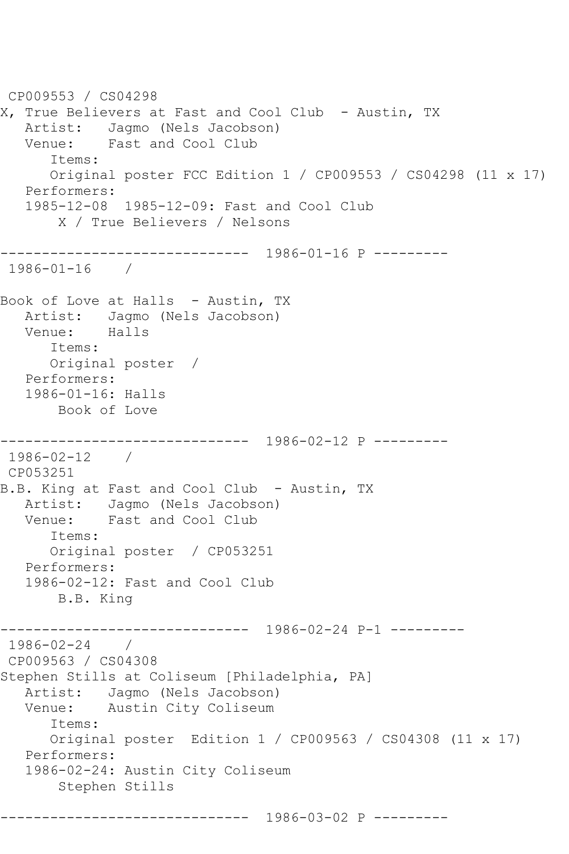CP009553 / CS04298 X, True Believers at Fast and Cool Club - Austin, TX Artist: Jagmo (Nels Jacobson) Venue: Fast and Cool Club Items: Original poster FCC Edition 1 / CP009553 / CS04298 (11 x 17) Performers: 1985-12-08 1985-12-09: Fast and Cool Club X / True Believers / Nelsons ------------------------------ 1986-01-16 P --------- 1986-01-16 / Book of Love at Halls - Austin, TX Artist: Jagmo (Nels Jacobson) Venue: Halls Items: Original poster / Performers: 1986-01-16: Halls Book of Love ------------------------------ 1986-02-12 P --------- 1986-02-12 / CP053251 B.B. King at Fast and Cool Club - Austin, TX Artist: Jagmo (Nels Jacobson) Venue: Fast and Cool Club Items: Original poster / CP053251 Performers: 1986-02-12: Fast and Cool Club B.B. King ------------------------------ 1986-02-24 P-1 --------- 1986-02-24 / CP009563 / CS04308 Stephen Stills at Coliseum [Philadelphia, PA] Artist: Jagmo (Nels Jacobson)<br>Venue: Austin City Coliseum Austin City Coliseum Items: Original poster Edition 1 / CP009563 / CS04308 (11 x 17) Performers: 1986-02-24: Austin City Coliseum Stephen Stills ------------------------------ 1986-03-02 P ---------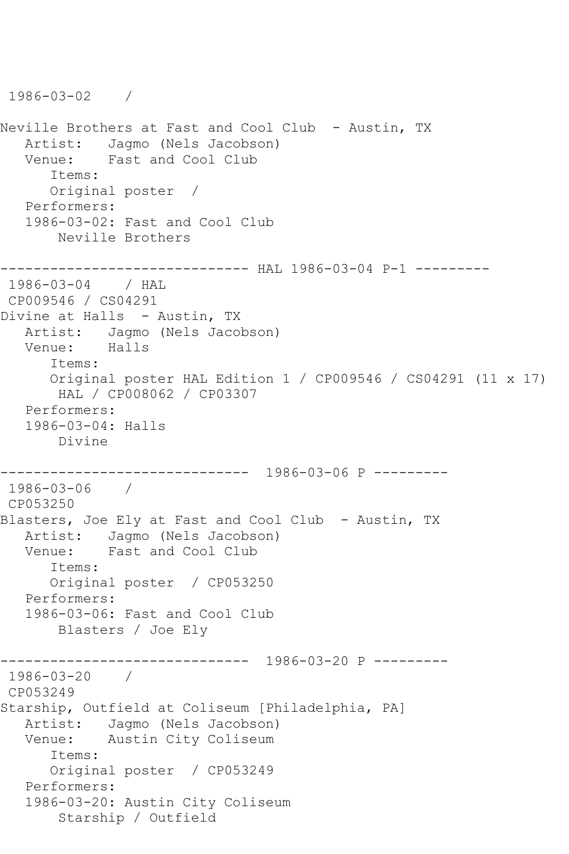```
1986-03-02 / 
Neville Brothers at Fast and Cool Club - Austin, TX
  Artist: Jagmo (Nels Jacobson)<br>Venue: Fast and Cool Club
            Fast and Cool Club
       Items:
       Original poster / 
   Performers:
    1986-03-02: Fast and Cool Club
        Neville Brothers
------------------------------ HAL 1986-03-04 P-1 ---------
1986-03-04 / HAL 
CP009546 / CS04291
Divine at Halls - Austin, TX
   Artist: Jagmo (Nels Jacobson)
   Venue: Halls
       Items:
       Original poster HAL Edition 1 / CP009546 / CS04291 (11 x 17)
        HAL / CP008062 / CP03307
   Performers:
    1986-03-04: Halls
       Divine
                  ------------------------------ 1986-03-06 P ---------
1986-03-06 / 
CP053250
Blasters, Joe Ely at Fast and Cool Club - Austin, TX
   Artist: Jagmo (Nels Jacobson)
   Venue: Fast and Cool Club
       Items:
       Original poster / CP053250
   Performers:
    1986-03-06: Fast and Cool Club
        Blasters / Joe Ely
------------------------------ 1986-03-20 P ---------
1986-03-20 / 
CP053249
Starship, Outfield at Coliseum [Philadelphia, PA]
   Artist: Jagmo (Nels Jacobson)
   Venue: Austin City Coliseum
       Items:
       Original poster / CP053249
    Performers:
    1986-03-20: Austin City Coliseum
        Starship / Outfield
```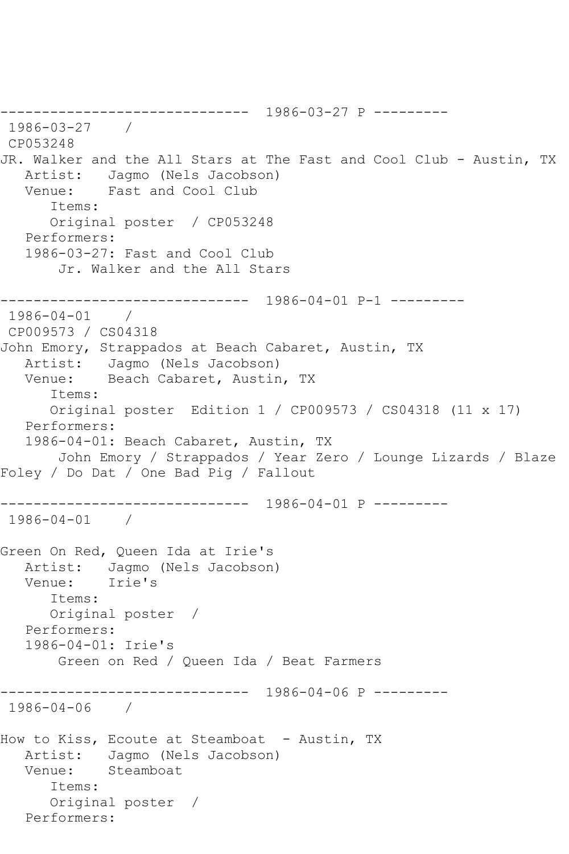------------------------------ 1986-03-27 P --------- 1986-03-27 / CP053248 JR. Walker and the All Stars at The Fast and Cool Club - Austin, TX<br>Artist: Jagmo (Nels Jacobson) Artist: Jagmo (Nels Jacobson)<br>Venue: Fast and Cool Club Fast and Cool Club Items: Original poster / CP053248 Performers: 1986-03-27: Fast and Cool Club Jr. Walker and the All Stars ------------------------------ 1986-04-01 P-1 --------- 1986-04-01 / CP009573 / CS04318 John Emory, Strappados at Beach Cabaret, Austin, TX Artist: Jagmo (Nels Jacobson) Venue: Beach Cabaret, Austin, TX Items: Original poster Edition 1 / CP009573 / CS04318 (11 x 17) Performers: 1986-04-01: Beach Cabaret, Austin, TX John Emory / Strappados / Year Zero / Lounge Lizards / Blaze Foley / Do Dat / One Bad Pig / Fallout ------------------------------ 1986-04-01 P --------- 1986-04-01 / Green On Red, Queen Ida at Irie's Artist: Jagmo (Nels Jacobson) Venue: Irie's Items: Original poster / Performers: 1986-04-01: Irie's Green on Red / Queen Ida / Beat Farmers ------------------------------ 1986-04-06 P --------- 1986-04-06 / How to Kiss, Ecoute at Steamboat - Austin, TX Artist: Jagmo (Nels Jacobson) Venue: Steamboat Items: Original poster / Performers: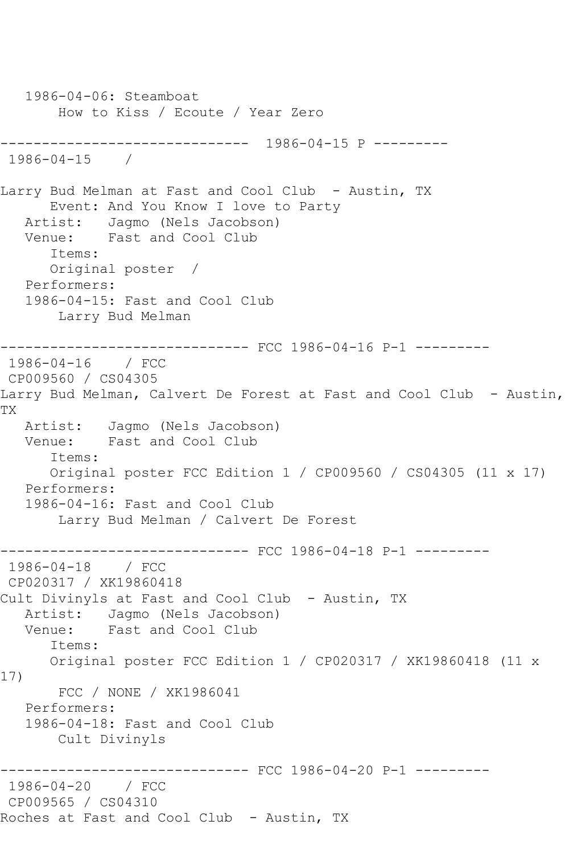1986-04-06: Steamboat How to Kiss / Ecoute / Year Zero ------------------------------ 1986-04-15 P --------- 1986-04-15 / Larry Bud Melman at Fast and Cool Club - Austin, TX Event: And You Know I love to Party Artist: Jagmo (Nels Jacobson) Venue: Fast and Cool Club Items: Original poster / Performers: 1986-04-15: Fast and Cool Club Larry Bud Melman ------------------------------ FCC 1986-04-16 P-1 --------- 1986-04-16 / FCC CP009560 / CS04305 Larry Bud Melman, Calvert De Forest at Fast and Cool Club - Austin, TX Artist: Jagmo (Nels Jacobson) Venue: Fast and Cool Club Items: Original poster FCC Edition 1 / CP009560 / CS04305 (11 x 17) Performers: 1986-04-16: Fast and Cool Club Larry Bud Melman / Calvert De Forest ------------------------------ FCC 1986-04-18 P-1 --------- 1986-04-18 / FCC CP020317 / XK19860418 Cult Divinyls at Fast and Cool Club - Austin, TX Artist: Jagmo (Nels Jacobson) Venue: Fast and Cool Club Items: Original poster FCC Edition 1 / CP020317 / XK19860418 (11 x 17) FCC / NONE / XK1986041 Performers: 1986-04-18: Fast and Cool Club Cult Divinyls ------------------------------ FCC 1986-04-20 P-1 --------- 1986-04-20 / FCC CP009565 / CS04310 Roches at Fast and Cool Club - Austin, TX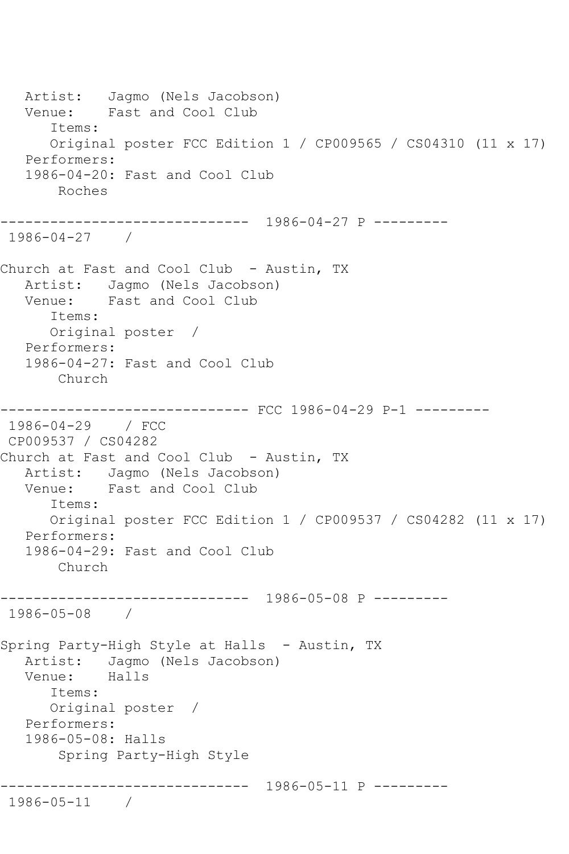Artist: Jagmo (Nels Jacobson) Venue: Fast and Cool Club Items: Original poster FCC Edition 1 / CP009565 / CS04310 (11 x 17) Performers: 1986-04-20: Fast and Cool Club Roches ------------------------------ 1986-04-27 P --------- 1986-04-27 / Church at Fast and Cool Club - Austin, TX Artist: Jagmo (Nels Jacobson) Venue: Fast and Cool Club Items: Original poster / Performers: 1986-04-27: Fast and Cool Club Church ------------------------------ FCC 1986-04-29 P-1 --------- 1986-04-29 / FCC CP009537 / CS04282 Church at Fast and Cool Club - Austin, TX Artist: Jagmo (Nels Jacobson)<br>Venue: Fast and Cool Club Fast and Cool Club Items: Original poster FCC Edition 1 / CP009537 / CS04282 (11 x 17) Performers: 1986-04-29: Fast and Cool Club Church ------------------------------ 1986-05-08 P --------- 1986-05-08 / Spring Party-High Style at Halls - Austin, TX Artist: Jagmo (Nels Jacobson) Venue: Halls Items: Original poster / Performers: 1986-05-08: Halls Spring Party-High Style ------------------------------ 1986-05-11 P --------- 1986-05-11 /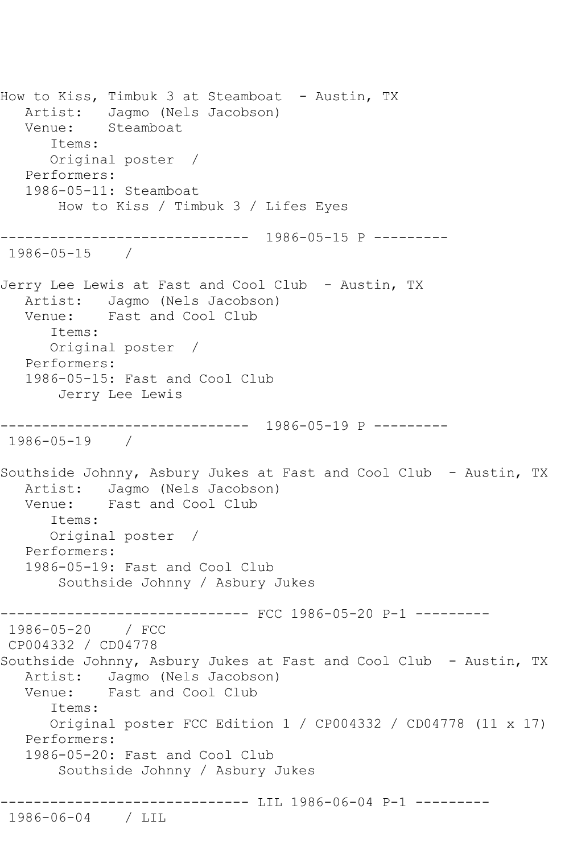How to Kiss, Timbuk 3 at Steamboat - Austin, TX Artist: Jagmo (Nels Jacobson) Venue: Steamboat Items: Original poster / Performers: 1986-05-11: Steamboat How to Kiss / Timbuk 3 / Lifes Eyes ------------------------------ 1986-05-15 P --------- 1986-05-15 / Jerry Lee Lewis at Fast and Cool Club - Austin, TX Artist: Jagmo (Nels Jacobson) Venue: Fast and Cool Club Items: Original poster / Performers: 1986-05-15: Fast and Cool Club Jerry Lee Lewis ------------------------------ 1986-05-19 P --------- 1986-05-19 / Southside Johnny, Asbury Jukes at Fast and Cool Club - Austin, TX Artist: Jagmo (Nels Jacobson) Venue: Fast and Cool Club Items: Original poster / Performers: 1986-05-19: Fast and Cool Club Southside Johnny / Asbury Jukes ------------------------------ FCC 1986-05-20 P-1 --------- 1986-05-20 / FCC CP004332 / CD04778 Southside Johnny, Asbury Jukes at Fast and Cool Club - Austin, TX<br>Artist: Jaqmo (Nels Jacobson) Jagmo (Nels Jacobson) Venue: Fast and Cool Club Items: Original poster FCC Edition 1 / CP004332 / CD04778 (11 x 17) Performers: 1986-05-20: Fast and Cool Club Southside Johnny / Asbury Jukes ------------------------------ LIL 1986-06-04 P-1 --------- 1986-06-04 / LIL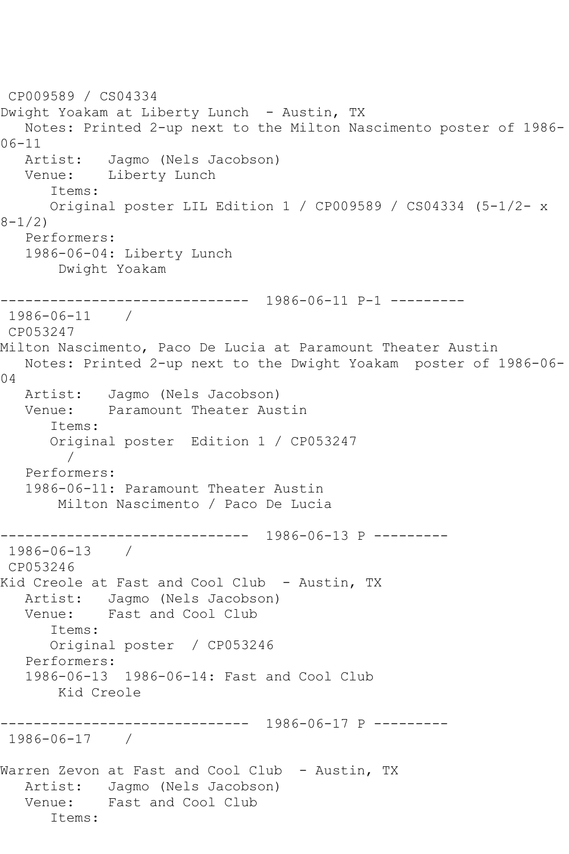```
CP009589 / CS04334
Dwight Yoakam at Liberty Lunch - Austin, TX
   Notes: Printed 2-up next to the Milton Nascimento poster of 1986-
06-11<br>Artist:
           Jagmo (Nels Jacobson)
   Venue: Liberty Lunch
      Items:
      Original poster LIL Edition 1 / CP009589 / CS04334 (5-1/2- x 
8-1/2)
   Performers:
   1986-06-04: Liberty Lunch
       Dwight Yoakam
------------------------------ 1986-06-11 P-1 ---------
1986-06-11 / 
CP053247
Milton Nascimento, Paco De Lucia at Paramount Theater Austin
   Notes: Printed 2-up next to the Dwight Yoakam poster of 1986-06-
04 Artist: Jagmo (Nels Jacobson)
   Venue: Paramount Theater Austin
       Items:
      Original poster Edition 1 / CP053247
 / 
   Performers:
   1986-06-11: Paramount Theater Austin
        Milton Nascimento / Paco De Lucia
      ------------------------------ 1986-06-13 P ---------
1986-06-13 / 
CP053246
Kid Creole at Fast and Cool Club - Austin, TX
  Artist: Jagmo (Nels Jacobson)<br>Venue: Fast and Cool Club
            Fast and Cool Club
       Items:
      Original poster / CP053246
   Performers:
   1986-06-13 1986-06-14: Fast and Cool Club
       Kid Creole
                  --------------1986-06-17 P------1986-06-17 / 
Warren Zevon at Fast and Cool Club - Austin, TX
   Artist: Jagmo (Nels Jacobson)
   Venue: Fast and Cool Club
       Items:
```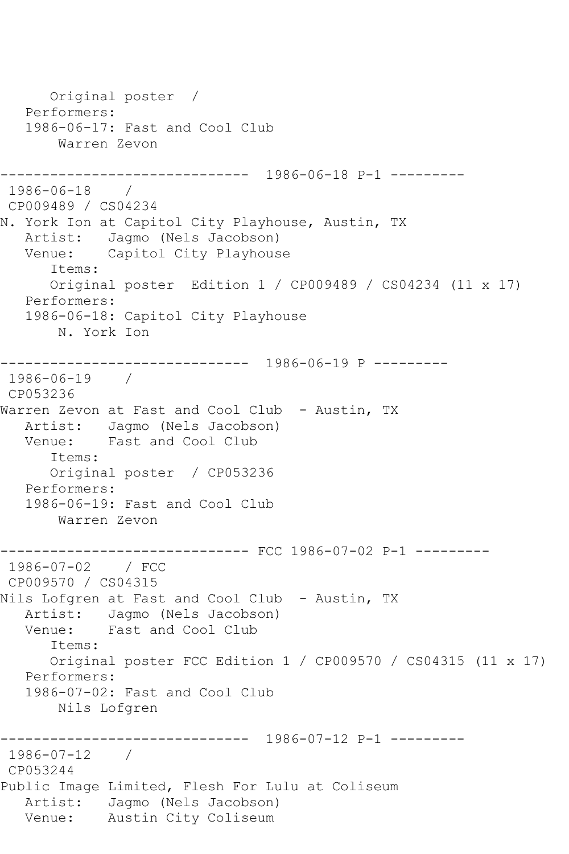Original poster / Performers: 1986-06-17: Fast and Cool Club Warren Zevon ------------------------------ 1986-06-18 P-1 --------- 1986-06-18 / CP009489 / CS04234 N. York Ion at Capitol City Playhouse, Austin, TX Artist: Jagmo (Nels Jacobson)<br>Venue: Capitol City Playhous Capitol City Playhouse Items: Original poster Edition 1 / CP009489 / CS04234 (11 x 17) Performers: 1986-06-18: Capitol City Playhouse N. York Ion ------------------------------ 1986-06-19 P --------- 1986-06-19 / CP053236 Warren Zevon at Fast and Cool Club - Austin, TX Artist: Jagmo (Nels Jacobson) Venue: Fast and Cool Club Items: Original poster / CP053236 Performers: 1986-06-19: Fast and Cool Club Warren Zevon ------------------------------ FCC 1986-07-02 P-1 --------- 1986-07-02 / FCC CP009570 / CS04315 Nils Lofgren at Fast and Cool Club - Austin, TX Artist: Jagmo (Nels Jacobson) Venue: Fast and Cool Club Items: Original poster FCC Edition 1 / CP009570 / CS04315 (11 x 17) Performers: 1986-07-02: Fast and Cool Club Nils Lofgren ------------------------------ 1986-07-12 P-1 --------- 1986-07-12 / CP053244 Public Image Limited, Flesh For Lulu at Coliseum Artist: Jagmo (Nels Jacobson) Venue: Austin City Coliseum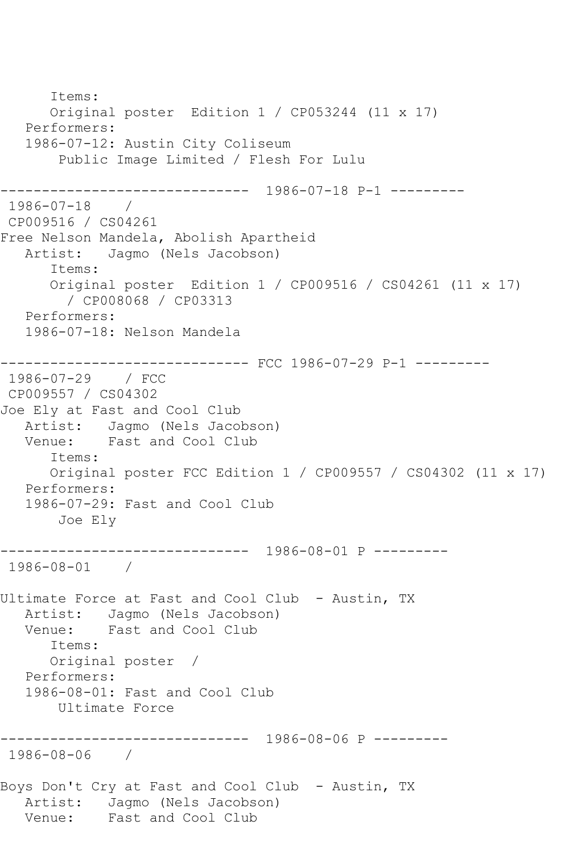Items: Original poster Edition 1 / CP053244 (11 x 17) Performers: 1986-07-12: Austin City Coliseum Public Image Limited / Flesh For Lulu ------------------------------ 1986-07-18 P-1 --------- 1986-07-18 / CP009516 / CS04261 Free Nelson Mandela, Abolish Apartheid<br>Artist: Jagmo (Nels Jacobson) Jagmo (Nels Jacobson) Items: Original poster Edition 1 / CP009516 / CS04261 (11 x 17) / CP008068 / CP03313 Performers: 1986-07-18: Nelson Mandela ------------------------------ FCC 1986-07-29 P-1 --------- 1986-07-29 / FCC CP009557 / CS04302 Joe Ely at Fast and Cool Club Artist: Jagmo (Nels Jacobson) Venue: Fast and Cool Club Items: Original poster FCC Edition 1 / CP009557 / CS04302 (11 x 17) Performers: 1986-07-29: Fast and Cool Club Joe Ely ------------------------------ 1986-08-01 P --------- 1986-08-01 / Ultimate Force at Fast and Cool Club - Austin, TX Artist: Jagmo (Nels Jacobson) Venue: Fast and Cool Club Items: Original poster / Performers: 1986-08-01: Fast and Cool Club Ultimate Force ------------------------------ 1986-08-06 P --------- 1986-08-06 / Boys Don't Cry at Fast and Cool Club - Austin, TX Artist: Jagmo (Nels Jacobson) Venue: Fast and Cool Club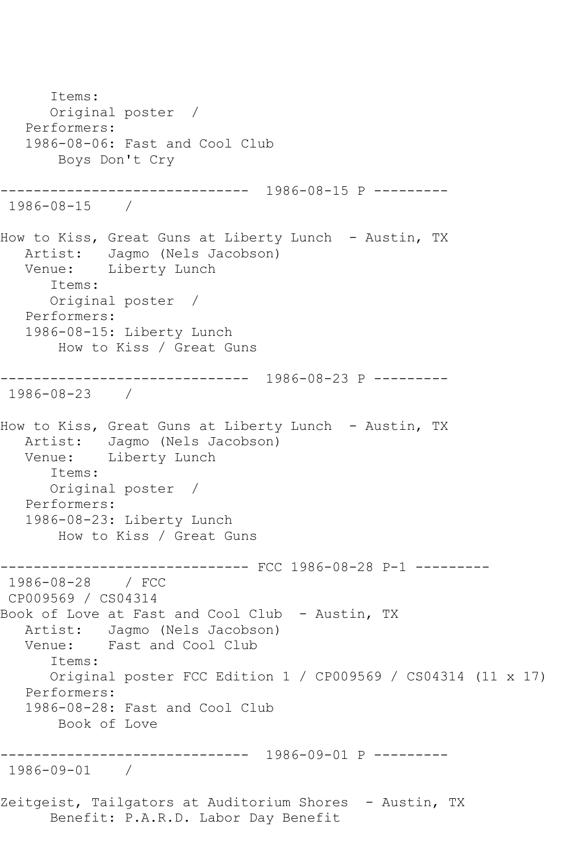Items: Original poster / Performers: 1986-08-06: Fast and Cool Club Boys Don't Cry ------------------------------ 1986-08-15 P --------- 1986-08-15 / How to Kiss, Great Guns at Liberty Lunch - Austin, TX Artist: Jagmo (Nels Jacobson) Venue: Liberty Lunch Items: Original poster / Performers: 1986-08-15: Liberty Lunch How to Kiss / Great Guns ------------------------------ 1986-08-23 P --------- 1986-08-23 / How to Kiss, Great Guns at Liberty Lunch - Austin, TX Artist: Jagmo (Nels Jacobson)<br>Venue: Liberty Lunch Liberty Lunch Items: Original poster / Performers: 1986-08-23: Liberty Lunch How to Kiss / Great Guns ------------ FCC 1986-08-28 P-1 ---------1986-08-28 / FCC CP009569 / CS04314 Book of Love at Fast and Cool Club - Austin, TX Artist: Jagmo (Nels Jacobson) Venue: Fast and Cool Club Items: Original poster FCC Edition 1 / CP009569 / CS04314 (11 x 17) Performers: 1986-08-28: Fast and Cool Club Book of Love ------------------------------ 1986-09-01 P --------- 1986-09-01 / Zeitgeist, Tailgators at Auditorium Shores - Austin, TX Benefit: P.A.R.D. Labor Day Benefit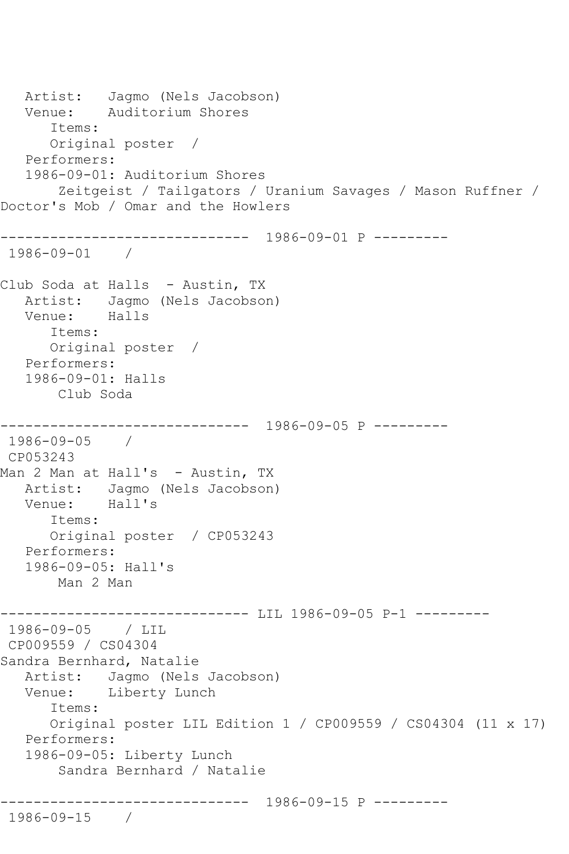```
 Artist: Jagmo (Nels Jacobson)
   Venue: Auditorium Shores
       Items:
       Original poster / 
    Performers:
    1986-09-01: Auditorium Shores
        Zeitgeist / Tailgators / Uranium Savages / Mason Ruffner / 
Doctor's Mob / Omar and the Howlers
         ------------------------------ 1986-09-01 P ---------
1986-09-01 / 
Club Soda at Halls - Austin, TX
  Artist: Jagmo (Nels Jacobson)<br>Venue: Halls
  Venue:
       Items:
       Original poster / 
   Performers:
    1986-09-01: Halls
       Club Soda
                   ------------------------------ 1986-09-05 P ---------
1986-09-05 / 
CP053243
Man 2 Man at Hall's - Austin, TX
   Artist: Jagmo (Nels Jacobson)
   Venue: Hall's
       Items:
       Original poster / CP053243
   Performers:
   1986-09-05: Hall's
       Man 2 Man
----------------------------- LIL 1986-09-05 P-1 ---------
1986-09-05 / LIL 
CP009559 / CS04304
Sandra Bernhard, Natalie
   Artist: Jagmo (Nels Jacobson)
   Venue: Liberty Lunch
       Items:
       Original poster LIL Edition 1 / CP009559 / CS04304 (11 x 17)
   Performers:
    1986-09-05: Liberty Lunch
        Sandra Bernhard / Natalie
              ------------------------------ 1986-09-15 P ---------
1986-09-15 /
```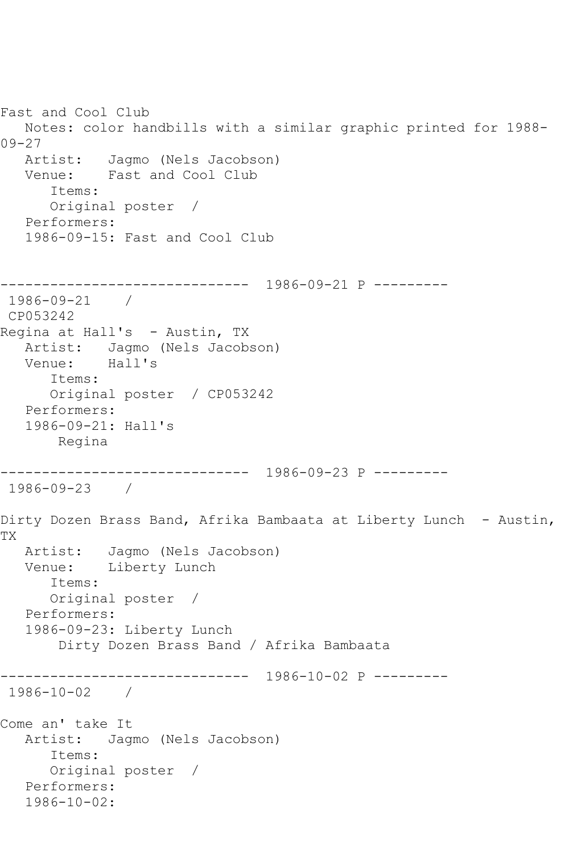```
Fast and Cool Club
   Notes: color handbills with a similar graphic printed for 1988-
09-27
   Artist: Jagmo (Nels Jacobson)
   Venue: Fast and Cool Club
       Items:
       Original poster / 
   Performers:
    1986-09-15: Fast and Cool Club
       ------------------------------ 1986-09-21 P ---------
1986-09-21 / 
CP053242
Regina at Hall's - Austin, TX
   Artist: Jagmo (Nels Jacobson)
   Venue: Hall's
       Items:
       Original poster / CP053242
   Performers:
   1986-09-21: Hall's
       Regina
                  ------------------------------ 1986-09-23 P ---------
1986-09-23 / 
Dirty Dozen Brass Band, Afrika Bambaata at Liberty Lunch - Austin, 
TX
   Artist: Jagmo (Nels Jacobson)
   Venue: Liberty Lunch
       Items:
       Original poster / 
   Performers:
   1986-09-23: Liberty Lunch
        Dirty Dozen Brass Band / Afrika Bambaata
      ------------------------------ 1986-10-02 P ---------
1986-10-02 / 
Come an' take It
   Artist: Jagmo (Nels Jacobson)
       Items:
       Original poster / 
    Performers:
    1986-10-02:
```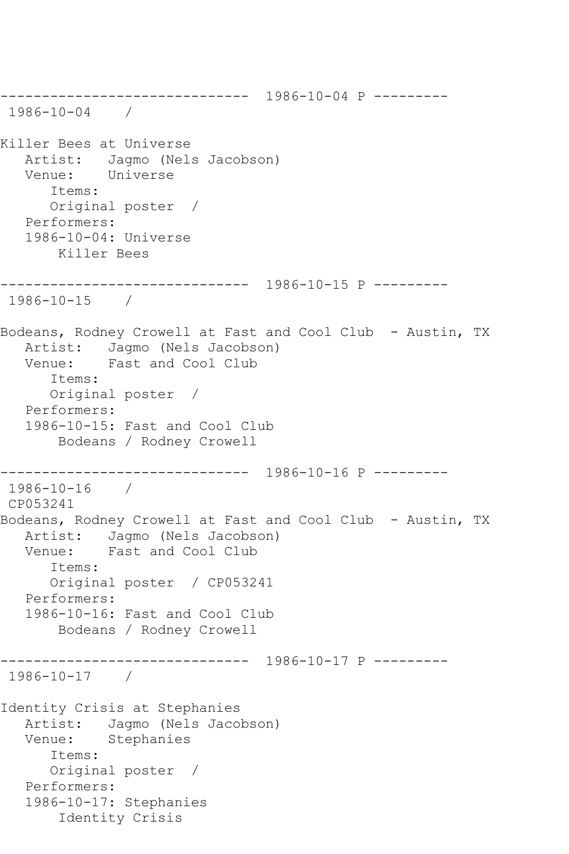------------------------------ 1986-10-04 P --------- 1986-10-04 / Killer Bees at Universe Artist: Jagmo (Nels Jacobson) Venue: Universe Items: Original poster / Performers: 1986-10-04: Universe Killer Bees ------------------------------ 1986-10-15 P --------- 1986-10-15 / Bodeans, Rodney Crowell at Fast and Cool Club - Austin, TX Artist: Jagmo (Nels Jacobson)<br>Venue: Fast and Cool Club Fast and Cool Club Items: Original poster / Performers: 1986-10-15: Fast and Cool Club Bodeans / Rodney Crowell ------------------------------ 1986-10-16 P --------- 1986-10-16 / CP053241 Bodeans, Rodney Crowell at Fast and Cool Club - Austin, TX Artist: Jagmo (Nels Jacobson) Venue: Fast and Cool Club Items: Original poster / CP053241 Performers: 1986-10-16: Fast and Cool Club Bodeans / Rodney Crowell ------------------------------ 1986-10-17 P --------- 1986-10-17 / Identity Crisis at Stephanies Artist: Jagmo (Nels Jacobson) Venue: Stephanies Items: Original poster / Performers: 1986-10-17: Stephanies Identity Crisis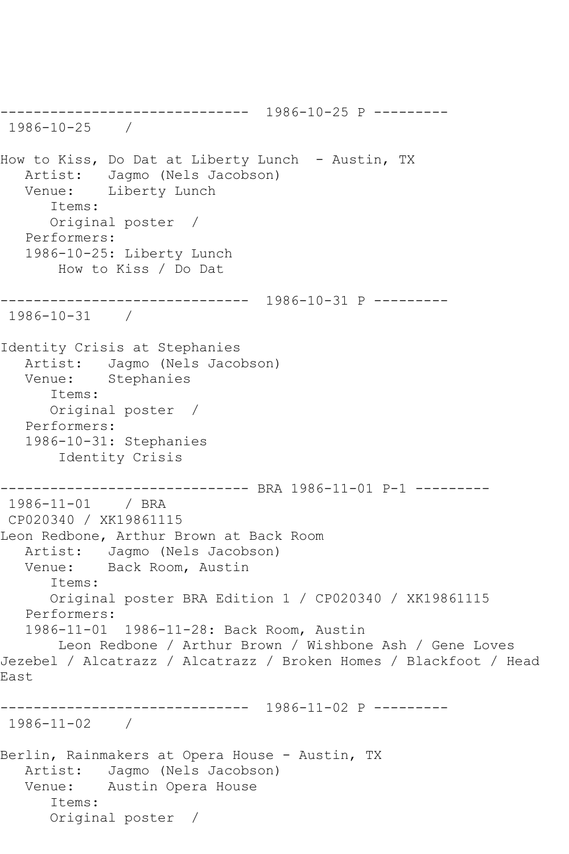------------------------------ 1986-10-25 P --------- 1986-10-25 / How to Kiss, Do Dat at Liberty Lunch - Austin, TX Artist: Jagmo (Nels Jacobson)<br>Venue: Liberty Lunch Liberty Lunch Items: Original poster / Performers: 1986-10-25: Liberty Lunch How to Kiss / Do Dat ------------------------------ 1986-10-31 P --------- 1986-10-31 / Identity Crisis at Stephanies Artist: Jagmo (Nels Jacobson) Venue: Stephanies Items: Original poster / Performers: 1986-10-31: Stephanies Identity Crisis ------------------------------ BRA 1986-11-01 P-1 --------- 1986-11-01 / BRA CP020340 / XK19861115 Leon Redbone, Arthur Brown at Back Room Artist: Jagmo (Nels Jacobson) Venue: Back Room, Austin Items: Original poster BRA Edition 1 / CP020340 / XK19861115 Performers: 1986-11-01 1986-11-28: Back Room, Austin Leon Redbone / Arthur Brown / Wishbone Ash / Gene Loves Jezebel / Alcatrazz / Alcatrazz / Broken Homes / Blackfoot / Head East ------------------------------ 1986-11-02 P --------- 1986-11-02 / Berlin, Rainmakers at Opera House - Austin, TX Artist: Jagmo (Nels Jacobson) Venue: Austin Opera House Items: Original poster /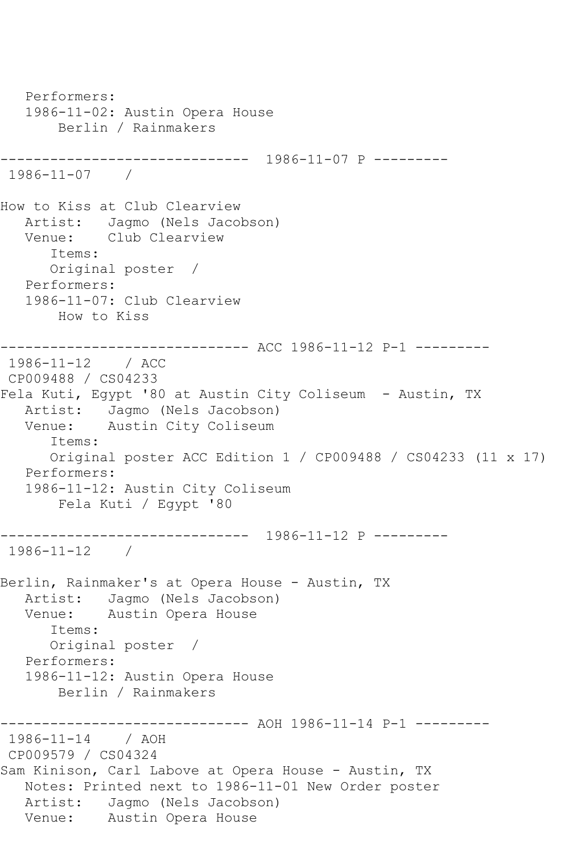Performers: 1986-11-02: Austin Opera House Berlin / Rainmakers ------------------------------ 1986-11-07 P --------- 1986-11-07 / How to Kiss at Club Clearview Artist: Jagmo (Nels Jacobson) Venue: Club Clearview Items: Original poster / Performers: 1986-11-07: Club Clearview How to Kiss ------------------------------ ACC 1986-11-12 P-1 --------- 1986-11-12 / ACC CP009488 / CS04233 Fela Kuti, Egypt '80 at Austin City Coliseum - Austin, TX Artist: Jagmo (Nels Jacobson) Venue: Austin City Coliseum Items: Original poster ACC Edition 1 / CP009488 / CS04233 (11 x 17) Performers: 1986-11-12: Austin City Coliseum Fela Kuti / Egypt '80 ------------------------------ 1986-11-12 P --------- 1986-11-12 / Berlin, Rainmaker's at Opera House - Austin, TX Artist: Jagmo (Nels Jacobson)<br>Venue: Austin Opera House Austin Opera House Items: Original poster / Performers: 1986-11-12: Austin Opera House Berlin / Rainmakers ------------------------------ AOH 1986-11-14 P-1 --------- 1986-11-14 / AOH CP009579 / CS04324 Sam Kinison, Carl Labove at Opera House - Austin, TX Notes: Printed next to 1986-11-01 New Order poster Artist: Jagmo (Nels Jacobson) Venue: Austin Opera House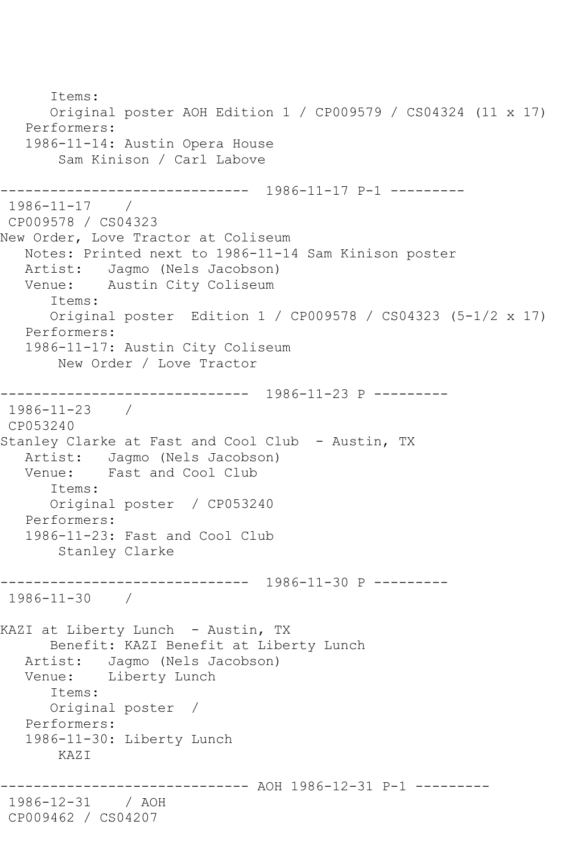Items: Original poster AOH Edition 1 / CP009579 / CS04324 (11 x 17) Performers: 1986-11-14: Austin Opera House Sam Kinison / Carl Labove ------------------------------ 1986-11-17 P-1 --------- 1986-11-17 / CP009578 / CS04323 New Order, Love Tractor at Coliseum Notes: Printed next to 1986-11-14 Sam Kinison poster Artist: Jagmo (Nels Jacobson)<br>Venue: Austin City Coliseum Austin City Coliseum Items: Original poster Edition 1 / CP009578 / CS04323 (5-1/2 x 17) Performers: 1986-11-17: Austin City Coliseum New Order / Love Tractor ------------------------------ 1986-11-23 P --------- 1986-11-23 / CP053240 Stanley Clarke at Fast and Cool Club - Austin, TX Artist: Jagmo (Nels Jacobson) Venue: Fast and Cool Club Items: Original poster / CP053240 Performers: 1986-11-23: Fast and Cool Club Stanley Clarke ------------------------------ 1986-11-30 P --------- 1986-11-30 / KAZI at Liberty Lunch - Austin, TX Benefit: KAZI Benefit at Liberty Lunch Artist: Jagmo (Nels Jacobson) Venue: Liberty Lunch Items: Original poster / Performers: 1986-11-30: Liberty Lunch KAZI --------- AOH 1986-12-31 P-1 ---------1986-12-31 / AOH CP009462 / CS04207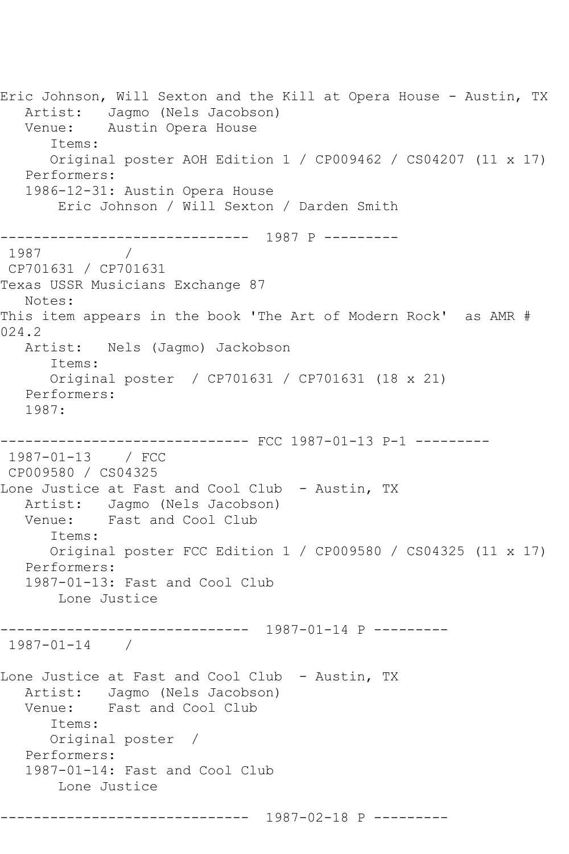Eric Johnson, Will Sexton and the Kill at Opera House - Austin, TX Artist: Jagmo (Nels Jacobson) Venue: Austin Opera House Items: Original poster AOH Edition 1 / CP009462 / CS04207 (11 x 17) Performers: 1986-12-31: Austin Opera House Eric Johnson / Will Sexton / Darden Smith ------------------------------ 1987 P --------- 1987 / CP701631 / CP701631 Texas USSR Musicians Exchange 87 Notes: This item appears in the book 'The Art of Modern Rock' as AMR # 024.2 Artist: Nels (Jagmo) Jackobson Items: Original poster / CP701631 / CP701631 (18 x 21) Performers: 1987: ------------------------------ FCC 1987-01-13 P-1 --------- 1987-01-13 / FCC CP009580 / CS04325 Lone Justice at Fast and Cool Club - Austin, TX Artist: Jagmo (Nels Jacobson) Venue: Fast and Cool Club Items: Original poster FCC Edition 1 / CP009580 / CS04325 (11 x 17) Performers: 1987-01-13: Fast and Cool Club Lone Justice ------------------------------ 1987-01-14 P --------- 1987-01-14 / Lone Justice at Fast and Cool Club - Austin, TX Artist: Jagmo (Nels Jacobson)<br>Venue: Fast and Cool Club Fast and Cool Club Items: Original poster / Performers: 1987-01-14: Fast and Cool Club Lone Justice ------------------------------ 1987-02-18 P ---------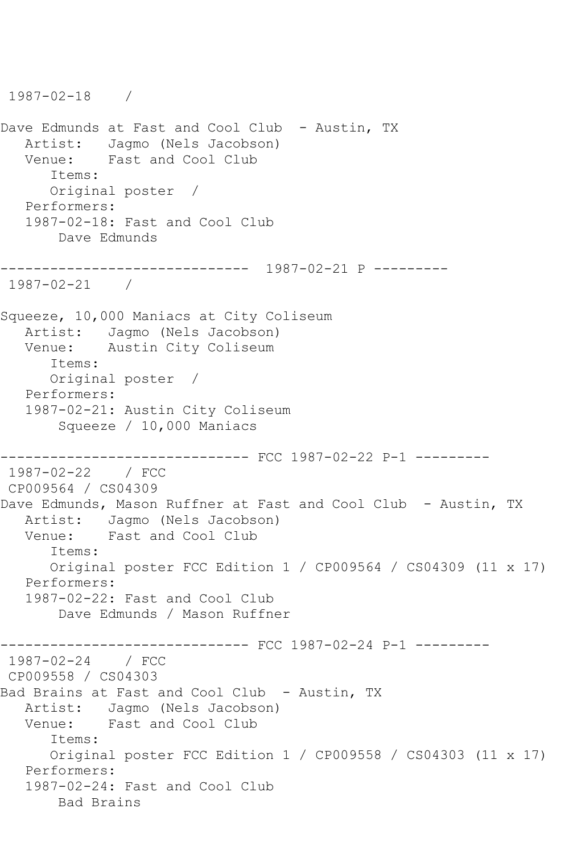1987-02-18 / Dave Edmunds at Fast and Cool Club - Austin, TX Artist: Jagmo (Nels Jacobson)<br>Venue: Fast and Cool Club Fast and Cool Club Items: Original poster / Performers: 1987-02-18: Fast and Cool Club Dave Edmunds ------------------------------ 1987-02-21 P --------- 1987-02-21 / Squeeze, 10,000 Maniacs at City Coliseum Artist: Jagmo (Nels Jacobson) Venue: Austin City Coliseum Items: Original poster / Performers: 1987-02-21: Austin City Coliseum Squeeze / 10,000 Maniacs ------------------------------ FCC 1987-02-22 P-1 --------- 1987-02-22 / FCC CP009564 / CS04309 Dave Edmunds, Mason Ruffner at Fast and Cool Club - Austin, TX Artist: Jagmo (Nels Jacobson) Venue: Fast and Cool Club Items: Original poster FCC Edition 1 / CP009564 / CS04309 (11 x 17) Performers: 1987-02-22: Fast and Cool Club Dave Edmunds / Mason Ruffner ------------------------------ FCC 1987-02-24 P-1 --------- 1987-02-24 / FCC CP009558 / CS04303 Bad Brains at Fast and Cool Club - Austin, TX Artist: Jagmo (Nels Jacobson) Venue: Fast and Cool Club Items: Original poster FCC Edition 1 / CP009558 / CS04303 (11 x 17) Performers: 1987-02-24: Fast and Cool Club Bad Brains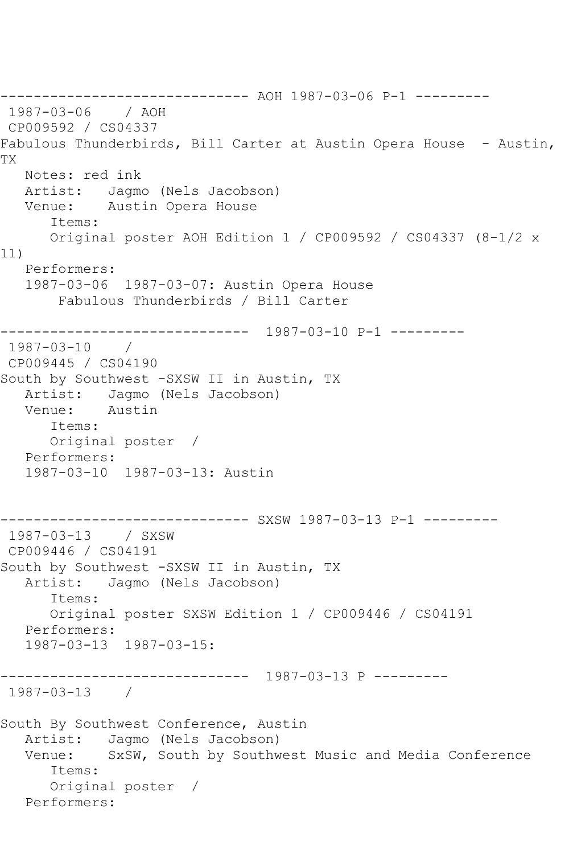------------------------------ AOH 1987-03-06 P-1 --------- 1987-03-06 / AOH CP009592 / CS04337 Fabulous Thunderbirds, Bill Carter at Austin Opera House - Austin, TX Notes: red ink Artist: Jagmo (Nels Jacobson) Venue: Austin Opera House Items: Original poster AOH Edition 1 / CP009592 / CS04337 (8-1/2 x 11) Performers: 1987-03-06 1987-03-07: Austin Opera House Fabulous Thunderbirds / Bill Carter ------------------------------ 1987-03-10 P-1 --------- 1987-03-10 / CP009445 / CS04190 South by Southwest -SXSW II in Austin, TX Artist: Jagmo (Nels Jacobson)<br>Venue: Austin Venue: Items: Original poster / Performers: 1987-03-10 1987-03-13: Austin ---------- SXSW 1987-03-13 P-1 ---------1987-03-13 / SXSW CP009446 / CS04191 South by Southwest -SXSW II in Austin, TX<br>Artist: Jaqmo (Nels Jacobson) Jagmo (Nels Jacobson) Items: Original poster SXSW Edition 1 / CP009446 / CS04191 Performers: 1987-03-13 1987-03-15: ------------------------------ 1987-03-13 P --------- 1987-03-13 / South By Southwest Conference, Austin Artist: Jagmo (Nels Jacobson) Venue: SxSW, South by Southwest Music and Media Conference Items: Original poster / Performers: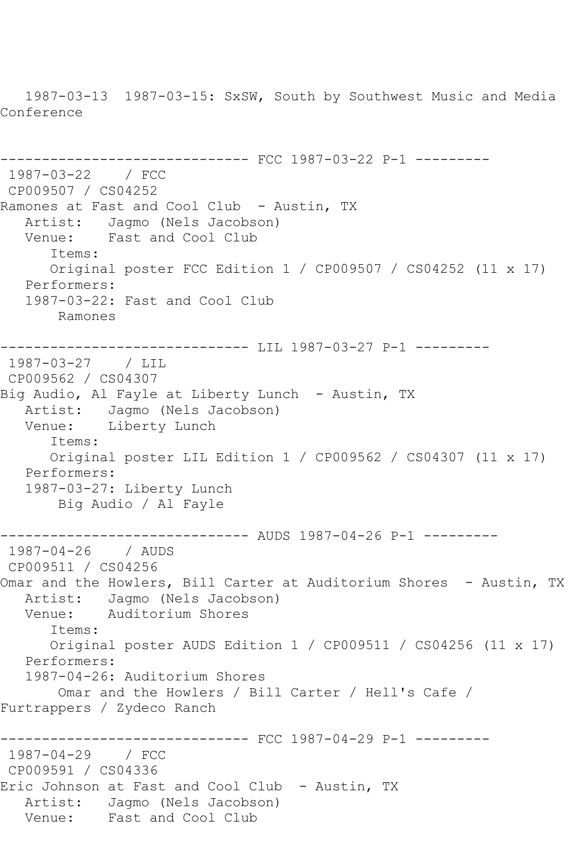1987-03-13 1987-03-15: SxSW, South by Southwest Music and Media Conference

```
------------------------------ FCC 1987-03-22 P-1 ---------
1987-03-22 / FCC 
CP009507 / CS04252
Ramones at Fast and Cool Club - Austin, TX
   Artist: Jagmo (Nels Jacobson)
   Venue: Fast and Cool Club
       Items:
      Original poster FCC Edition 1 / CP009507 / CS04252 (11 x 17)
   Performers:
   1987-03-22: Fast and Cool Club
       Ramones
------------------------------ LIL 1987-03-27 P-1 ---------
1987-03-27 / LIL 
CP009562 / CS04307
Big Audio, Al Fayle at Liberty Lunch - Austin, TX
   Artist: Jagmo (Nels Jacobson)
   Venue: Liberty Lunch
      Items:
       Original poster LIL Edition 1 / CP009562 / CS04307 (11 x 17)
   Performers:
   1987-03-27: Liberty Lunch
        Big Audio / Al Fayle
                   ------------------------------ AUDS 1987-04-26 P-1 ---------
1987-04-26 / AUDS 
CP009511 / CS04256
Omar and the Howlers, Bill Carter at Auditorium Shores - Austin, TX
  Artist: Jagmo (Nels Jacobson)<br>Venue: Auditorium Shores
            Auditorium Shores
       Items:
      Original poster AUDS Edition 1 / CP009511 / CS04256 (11 x 17)
   Performers:
   1987-04-26: Auditorium Shores
        Omar and the Howlers / Bill Carter / Hell's Cafe / 
Furtrappers / Zydeco Ranch
------------------------------ FCC 1987-04-29 P-1 ---------
1987-04-29 / FCC 
CP009591 / CS04336
Eric Johnson at Fast and Cool Club - Austin, TX
   Artist: Jagmo (Nels Jacobson)
   Venue: Fast and Cool Club
```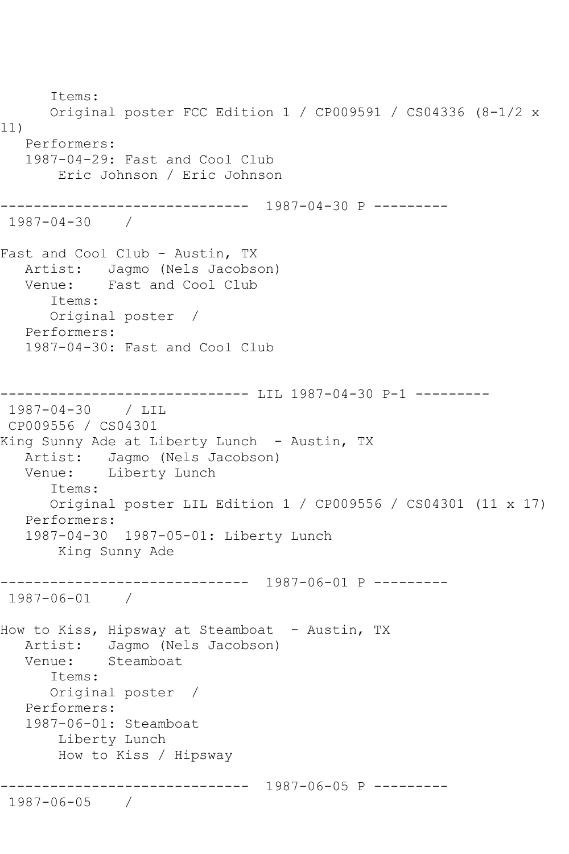Items: Original poster FCC Edition 1 / CP009591 / CS04336 (8-1/2 x 11) Performers: 1987-04-29: Fast and Cool Club Eric Johnson / Eric Johnson ------------------------------ 1987-04-30 P --------- 1987-04-30 / Fast and Cool Club - Austin, TX Artist: Jagmo (Nels Jacobson)<br>Venue: Fast and Cool Club Fast and Cool Club Items: Original poster / Performers: 1987-04-30: Fast and Cool Club ------------------------------ LIL 1987-04-30 P-1 --------- 1987-04-30 / LIL CP009556 / CS04301 King Sunny Ade at Liberty Lunch - Austin, TX Artist: Jagmo (Nels Jacobson) Venue: Liberty Lunch Items: Original poster LIL Edition 1 / CP009556 / CS04301 (11 x 17) Performers: 1987-04-30 1987-05-01: Liberty Lunch King Sunny Ade ------------------------------ 1987-06-01 P --------- 1987-06-01 / How to Kiss, Hipsway at Steamboat - Austin, TX Artist: Jagmo (Nels Jacobson)<br>Venue: Steamboat Steamboat Items: Original poster / Performers: 1987-06-01: Steamboat Liberty Lunch How to Kiss / Hipsway ------------------------------ 1987-06-05 P --------- 1987-06-05 /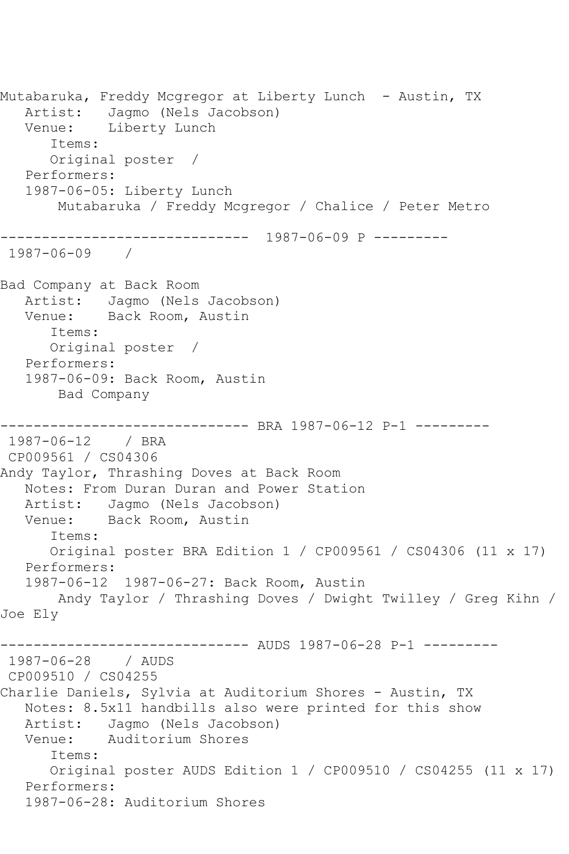Mutabaruka, Freddy Mcgregor at Liberty Lunch - Austin, TX Artist: Jagmo (Nels Jacobson) Venue: Liberty Lunch Items: Original poster / Performers: 1987-06-05: Liberty Lunch Mutabaruka / Freddy Mcgregor / Chalice / Peter Metro ------------------------------ 1987-06-09 P --------- 1987-06-09 / Bad Company at Back Room Artist: Jagmo (Nels Jacobson) Venue: Back Room, Austin Items: Original poster / Performers: 1987-06-09: Back Room, Austin Bad Company ------------------------------ BRA 1987-06-12 P-1 --------- 1987-06-12 / BRA CP009561 / CS04306 Andy Taylor, Thrashing Doves at Back Room Notes: From Duran Duran and Power Station Artist: Jagmo (Nels Jacobson) Venue: Back Room, Austin Items: Original poster BRA Edition 1 / CP009561 / CS04306 (11 x 17) Performers: 1987-06-12 1987-06-27: Back Room, Austin Andy Taylor / Thrashing Doves / Dwight Twilley / Greg Kihn / Joe Ely ------------------------------ AUDS 1987-06-28 P-1 --------- 1987-06-28 / AUDS CP009510 / CS04255 Charlie Daniels, Sylvia at Auditorium Shores - Austin, TX Notes: 8.5x11 handbills also were printed for this show Artist: Jagmo (Nels Jacobson) Venue: Auditorium Shores Items: Original poster AUDS Edition 1 / CP009510 / CS04255 (11 x 17) Performers: 1987-06-28: Auditorium Shores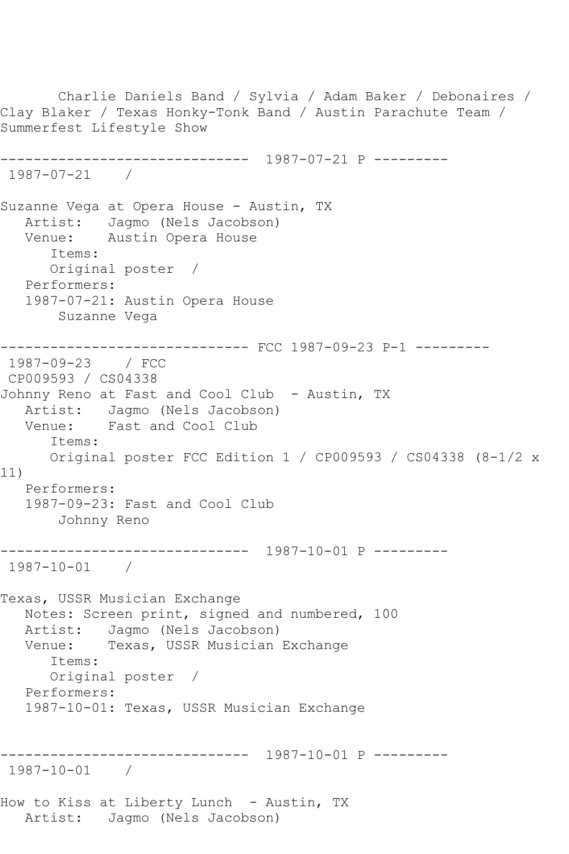Charlie Daniels Band / Sylvia / Adam Baker / Debonaires / Clay Blaker / Texas Honky-Tonk Band / Austin Parachute Team / Summerfest Lifestyle Show ------------------------------ 1987-07-21 P --------- 1987-07-21 / Suzanne Vega at Opera House - Austin, TX Artist: Jagmo (Nels Jacobson) Venue: Austin Opera House Items: Original poster / Performers: 1987-07-21: Austin Opera House Suzanne Vega ------------------------------ FCC 1987-09-23 P-1 --------- 1987-09-23 / FCC CP009593 / CS04338 Johnny Reno at Fast and Cool Club - Austin, TX Artist: Jagmo (Nels Jacobson) Venue: Fast and Cool Club Items: Original poster FCC Edition 1 / CP009593 / CS04338 (8-1/2 x 11) Performers: 1987-09-23: Fast and Cool Club Johnny Reno ------------------------------ 1987-10-01 P --------- 1987-10-01 / Texas, USSR Musician Exchange Notes: Screen print, signed and numbered, 100 Artist: Jagmo (Nels Jacobson)<br>Venue: Texas, USSR Musician Texas, USSR Musician Exchange Items: Original poster / Performers: 1987-10-01: Texas, USSR Musician Exchange ------------------------------ 1987-10-01 P --------- 1987-10-01 / How to Kiss at Liberty Lunch - Austin, TX Artist: Jagmo (Nels Jacobson)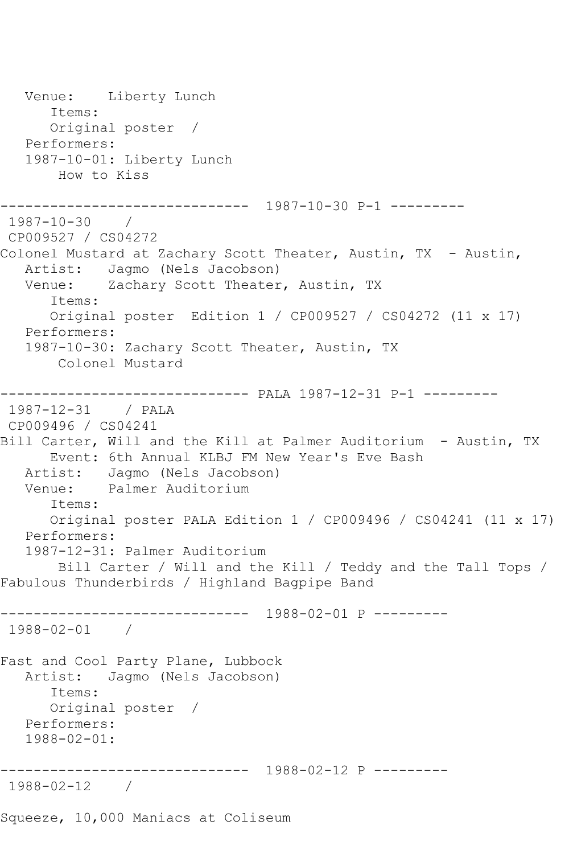Venue: Liberty Lunch Items: Original poster / Performers: 1987-10-01: Liberty Lunch How to Kiss ------------------------------ 1987-10-30 P-1 --------- 1987-10-30 / CP009527 / CS04272 Colonel Mustard at Zachary Scott Theater, Austin, TX - Austin, Artist: Jagmo (Nels Jacobson)<br>Venue: Zachary Scott Theater Zachary Scott Theater, Austin, TX Items: Original poster Edition 1 / CP009527 / CS04272 (11 x 17) Performers: 1987-10-30: Zachary Scott Theater, Austin, TX Colonel Mustard ------------------------------ PALA 1987-12-31 P-1 --------- 1987-12-31 / PALA CP009496 / CS04241 Bill Carter, Will and the Kill at Palmer Auditorium - Austin, TX Event: 6th Annual KLBJ FM New Year's Eve Bash Artist: Jagmo (Nels Jacobson)<br>Venue: Palmer Auditorium Palmer Auditorium Items: Original poster PALA Edition 1 / CP009496 / CS04241 (11 x 17) Performers: 1987-12-31: Palmer Auditorium Bill Carter / Will and the Kill / Teddy and the Tall Tops / Fabulous Thunderbirds / Highland Bagpipe Band ------------------------------ 1988-02-01 P --------- 1988-02-01 / Fast and Cool Party Plane, Lubbock Artist: Jagmo (Nels Jacobson) Items: Original poster / Performers: 1988-02-01: ------------------------------ 1988-02-12 P --------- 1988-02-12 / Squeeze, 10,000 Maniacs at Coliseum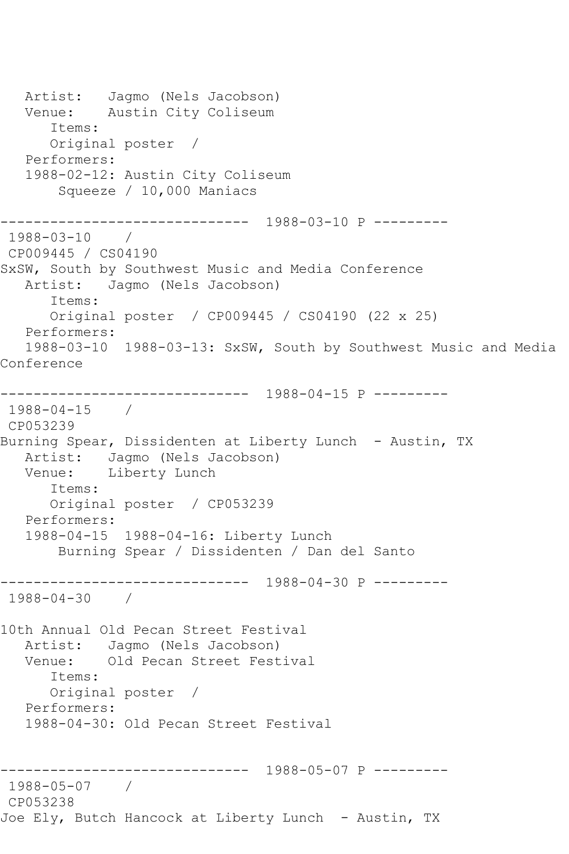Artist: Jagmo (Nels Jacobson) Venue: Austin City Coliseum Items: Original poster / Performers: 1988-02-12: Austin City Coliseum Squeeze / 10,000 Maniacs ------------------------------ 1988-03-10 P --------- 1988-03-10 / CP009445 / CS04190 SxSW, South by Southwest Music and Media Conference Artist: Jagmo (Nels Jacobson) Items: Original poster / CP009445 / CS04190 (22 x 25) Performers: 1988-03-10 1988-03-13: SxSW, South by Southwest Music and Media Conference ------------------------------ 1988-04-15 P --------- 1988-04-15 / CP053239 Burning Spear, Dissidenten at Liberty Lunch - Austin, TX Artist: Jagmo (Nels Jacobson) Venue: Liberty Lunch Items: Original poster / CP053239 Performers: 1988-04-15 1988-04-16: Liberty Lunch Burning Spear / Dissidenten / Dan del Santo ------------------------------ 1988-04-30 P --------- 1988-04-30 / 10th Annual Old Pecan Street Festival Artist: Jagmo (Nels Jacobson)<br>Venue: Old Pecan Street Fest Old Pecan Street Festival Items: Original poster / Performers: 1988-04-30: Old Pecan Street Festival ------------------------------ 1988-05-07 P --------- 1988-05-07 / CP053238 Joe Ely, Butch Hancock at Liberty Lunch - Austin, TX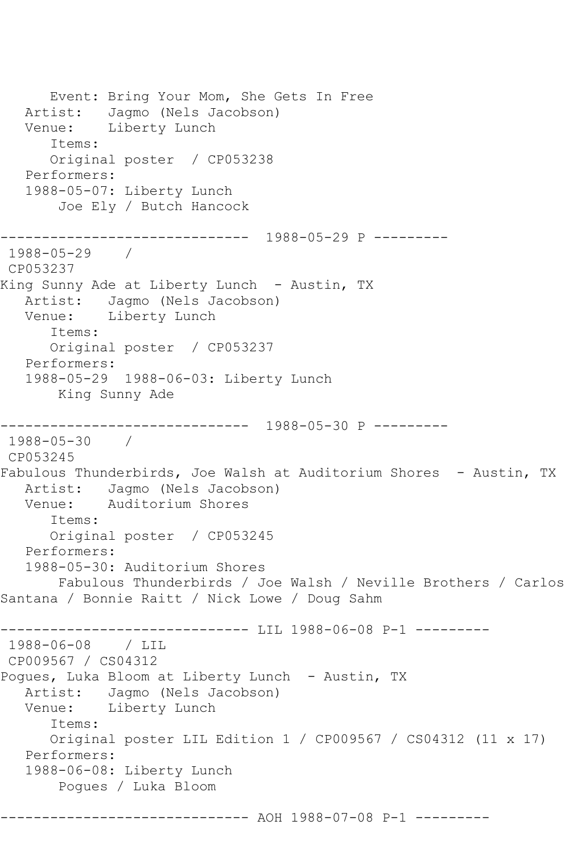Event: Bring Your Mom, She Gets In Free Artist: Jagmo (Nels Jacobson) Venue: Liberty Lunch Items: Original poster / CP053238 Performers: 1988-05-07: Liberty Lunch Joe Ely / Butch Hancock ------------------------------ 1988-05-29 P --------- 1988-05-29 / CP053237 King Sunny Ade at Liberty Lunch - Austin, TX Artist: Jagmo (Nels Jacobson) Venue: Liberty Lunch Items: Original poster / CP053237 Performers: 1988-05-29 1988-06-03: Liberty Lunch King Sunny Ade ------------------------------ 1988-05-30 P --------- 1988-05-30 / CP053245 Fabulous Thunderbirds, Joe Walsh at Auditorium Shores - Austin, TX Artist: Jagmo (Nels Jacobson) Venue: Auditorium Shores Items: Original poster / CP053245 Performers: 1988-05-30: Auditorium Shores Fabulous Thunderbirds / Joe Walsh / Neville Brothers / Carlos Santana / Bonnie Raitt / Nick Lowe / Doug Sahm ------------------------------ LIL 1988-06-08 P-1 --------- 1988-06-08 / LIL CP009567 / CS04312 Pogues, Luka Bloom at Liberty Lunch - Austin, TX Artist: Jagmo (Nels Jacobson)<br>Venue: Liberty Lunch Liberty Lunch Items: Original poster LIL Edition 1 / CP009567 / CS04312 (11 x 17) Performers: 1988-06-08: Liberty Lunch Pogues / Luka Bloom ------------------------------ AOH 1988-07-08 P-1 ---------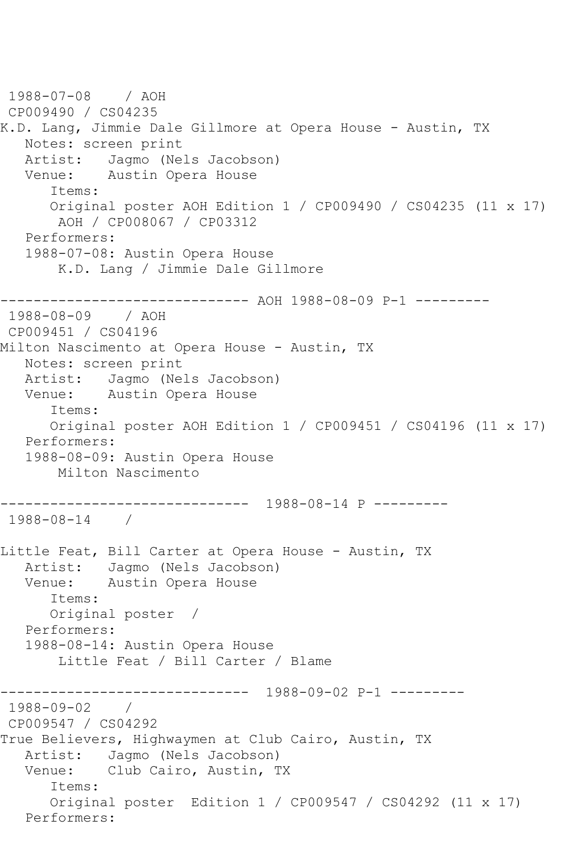1988-07-08 / AOH CP009490 / CS04235 K.D. Lang, Jimmie Dale Gillmore at Opera House - Austin, TX Notes: screen print Artist: Jagmo (Nels Jacobson) Venue: Austin Opera House Items: Original poster AOH Edition 1 / CP009490 / CS04235 (11 x 17) AOH / CP008067 / CP03312 Performers: 1988-07-08: Austin Opera House K.D. Lang / Jimmie Dale Gillmore ------------------------------ AOH 1988-08-09 P-1 --------- 1988-08-09 / AOH CP009451 / CS04196 Milton Nascimento at Opera House - Austin, TX Notes: screen print<br>Artist: Jaqmo (Ne Artist: Jagmo (Nels Jacobson)<br>Venue: Austin Opera House Austin Opera House Items: Original poster AOH Edition 1 / CP009451 / CS04196 (11 x 17) Performers: 1988-08-09: Austin Opera House Milton Nascimento ------------------------------ 1988-08-14 P --------- 1988-08-14 / Little Feat, Bill Carter at Opera House - Austin, TX Artist: Jagmo (Nels Jacobson) Venue: Austin Opera House Items: Original poster / Performers: 1988-08-14: Austin Opera House Little Feat / Bill Carter / Blame ------------------------------ 1988-09-02 P-1 --------- 1988-09-02 / CP009547 / CS04292 True Believers, Highwaymen at Club Cairo, Austin, TX Artist: Jagmo (Nels Jacobson) Venue: Club Cairo, Austin, TX Items: Original poster Edition 1 / CP009547 / CS04292 (11 x 17) Performers: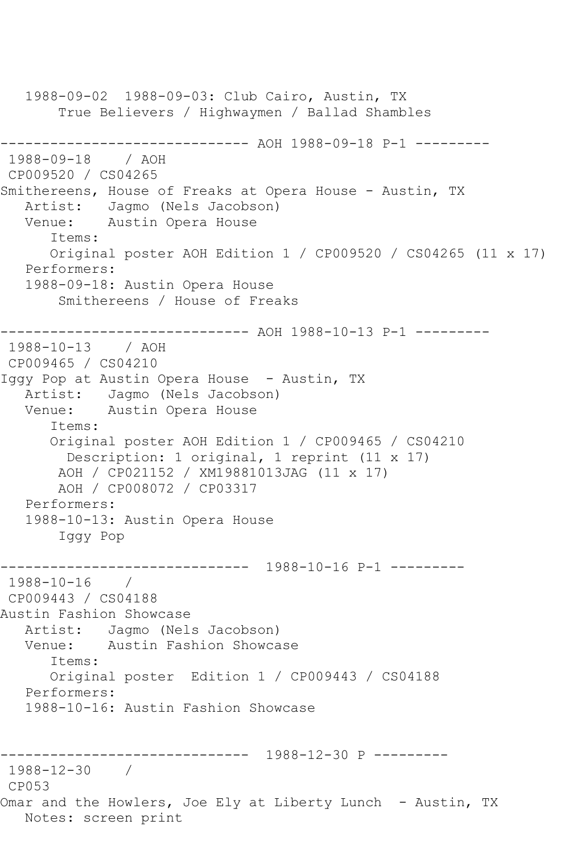1988-09-02 1988-09-03: Club Cairo, Austin, TX True Believers / Highwaymen / Ballad Shambles ------------------------------ AOH 1988-09-18 P-1 ---------<br>1988-09-18 / AOH 1988-09-18 CP009520 / CS04265 Smithereens, House of Freaks at Opera House - Austin, TX Artist: Jagmo (Nels Jacobson) Venue: Austin Opera House Items: Original poster AOH Edition 1 / CP009520 / CS04265 (11 x 17) Performers: 1988-09-18: Austin Opera House Smithereens / House of Freaks ------------------------------ AOH 1988-10-13 P-1 --------- 1988-10-13 / AOH CP009465 / CS04210 Iggy Pop at Austin Opera House - Austin, TX Artist: Jagmo (Nels Jacobson) Venue: Austin Opera House Items: Original poster AOH Edition 1 / CP009465 / CS04210 Description: 1 original, 1 reprint (11 x 17) AOH / CP021152 / XM19881013JAG (11 x 17) AOH / CP008072 / CP03317 Performers: 1988-10-13: Austin Opera House Iggy Pop ------------------------------ 1988-10-16 P-1 --------- 1988-10-16 / CP009443 / CS04188 Austin Fashion Showcase Artist: Jagmo (Nels Jacobson) Venue: Austin Fashion Showcase Items: Original poster Edition 1 / CP009443 / CS04188 Performers: 1988-10-16: Austin Fashion Showcase ------------------------------ 1988-12-30 P --------- 1988-12-30 / CP053 Omar and the Howlers, Joe Ely at Liberty Lunch - Austin, TX Notes: screen print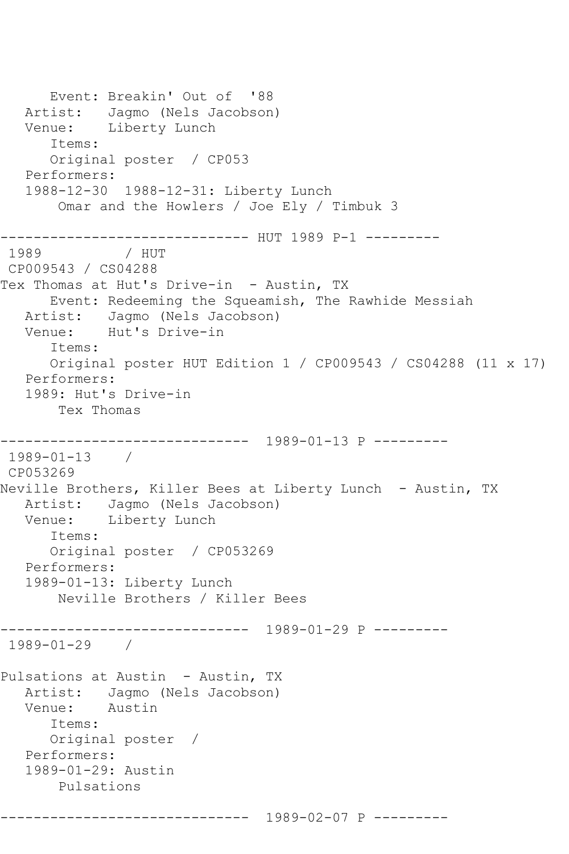```
 Event: Breakin' Out of '88
   Artist: Jagmo (Nels Jacobson)
   Venue: Liberty Lunch
       Items:
       Original poster / CP053
   Performers:
    1988-12-30 1988-12-31: Liberty Lunch
        Omar and the Howlers / Joe Ely / Timbuk 3
------------------------------ HUT 1989 P-1 ---------
               1989 / HUT 
CP009543 / CS04288
Tex Thomas at Hut's Drive-in - Austin, TX
       Event: Redeeming the Squeamish, The Rawhide Messiah
   Artist: Jagmo (Nels Jacobson)
   Venue: Hut's Drive-in
       Items:
       Original poster HUT Edition 1 / CP009543 / CS04288 (11 x 17)
   Performers:
    1989: Hut's Drive-in
        Tex Thomas
   ------------------------------ 1989-01-13 P ---------
1989-01-13 / 
CP053269
Neville Brothers, Killer Bees at Liberty Lunch - Austin, TX
   Artist: Jagmo (Nels Jacobson)
   Venue: Liberty Lunch
       Items:
       Original poster / CP053269
   Performers:
   1989-01-13: Liberty Lunch
        Neville Brothers / Killer Bees
                ------------------------------ 1989-01-29 P ---------
1989-01-29 / 
Pulsations at Austin - Austin, TX
  Artist: Jagmo (Nels Jacobson)<br>Venue: Austin
            Austin
       Items:
       Original poster / 
   Performers:
   1989-01-29: Austin
        Pulsations
            ------------------------------ 1989-02-07 P ---------
```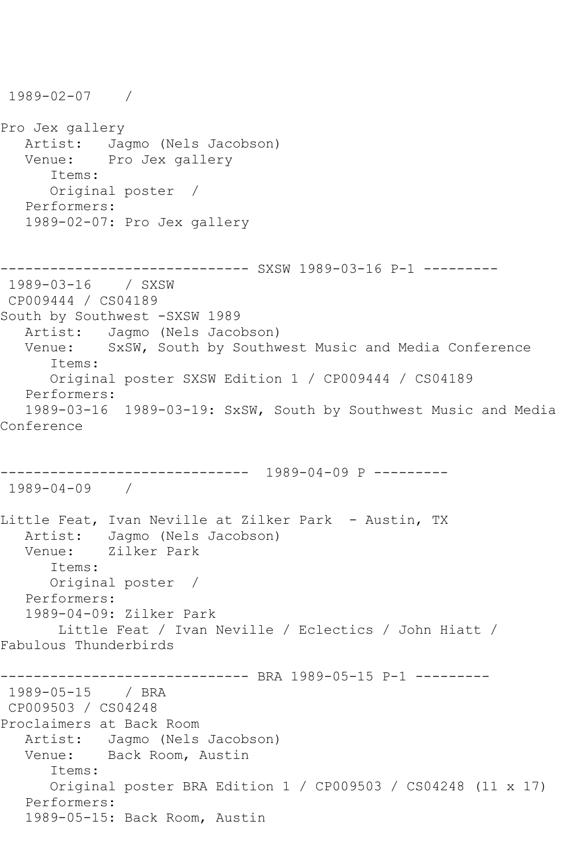1989-02-07 / Pro Jex gallery Artist: Jagmo (Nels Jacobson)<br>Venue: Pro Jex gallery Pro Jex gallery Items: Original poster / Performers: 1989-02-07: Pro Jex gallery ------------------------------ SXSW 1989-03-16 P-1 --------- 1989-03-16 / SXSW CP009444 / CS04189 South by Southwest -SXSW 1989 Artist: Jagmo (Nels Jacobson) Venue: SxSW, South by Southwest Music and Media Conference Items: Original poster SXSW Edition 1 / CP009444 / CS04189 Performers: 1989-03-16 1989-03-19: SxSW, South by Southwest Music and Media Conference ------------------------------ 1989-04-09 P --------- 1989-04-09 / Little Feat, Ivan Neville at Zilker Park - Austin, TX Artist: Jagmo (Nels Jacobson) Venue: Zilker Park Items: Original poster / Performers: 1989-04-09: Zilker Park Little Feat / Ivan Neville / Eclectics / John Hiatt / Fabulous Thunderbirds ------------------------------ BRA 1989-05-15 P-1 --------- 1989-05-15 / BRA CP009503 / CS04248 Proclaimers at Back Room Artist: Jagmo (Nels Jacobson) Venue: Back Room, Austin Items: Original poster BRA Edition 1 / CP009503 / CS04248 (11 x 17) Performers: 1989-05-15: Back Room, Austin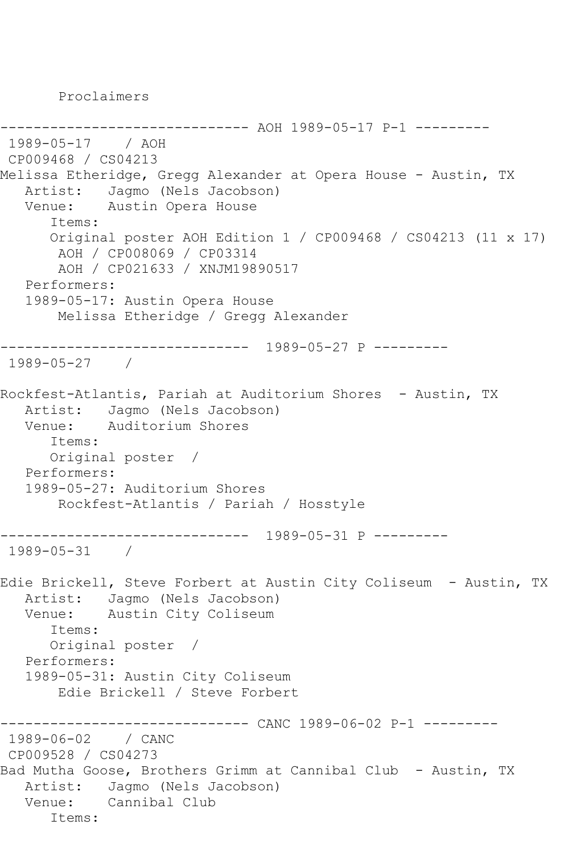Proclaimers

------------------------------ AOH 1989-05-17 P-1 --------- 1989-05-17 / AOH CP009468 / CS04213 Melissa Etheridge, Gregg Alexander at Opera House - Austin, TX Artist: Jagmo (Nels Jacobson) Venue: Austin Opera House Items: Original poster AOH Edition 1 / CP009468 / CS04213 (11 x 17) AOH / CP008069 / CP03314 AOH / CP021633 / XNJM19890517 Performers: 1989-05-17: Austin Opera House Melissa Etheridge / Gregg Alexander ------------------------------ 1989-05-27 P --------- 1989-05-27 / Rockfest-Atlantis, Pariah at Auditorium Shores - Austin, TX Artist: Jagmo (Nels Jacobson) Venue: Auditorium Shores Items: Original poster / Performers: 1989-05-27: Auditorium Shores Rockfest-Atlantis / Pariah / Hosstyle ------------------------------ 1989-05-31 P --------- 1989-05-31 / Edie Brickell, Steve Forbert at Austin City Coliseum - Austin, TX Artist: Jagmo (Nels Jacobson)<br>Venue: Austin City Coliseum Austin City Coliseum Items: Original poster / Performers: 1989-05-31: Austin City Coliseum Edie Brickell / Steve Forbert ---------- CANC 1989-06-02 P-1 ---------1989-06-02 / CANC CP009528 / CS04273 Bad Mutha Goose, Brothers Grimm at Cannibal Club - Austin, TX Artist: Jagmo (Nels Jacobson) Venue: Cannibal Club Items: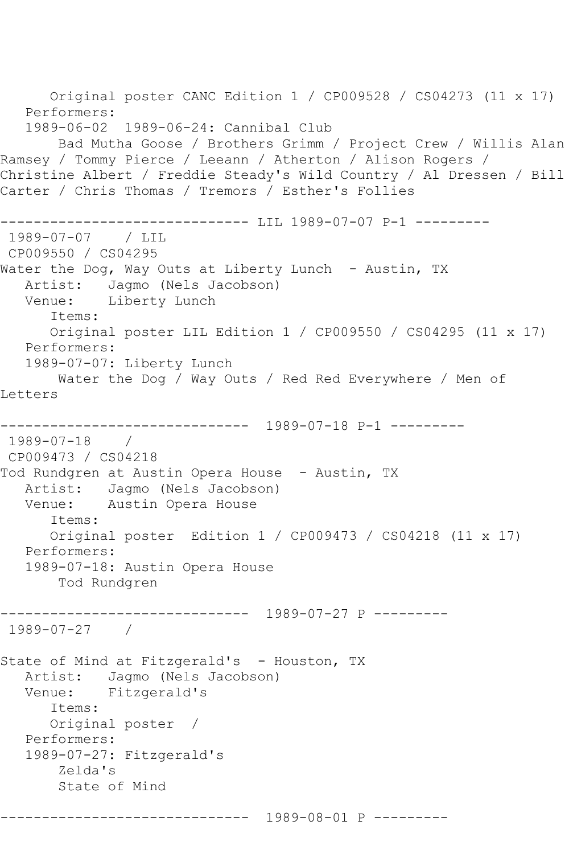```
 Original poster CANC Edition 1 / CP009528 / CS04273 (11 x 17)
   Performers:
    1989-06-02 1989-06-24: Cannibal Club
        Bad Mutha Goose / Brothers Grimm / Project Crew / Willis Alan 
Ramsey / Tommy Pierce / Leeann / Atherton / Alison Rogers / 
Christine Albert / Freddie Steady's Wild Country / Al Dressen / Bill 
Carter / Chris Thomas / Tremors / Esther's Follies
               ------------------------------ LIL 1989-07-07 P-1 ---------
1989-07-07 / LIL 
CP009550 / CS04295
Water the Dog, Way Outs at Liberty Lunch - Austin, TX
   Artist: Jagmo (Nels Jacobson)
   Venue: Liberty Lunch
       Items:
       Original poster LIL Edition 1 / CP009550 / CS04295 (11 x 17)
   Performers:
    1989-07-07: Liberty Lunch
        Water the Dog / Way Outs / Red Red Everywhere / Men of 
Letters
                   ------------------------------ 1989-07-18 P-1 ---------
1989-07-18 / 
CP009473 / CS04218
Tod Rundgren at Austin Opera House - Austin, TX
   Artist: Jagmo (Nels Jacobson)
   Venue: Austin Opera House
       Items:
       Original poster Edition 1 / CP009473 / CS04218 (11 x 17)
   Performers:
    1989-07-18: Austin Opera House
        Tod Rundgren
         ------------------------------ 1989-07-27 P ---------
1989-07-27 / 
State of Mind at Fitzgerald's - Houston, TX
   Artist: Jagmo (Nels Jacobson)
   Venue: Fitzgerald's
       Items:
       Original poster / 
   Performers:
    1989-07-27: Fitzgerald's
        Zelda's
        State of Mind
          ------------------------------ 1989-08-01 P ---------
```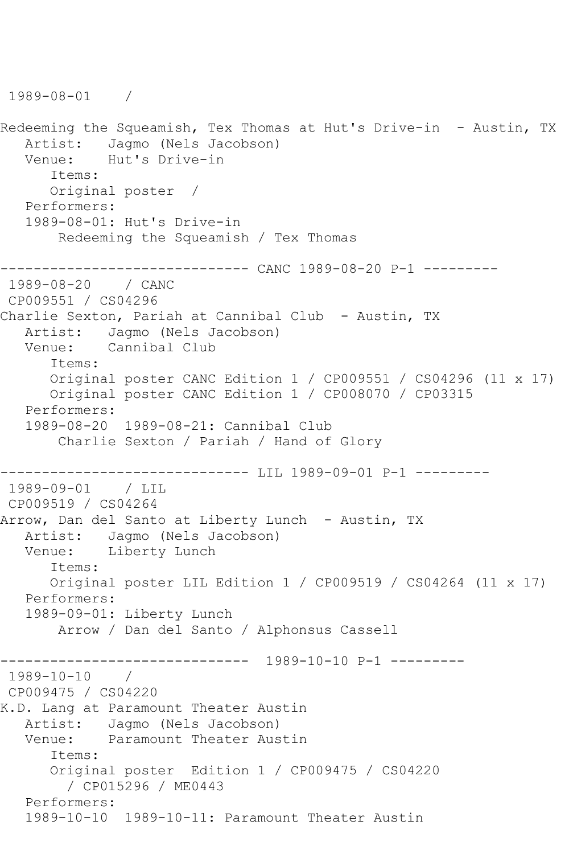```
1989-08-01 / 
Redeeming the Squeamish, Tex Thomas at Hut's Drive-in - Austin, TX
  Artist: Jagmo (Nels Jacobson)<br>Venue: Hut's Drive-in
            Hut's Drive-in
       Items:
       Original poster / 
   Performers:
   1989-08-01: Hut's Drive-in
        Redeeming the Squeamish / Tex Thomas
------------------------------ CANC 1989-08-20 P-1 ---------
1989-08-20 / CANC 
CP009551 / CS04296
Charlie Sexton, Pariah at Cannibal Club - Austin, TX
   Artist: Jagmo (Nels Jacobson)
   Venue: Cannibal Club
       Items:
       Original poster CANC Edition 1 / CP009551 / CS04296 (11 x 17)
       Original poster CANC Edition 1 / CP008070 / CP03315
   Performers:
   1989-08-20 1989-08-21: Cannibal Club
        Charlie Sexton / Pariah / Hand of Glory
         ------------------------------ LIL 1989-09-01 P-1 ---------
1989-09-01 / LIL 
CP009519 / CS04264
Arrow, Dan del Santo at Liberty Lunch - Austin, TX
   Artist: Jagmo (Nels Jacobson)
   Venue: Liberty Lunch
       Items:
       Original poster LIL Edition 1 / CP009519 / CS04264 (11 x 17)
   Performers:
    1989-09-01: Liberty Lunch
        Arrow / Dan del Santo / Alphonsus Cassell
                ------------------------------ 1989-10-10 P-1 ---------
1989-10-10 / 
CP009475 / CS04220
K.D. Lang at Paramount Theater Austin
   Artist: Jagmo (Nels Jacobson)
   Venue: Paramount Theater Austin
       Items:
       Original poster Edition 1 / CP009475 / CS04220
         / CP015296 / ME0443
   Performers:
   1989-10-10 1989-10-11: Paramount Theater Austin
```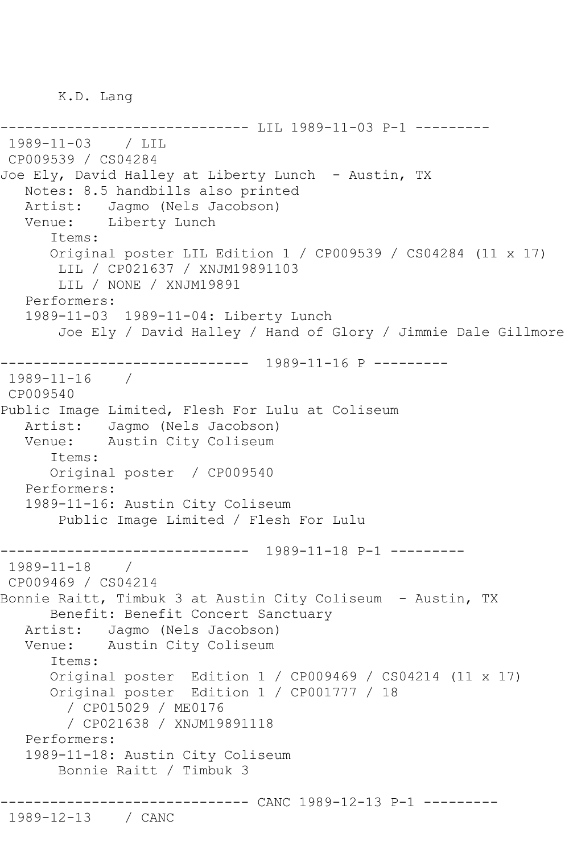K.D. Lang

--------------- LIL 1989-11-03 P-1 ----------1989-11-03 / LIL CP009539 / CS04284 Joe Ely, David Halley at Liberty Lunch - Austin, TX Notes: 8.5 handbills also printed Artist: Jagmo (Nels Jacobson) Venue: Liberty Lunch Items: Original poster LIL Edition 1 / CP009539 / CS04284 (11 x 17) LIL / CP021637 / XNJM19891103 LIL / NONE / XNJM19891 Performers: 1989-11-03 1989-11-04: Liberty Lunch Joe Ely / David Halley / Hand of Glory / Jimmie Dale Gillmore ------------------------------ 1989-11-16 P --------- 1989-11-16 / CP009540 Public Image Limited, Flesh For Lulu at Coliseum Artist: Jagmo (Nels Jacobson) Venue: Austin City Coliseum Items: Original poster / CP009540 Performers: 1989-11-16: Austin City Coliseum Public Image Limited / Flesh For Lulu ------------------------------ 1989-11-18 P-1 --------- 1989-11-18 / CP009469 / CS04214 Bonnie Raitt, Timbuk 3 at Austin City Coliseum - Austin, TX Benefit: Benefit Concert Sanctuary Artist: Jagmo (Nels Jacobson) Venue: Austin City Coliseum Items: Original poster Edition 1 / CP009469 / CS04214 (11 x 17) Original poster Edition 1 / CP001777 / 18 / CP015029 / ME0176 / CP021638 / XNJM19891118 Performers: 1989-11-18: Austin City Coliseum Bonnie Raitt / Timbuk 3 ------------------------------ CANC 1989-12-13 P-1 --------- 1989-12-13 / CANC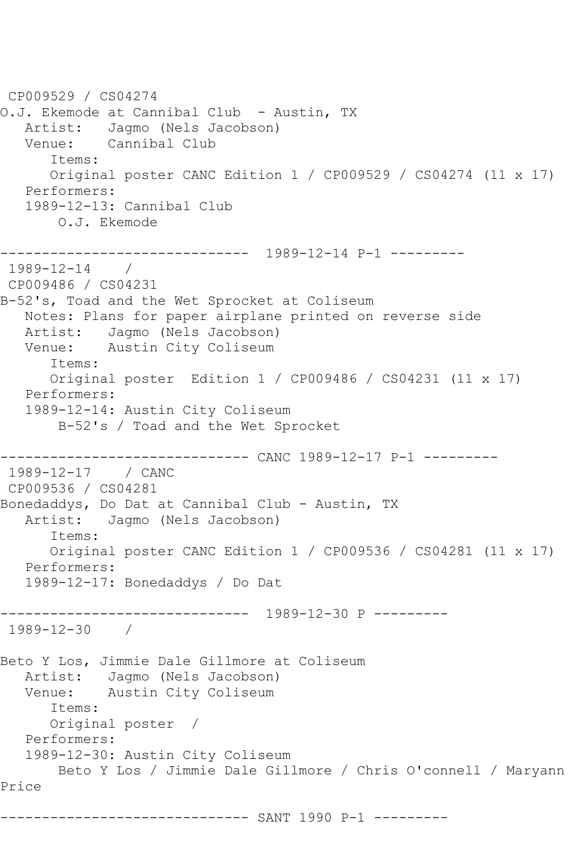CP009529 / CS04274 O.J. Ekemode at Cannibal Club - Austin, TX Artist: Jagmo (Nels Jacobson) Venue: Cannibal Club Items: Original poster CANC Edition 1 / CP009529 / CS04274 (11 x 17) Performers: 1989-12-13: Cannibal Club O.J. Ekemode ------------------------------ 1989-12-14 P-1 --------- 1989-12-14 / CP009486 / CS04231 B-52's, Toad and the Wet Sprocket at Coliseum Notes: Plans for paper airplane printed on reverse side Artist: Jagmo (Nels Jacobson) Venue: Austin City Coliseum Items: Original poster Edition 1 / CP009486 / CS04231 (11 x 17) Performers: 1989-12-14: Austin City Coliseum B-52's / Toad and the Wet Sprocket ------------------------------ CANC 1989-12-17 P-1 --------- 1989-12-17 / CANC CP009536 / CS04281 Bonedaddys, Do Dat at Cannibal Club - Austin, TX Artist: Jagmo (Nels Jacobson) Items: Original poster CANC Edition 1 / CP009536 / CS04281 (11 x 17) Performers: 1989-12-17: Bonedaddys / Do Dat ------------------------------ 1989-12-30 P --------- 1989-12-30 / Beto Y Los, Jimmie Dale Gillmore at Coliseum Artist: Jagmo (Nels Jacobson) Venue: Austin City Coliseum Items: Original poster / Performers: 1989-12-30: Austin City Coliseum Beto Y Los / Jimmie Dale Gillmore / Chris O'connell / Maryann Price ------------------------------ SANT 1990 P-1 ---------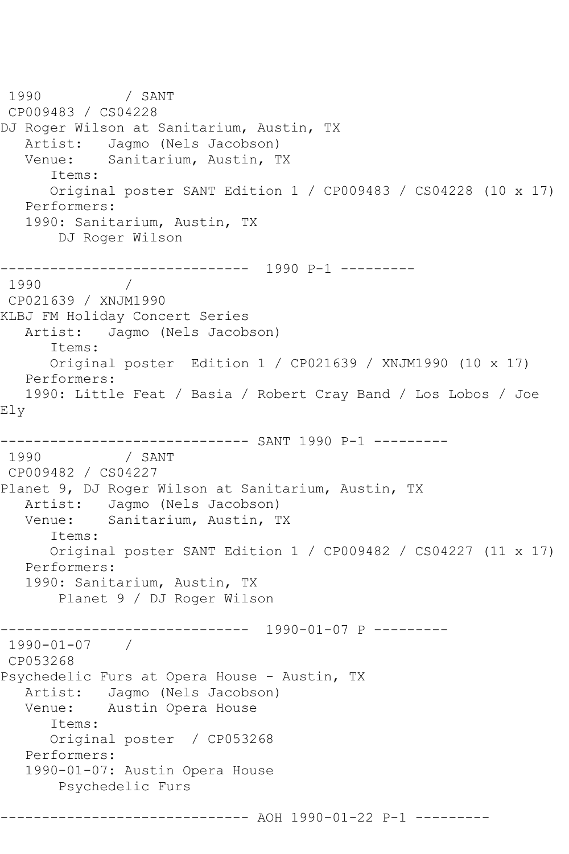1990 / SANT CP009483 / CS04228 DJ Roger Wilson at Sanitarium, Austin, TX Artist: Jagmo (Nels Jacobson)<br>Venue: Sanitarium, Austin, T Sanitarium, Austin, TX Items: Original poster SANT Edition 1 / CP009483 / CS04228 (10 x 17) Performers: 1990: Sanitarium, Austin, TX DJ Roger Wilson ------------------------------ 1990 P-1 --------- 1990 / CP021639 / XNJM1990 KLBJ FM Holiday Concert Series Artist: Jagmo (Nels Jacobson) Items: Original poster Edition 1 / CP021639 / XNJM1990 (10 x 17) Performers: 1990: Little Feat / Basia / Robert Cray Band / Los Lobos / Joe Ely ------------------------------ SANT 1990 P-1 --------- 1990 / SANT CP009482 / CS04227 Planet 9, DJ Roger Wilson at Sanitarium, Austin, TX Artist: Jagmo (Nels Jacobson) Venue: Sanitarium, Austin, TX Items: Original poster SANT Edition 1 / CP009482 / CS04227 (11 x 17) Performers: 1990: Sanitarium, Austin, TX Planet 9 / DJ Roger Wilson ------------------------------ 1990-01-07 P --------- 1990-01-07 / CP053268 Psychedelic Furs at Opera House - Austin, TX Artist: Jagmo (Nels Jacobson)<br>Venue: Austin Opera House Austin Opera House Items: Original poster / CP053268 Performers: 1990-01-07: Austin Opera House Psychedelic Furs ------------------------------ AOH 1990-01-22 P-1 ---------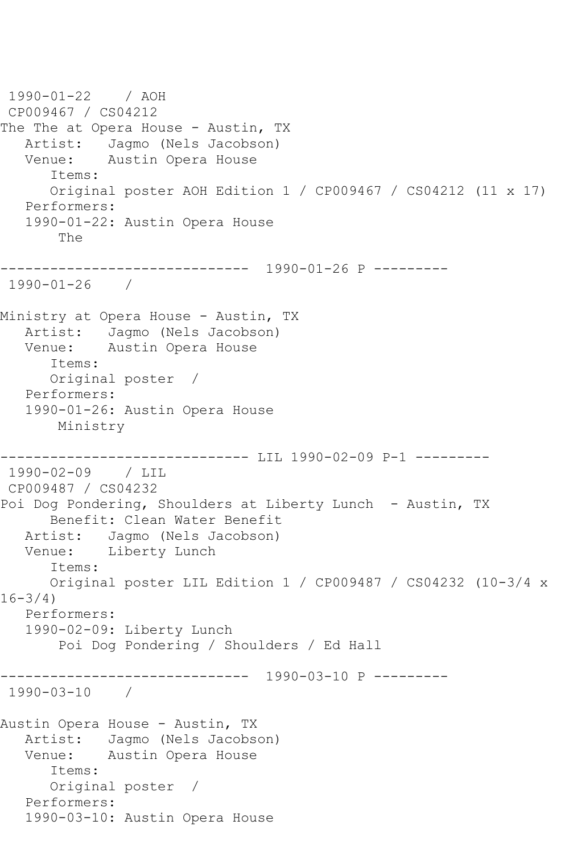```
1990-01-22 / AOH 
CP009467 / CS04212
The The at Opera House - Austin, TX
  Artist: Jagmo (Nels Jacobson)<br>Venue: Austin Opera House
            Austin Opera House
       Items:
       Original poster AOH Edition 1 / CP009467 / CS04212 (11 x 17)
   Performers:
    1990-01-22: Austin Opera House
        The
   ------------------------------ 1990-01-26 P ---------
1990-01-26 / 
Ministry at Opera House - Austin, TX
   Artist: Jagmo (Nels Jacobson)
   Venue: Austin Opera House
       Items:
       Original poster / 
   Performers:
    1990-01-26: Austin Opera House
        Ministry
----------------------------- LIL 1990-02-09 P-1 ----------
1990-02-09 / LIL 
CP009487 / CS04232
Poi Dog Pondering, Shoulders at Liberty Lunch - Austin, TX
       Benefit: Clean Water Benefit
   Artist: Jagmo (Nels Jacobson)
   Venue: Liberty Lunch
       Items:
       Original poster LIL Edition 1 / CP009487 / CS04232 (10-3/4 x 
16 - 3/4 Performers:
    1990-02-09: Liberty Lunch
        Poi Dog Pondering / Shoulders / Ed Hall
     ------------------------------ 1990-03-10 P ---------
1990-03-10 / 
Austin Opera House - Austin, TX
   Artist: Jagmo (Nels Jacobson)
   Venue: Austin Opera House
       Items:
       Original poster / 
   Performers:
    1990-03-10: Austin Opera House
```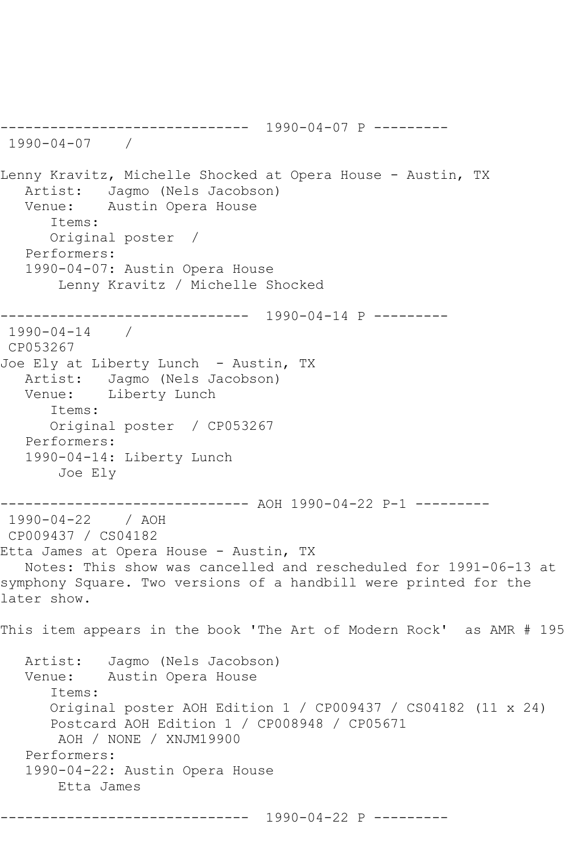------------------------------ 1990-04-07 P --------- 1990-04-07 / Lenny Kravitz, Michelle Shocked at Opera House - Austin, TX Artist: Jagmo (Nels Jacobson) Venue: Austin Opera House Items: Original poster / Performers: 1990-04-07: Austin Opera House Lenny Kravitz / Michelle Shocked ------------------------------ 1990-04-14 P --------- 1990-04-14 / CP053267 Joe Ely at Liberty Lunch - Austin, TX Artist: Jagmo (Nels Jacobson) Venue: Liberty Lunch Items: Original poster / CP053267 Performers: 1990-04-14: Liberty Lunch Joe Ely ------------------------------ AOH 1990-04-22 P-1 --------- 1990-04-22 / AOH CP009437 / CS04182 Etta James at Opera House - Austin, TX Notes: This show was cancelled and rescheduled for 1991-06-13 at symphony Square. Two versions of a handbill were printed for the later show. This item appears in the book 'The Art of Modern Rock' as AMR # 195 Artist: Jagmo (Nels Jacobson) Venue: Austin Opera House Items: Original poster AOH Edition 1 / CP009437 / CS04182 (11 x 24) Postcard AOH Edition 1 / CP008948 / CP05671 AOH / NONE / XNJM19900 Performers: 1990-04-22: Austin Opera House Etta James ------------------------------ 1990-04-22 P ---------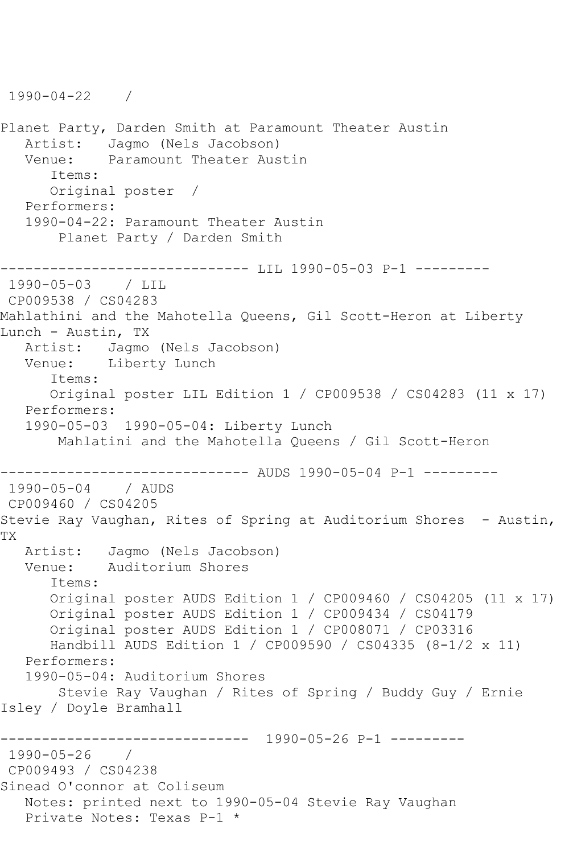1990-04-22 / Planet Party, Darden Smith at Paramount Theater Austin Artist: Jagmo (Nels Jacobson)<br>Venue: Paramount Theater Aus Paramount Theater Austin Items: Original poster / Performers: 1990-04-22: Paramount Theater Austin Planet Party / Darden Smith ------------------------------ LIL 1990-05-03 P-1 --------- 1990-05-03 CP009538 / CS04283 Mahlathini and the Mahotella Queens, Gil Scott-Heron at Liberty Lunch - Austin, TX Artist: Jagmo (Nels Jacobson) Venue: Liberty Lunch Items: Original poster LIL Edition 1 / CP009538 / CS04283 (11 x 17) Performers: 1990-05-03 1990-05-04: Liberty Lunch Mahlatini and the Mahotella Queens / Gil Scott-Heron ------------------ AUDS 1990-05-04 P-1 ----------<br>/ AUDS  $1990 - 05 - 04$ CP009460 / CS04205 Stevie Ray Vaughan, Rites of Spring at Auditorium Shores - Austin, TX Artist: Jagmo (Nels Jacobson) Venue: Auditorium Shores Items: Original poster AUDS Edition 1 / CP009460 / CS04205 (11 x 17) Original poster AUDS Edition 1 / CP009434 / CS04179 Original poster AUDS Edition 1 / CP008071 / CP03316 Handbill AUDS Edition 1 / CP009590 / CS04335 (8-1/2 x 11) Performers: 1990-05-04: Auditorium Shores Stevie Ray Vaughan / Rites of Spring / Buddy Guy / Ernie Isley / Doyle Bramhall ------------------------------ 1990-05-26 P-1 --------- 1990-05-26 / CP009493 / CS04238 Sinead O'connor at Coliseum Notes: printed next to 1990-05-04 Stevie Ray Vaughan Private Notes: Texas P-1 \*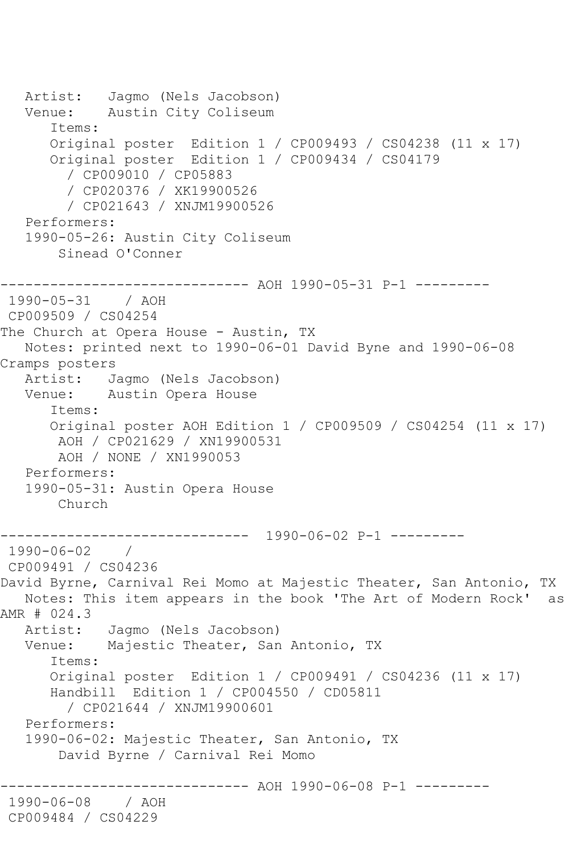```
 Artist: Jagmo (Nels Jacobson)
   Venue: Austin City Coliseum
       Items:
       Original poster Edition 1 / CP009493 / CS04238 (11 x 17)
       Original poster Edition 1 / CP009434 / CS04179
         / CP009010 / CP05883
         / CP020376 / XK19900526
         / CP021643 / XNJM19900526
    Performers:
    1990-05-26: Austin City Coliseum
        Sinead O'Conner
                ------------------------------ AOH 1990-05-31 P-1 ---------
1990-05-31 / AOH 
CP009509 / CS04254
The Church at Opera House - Austin, TX
   Notes: printed next to 1990-06-01 David Byne and 1990-06-08 
Cramps posters<br>Artist: J
            Jagmo (Nels Jacobson)
   Venue: Austin Opera House
       Items:
       Original poster AOH Edition 1 / CP009509 / CS04254 (11 x 17)
        AOH / CP021629 / XN19900531
        AOH / NONE / XN1990053
    Performers:
    1990-05-31: Austin Opera House
        Church
                  ------------------------------ 1990-06-02 P-1 ---------
1990-06-02 / 
CP009491 / CS04236
David Byrne, Carnival Rei Momo at Majestic Theater, San Antonio, TX
   Notes: This item appears in the book 'The Art of Modern Rock' as 
AMR # 024.3
   Artist: Jagmo (Nels Jacobson)
   Venue: Majestic Theater, San Antonio, TX
       Items:
       Original poster Edition 1 / CP009491 / CS04236 (11 x 17)
       Handbill Edition 1 / CP004550 / CD05811
         / CP021644 / XNJM19900601
   Performers:
    1990-06-02: Majestic Theater, San Antonio, TX
        David Byrne / Carnival Rei Momo
                      ------------------------------ AOH 1990-06-08 P-1 ---------
1990-06-08 / AOH 
CP009484 / CS04229
```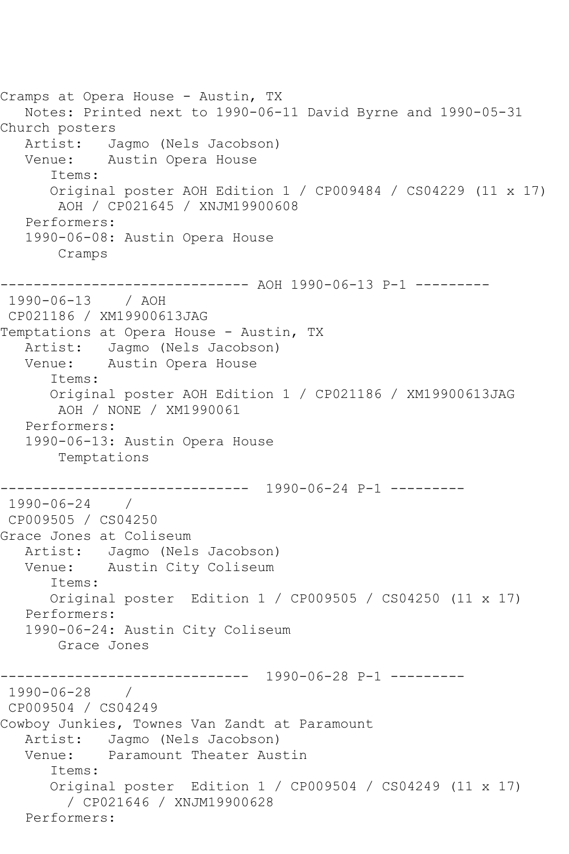```
Cramps at Opera House - Austin, TX
   Notes: Printed next to 1990-06-11 David Byrne and 1990-05-31 
Church posters
  Artist: Jagmo (Nels Jacobson)<br>Venue: Austin Opera House
            Austin Opera House
       Items:
       Original poster AOH Edition 1 / CP009484 / CS04229 (11 x 17)
        AOH / CP021645 / XNJM19900608
    Performers:
    1990-06-08: Austin Opera House
        Cramps
------------------------------ AOH 1990-06-13 P-1 ---------
1990-06-13 / AOH 
CP021186 / XM19900613JAG
Temptations at Opera House - Austin, TX
   Artist: Jagmo (Nels Jacobson)
   Venue: Austin Opera House
       Items:
       Original poster AOH Edition 1 / CP021186 / XM19900613JAG
        AOH / NONE / XM1990061
    Performers:
    1990-06-13: Austin Opera House
        Temptations
         ------------------------------ 1990-06-24 P-1 ---------
1990-06-24 / 
CP009505 / CS04250
Grace Jones at Coliseum
   Artist: Jagmo (Nels Jacobson)
   Venue: Austin City Coliseum
       Items:
       Original poster Edition 1 / CP009505 / CS04250 (11 x 17)
    Performers:
    1990-06-24: Austin City Coliseum
        Grace Jones
             ------------------------------ 1990-06-28 P-1 ---------
1990-06-28 / 
CP009504 / CS04249
Cowboy Junkies, Townes Van Zandt at Paramount
    Artist: Jagmo (Nels Jacobson)
   Venue: Paramount Theater Austin
       Items:
       Original poster Edition 1 / CP009504 / CS04249 (11 x 17)
         / CP021646 / XNJM19900628
   Performers:
```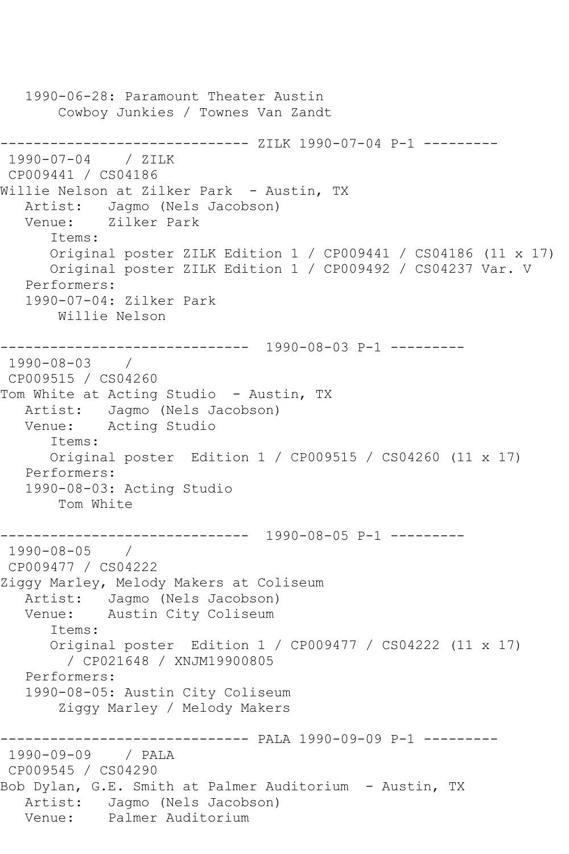```
 1990-06-28: Paramount Theater Austin
        Cowboy Junkies / Townes Van Zandt
                   ------------ ZILK 1990-07-04 P-1 ---------
1990-07-04 / ZILK 
CP009441 / CS04186
Willie Nelson at Zilker Park - Austin, TX
    Artist: Jagmo (Nels Jacobson)
    Venue: Zilker Park
       Items:
       Original poster ZILK Edition 1 / CP009441 / CS04186 (11 x 17)
       Original poster ZILK Edition 1 / CP009492 / CS04237 Var. V
    Performers:
    1990-07-04: Zilker Park
        Willie Nelson
              ------------------------------ 1990-08-03 P-1 ---------
1990-08-03 / 
CP009515 / CS04260
Tom White at Acting Studio - Austin, TX
    Artist: Jagmo (Nels Jacobson)
    Venue: Acting Studio
       Items:
       Original poster Edition 1 / CP009515 / CS04260 (11 x 17)
    Performers:
    1990-08-03: Acting Studio
        Tom White
        ------------------------------ 1990-08-05 P-1 ---------
1990-08-05 / 
CP009477 / CS04222
Ziggy Marley, Melody Makers at Coliseum
   Artist: Jagmo (Nels Jacobson)<br>Venue: Austin City Coliseum
            Austin City Coliseum
       Items:
       Original poster Edition 1 / CP009477 / CS04222 (11 x 17)
         / CP021648 / XNJM19900805
    Performers:
    1990-08-05: Austin City Coliseum
        Ziggy Marley / Melody Makers
                    ------------------------------ PALA 1990-09-09 P-1 ---------
1990-09-09 / PALA 
CP009545 / CS04290
Bob Dylan, G.E. Smith at Palmer Auditorium - Austin, TX
  Artist: Jagmo (Nels Jacobson)<br>Venue: Palmer Auditorium
            Palmer Auditorium
```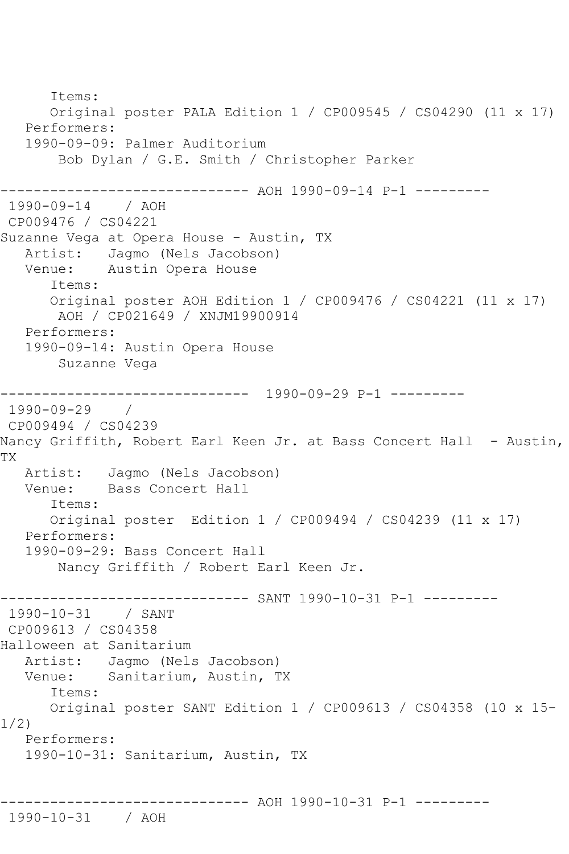Items: Original poster PALA Edition 1 / CP009545 / CS04290 (11 x 17) Performers: 1990-09-09: Palmer Auditorium Bob Dylan / G.E. Smith / Christopher Parker ------------------------------ AOH 1990-09-14 P-1 --------- 1990-09-14 / AOH CP009476 / CS04221 Suzanne Vega at Opera House - Austin, TX Artist: Jagmo (Nels Jacobson)<br>Venue: Austin Opera House Austin Opera House Items: Original poster AOH Edition 1 / CP009476 / CS04221 (11 x 17) AOH / CP021649 / XNJM19900914 Performers: 1990-09-14: Austin Opera House Suzanne Vega ------------------------------ 1990-09-29 P-1 --------- 1990-09-29 / CP009494 / CS04239 Nancy Griffith, Robert Earl Keen Jr. at Bass Concert Hall - Austin, TX Artist: Jagmo (Nels Jacobson)<br>Venue: Bass Concert Hall Bass Concert Hall Items: Original poster Edition 1 / CP009494 / CS04239 (11 x 17) Performers: 1990-09-29: Bass Concert Hall Nancy Griffith / Robert Earl Keen Jr. ------------------------------ SANT 1990-10-31 P-1 ---------  $1990 - 10 - 31$ CP009613 / CS04358 Halloween at Sanitarium Artist: Jagmo (Nels Jacobson) Venue: Sanitarium, Austin, TX Items: Original poster SANT Edition 1 / CP009613 / CS04358 (10 x 15- 1/2) Performers: 1990-10-31: Sanitarium, Austin, TX ------------------------------ AOH 1990-10-31 P-1 --------- 1990-10-31 / AOH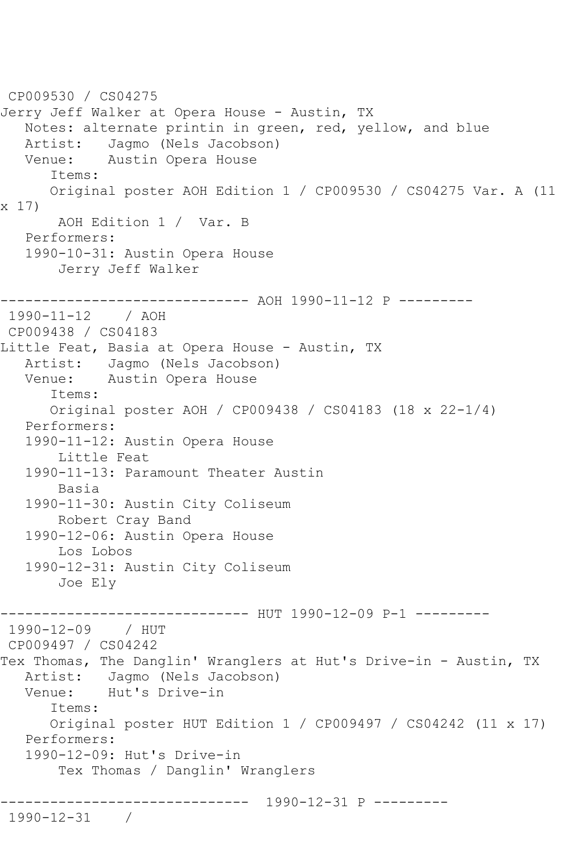```
CP009530 / CS04275
Jerry Jeff Walker at Opera House - Austin, TX
   Notes: alternate printin in green, red, yellow, and blue
  Artist: Jagmo (Nels Jacobson)<br>Venue: Austin Opera House
            Austin Opera House
       Items:
       Original poster AOH Edition 1 / CP009530 / CS04275 Var. A (11 
x 17)
        AOH Edition 1 / Var. B
    Performers:
    1990-10-31: Austin Opera House
        Jerry Jeff Walker
------------------------------ AOH 1990-11-12 P ---------
1990-11-12 / AOH 
CP009438 / CS04183
Little Feat, Basia at Opera House - Austin, TX
   Artist: Jagmo (Nels Jacobson)
   Venue: Austin Opera House
       Items:
       Original poster AOH / CP009438 / CS04183 (18 x 22-1/4)
    Performers:
    1990-11-12: Austin Opera House
        Little Feat
   1990-11-13: Paramount Theater Austin
        Basia
    1990-11-30: Austin City Coliseum
        Robert Cray Band
    1990-12-06: Austin Opera House
        Los Lobos
    1990-12-31: Austin City Coliseum
        Joe Ely
       ------------------------------ HUT 1990-12-09 P-1 ---------
1990-12-09 / HUT 
CP009497 / CS04242
Tex Thomas, The Danglin' Wranglers at Hut's Drive-in - Austin, TX
   Artist: Jagmo (Nels Jacobson)
   Venue: Hut's Drive-in
       Items:
       Original poster HUT Edition 1 / CP009497 / CS04242 (11 x 17)
   Performers:
    1990-12-09: Hut's Drive-in
        Tex Thomas / Danglin' Wranglers
         ------------------------------ 1990-12-31 P ---------
1990-12-31 /
```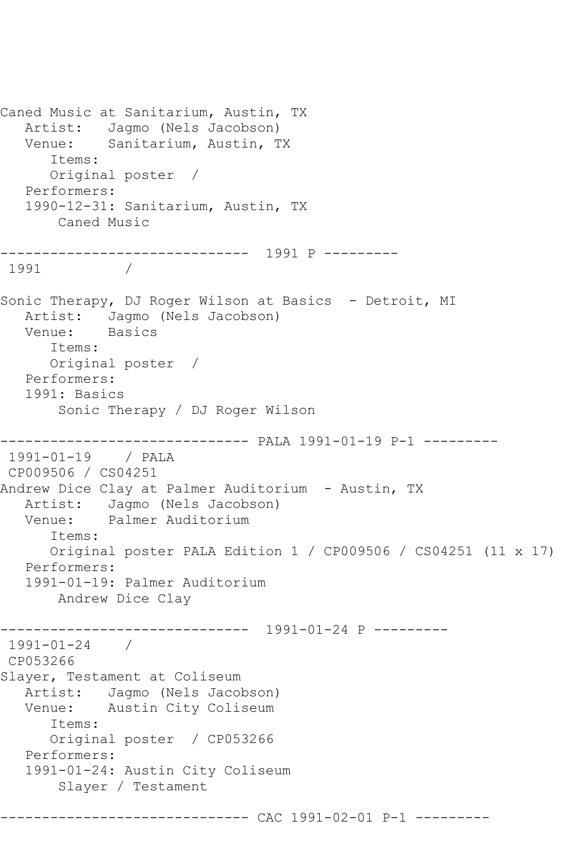Caned Music at Sanitarium, Austin, TX Artist: Jagmo (Nels Jacobson) Venue: Sanitarium, Austin, TX Items: Original poster / Performers: 1990-12-31: Sanitarium, Austin, TX Caned Music ------------------------------ 1991 P --------- 1991 / Sonic Therapy, DJ Roger Wilson at Basics - Detroit, MI Artist: Jagmo (Nels Jacobson)<br>Venue: Basics Basics Items: Original poster / Performers: 1991: Basics Sonic Therapy / DJ Roger Wilson ------------------------------ PALA 1991-01-19 P-1 --------- 1991-01-19 / PALA CP009506 / CS04251 Andrew Dice Clay at Palmer Auditorium - Austin, TX Artist: Jagmo (Nels Jacobson)<br>Venue: Palmer Auditorium Palmer Auditorium Items: Original poster PALA Edition 1 / CP009506 / CS04251 (11 x 17) Performers: 1991-01-19: Palmer Auditorium Andrew Dice Clay ------------------------------ 1991-01-24 P --------- 1991-01-24 / CP053266 Slayer, Testament at Coliseum Artist: Jagmo (Nels Jacobson)<br>Venue: Austin City Coliseum Austin City Coliseum Items: Original poster / CP053266 Performers: 1991-01-24: Austin City Coliseum Slayer / Testament ------------------------------ CAC 1991-02-01 P-1 ---------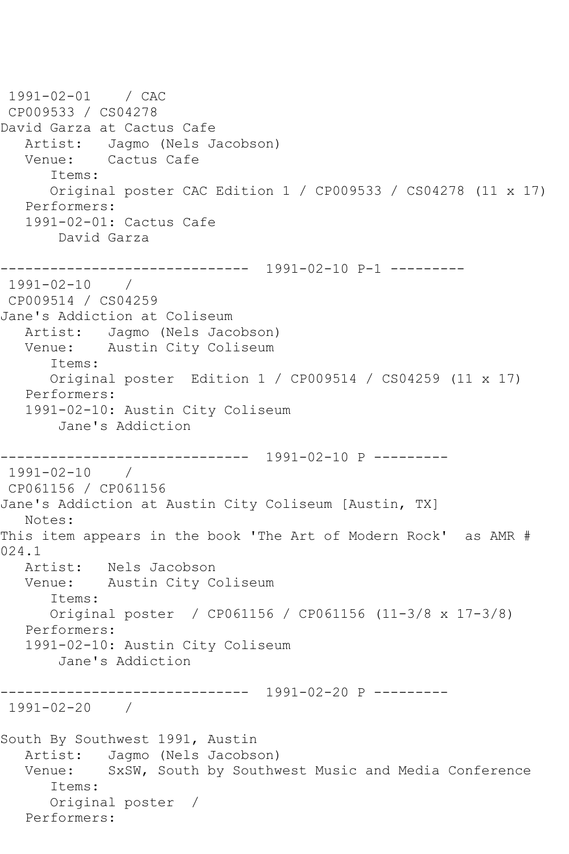1991-02-01 / CAC CP009533 / CS04278 David Garza at Cactus Cafe Artist: Jagmo (Nels Jacobson)<br>Venue: Cactus Cafe Cactus Cafe Items: Original poster CAC Edition 1 / CP009533 / CS04278 (11 x 17) Performers: 1991-02-01: Cactus Cafe David Garza ------------------------------ 1991-02-10 P-1 ---------  $1991 - 02 - 10$ CP009514 / CS04259 Jane's Addiction at Coliseum Artist: Jagmo (Nels Jacobson) Venue: Austin City Coliseum Items: Original poster Edition 1 / CP009514 / CS04259 (11 x 17) Performers: 1991-02-10: Austin City Coliseum Jane's Addiction ------------------------------ 1991-02-10 P --------- 1991-02-10 / CP061156 / CP061156 Jane's Addiction at Austin City Coliseum [Austin, TX] Notes: This item appears in the book 'The Art of Modern Rock' as AMR # 024.1<br>Artist: Nels Jacobson Venue: Austin City Coliseum Items: Original poster / CP061156 / CP061156 (11-3/8 x 17-3/8) Performers: 1991-02-10: Austin City Coliseum Jane's Addiction ------------------------------ 1991-02-20 P --------- 1991-02-20 / South By Southwest 1991, Austin Artist: Jagmo (Nels Jacobson) Venue: SxSW, South by Southwest Music and Media Conference Items: Original poster / Performers: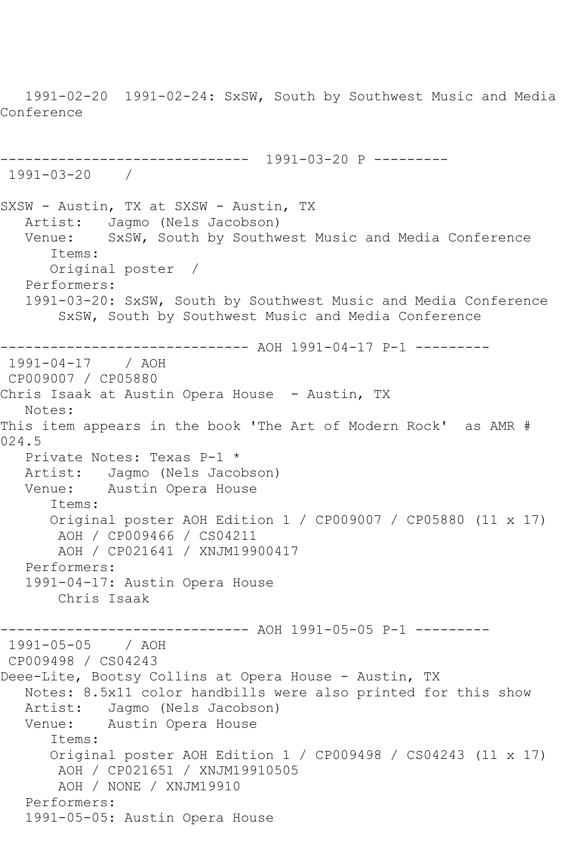1991-02-20 1991-02-24: SxSW, South by Southwest Music and Media Conference ------------------------------ 1991-03-20 P --------- 1991-03-20 / SXSW - Austin, TX at SXSW - Austin, TX Artist: Jagmo (Nels Jacobson) Venue: SxSW, South by Southwest Music and Media Conference Items: Original poster / Performers: 1991-03-20: SxSW, South by Southwest Music and Media Conference SxSW, South by Southwest Music and Media Conference ------------------------------ AOH 1991-04-17 P-1 --------- 1991-04-17 / AOH CP009007 / CP05880 Chris Isaak at Austin Opera House - Austin, TX Notes: This item appears in the book 'The Art of Modern Rock' as AMR # 024.5 Private Notes: Texas P-1 \* Artist: Jagmo (Nels Jacobson)<br>Venue: Austin Opera House Austin Opera House Items: Original poster AOH Edition 1 / CP009007 / CP05880 (11 x 17) AOH / CP009466 / CS04211 AOH / CP021641 / XNJM19900417 Performers: 1991-04-17: Austin Opera House Chris Isaak ---------- AOH 1991-05-05 P-1 ---------1991-05-05 / AOH CP009498 / CS04243 Deee-Lite, Bootsy Collins at Opera House - Austin, TX Notes: 8.5x11 color handbills were also printed for this show Artist: Jagmo (Nels Jacobson) Venue: Austin Opera House Items: Original poster AOH Edition 1 / CP009498 / CS04243 (11 x 17) AOH / CP021651 / XNJM19910505 AOH / NONE / XNJM19910 Performers: 1991-05-05: Austin Opera House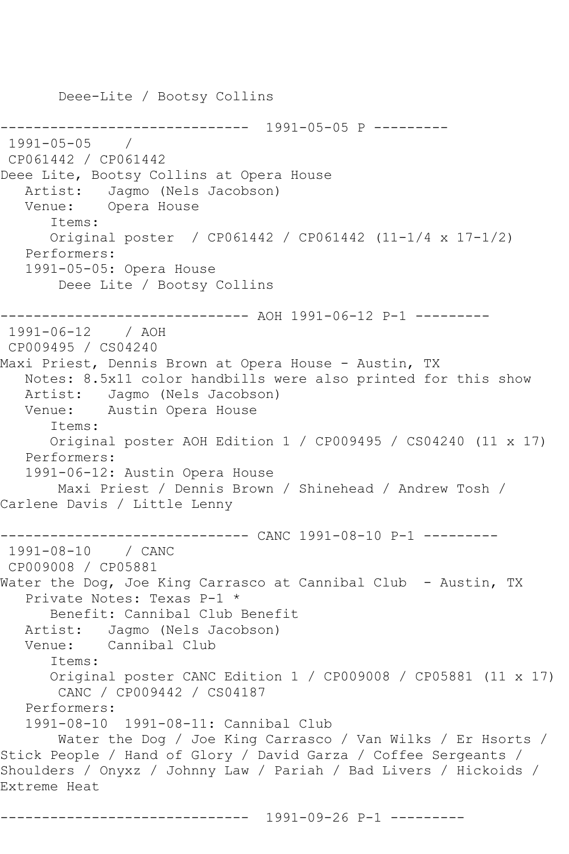Deee-Lite / Bootsy Collins ------------------------------ 1991-05-05 P --------- 1991-05-05 / CP061442 / CP061442 Deee Lite, Bootsy Collins at Opera House Artist: Jagmo (Nels Jacobson) Venue: Opera House Items: Original poster / CP061442 / CP061442 (11-1/4 x 17-1/2) Performers: 1991-05-05: Opera House Deee Lite / Bootsy Collins ------------------------------ AOH 1991-06-12 P-1 --------- 1991-06-12 / AOH CP009495 / CS04240 Maxi Priest, Dennis Brown at Opera House - Austin, TX Notes: 8.5x11 color handbills were also printed for this show Artist: Jagmo (Nels Jacobson)<br>Venue: Austin Opera House Austin Opera House Items: Original poster AOH Edition 1 / CP009495 / CS04240 (11 x 17) Performers: 1991-06-12: Austin Opera House Maxi Priest / Dennis Brown / Shinehead / Andrew Tosh / Carlene Davis / Little Lenny ------------------------------ CANC 1991-08-10 P-1 --------- 1991-08-10 / CANC CP009008 / CP05881 Water the Dog, Joe King Carrasco at Cannibal Club - Austin, TX Private Notes: Texas P-1 \* Benefit: Cannibal Club Benefit Artist: Jagmo (Nels Jacobson) Venue: Cannibal Club Items: Original poster CANC Edition 1 / CP009008 / CP05881 (11 x 17) CANC / CP009442 / CS04187 Performers: 1991-08-10 1991-08-11: Cannibal Club Water the Dog / Joe King Carrasco / Van Wilks / Er Hsorts / Stick People / Hand of Glory / David Garza / Coffee Sergeants / Shoulders / Onyxz / Johnny Law / Pariah / Bad Livers / Hickoids / Extreme Heat

------------------------------ 1991-09-26 P-1 ---------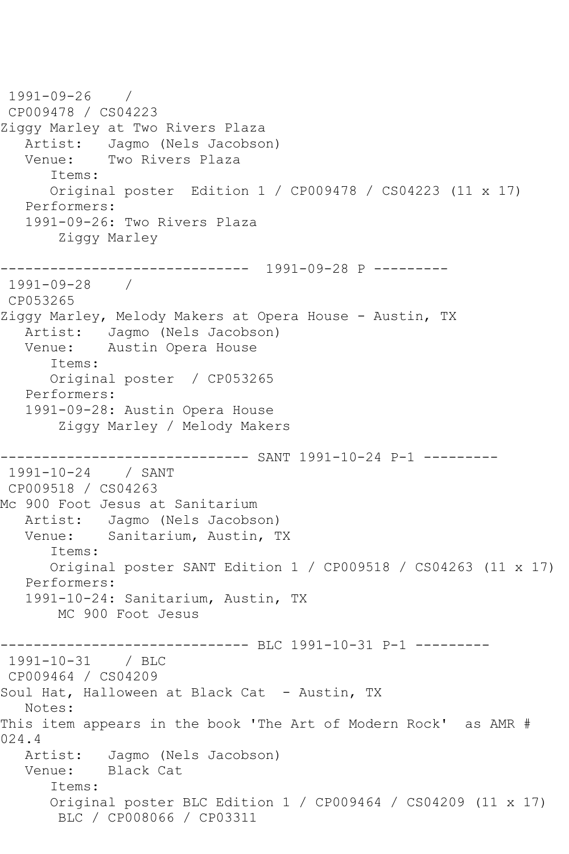1991-09-26 / CP009478 / CS04223 Ziggy Marley at Two Rivers Plaza Artist: Jagmo (Nels Jacobson)<br>Venue: Two Rivers Plaza Two Rivers Plaza Items: Original poster Edition 1 / CP009478 / CS04223 (11 x 17) Performers: 1991-09-26: Two Rivers Plaza Ziggy Marley ------------------------------ 1991-09-28 P --------- 1991-09-28 / CP053265 Ziggy Marley, Melody Makers at Opera House - Austin, TX Artist: Jagmo (Nels Jacobson) Venue: Austin Opera House Items: Original poster / CP053265 Performers: 1991-09-28: Austin Opera House Ziggy Marley / Melody Makers ------------------------------ SANT 1991-10-24 P-1 --------- 1991-10-24 / SANT CP009518 / CS04263 Mc 900 Foot Jesus at Sanitarium Artist: Jagmo (Nels Jacobson) Venue: Sanitarium, Austin, TX Items: Original poster SANT Edition 1 / CP009518 / CS04263 (11 x 17) Performers: 1991-10-24: Sanitarium, Austin, TX MC 900 Foot Jesus ------------------------------ BLC 1991-10-31 P-1 --------- 1991-10-31 / BLC CP009464 / CS04209 Soul Hat, Halloween at Black Cat - Austin, TX Notes: This item appears in the book 'The Art of Modern Rock' as AMR # 024.4 Artist: Jagmo (Nels Jacobson)<br>Venue: Black Cat Black Cat Items: Original poster BLC Edition 1 / CP009464 / CS04209 (11 x 17) BLC / CP008066 / CP03311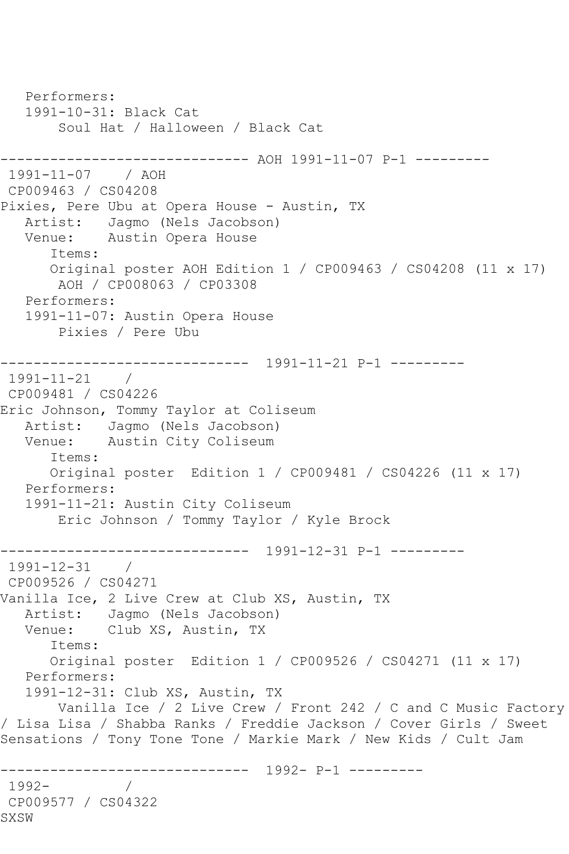Performers: 1991-10-31: Black Cat Soul Hat / Halloween / Black Cat ------------------------------ AOH 1991-11-07 P-1 --------- 1991-11-07 / AOH CP009463 / CS04208 Pixies, Pere Ubu at Opera House - Austin, TX Artist: Jagmo (Nels Jacobson) Venue: Austin Opera House Items: Original poster AOH Edition 1 / CP009463 / CS04208 (11 x 17) AOH / CP008063 / CP03308 Performers: 1991-11-07: Austin Opera House Pixies / Pere Ubu ------------------------------ 1991-11-21 P-1 --------- 1991-11-21 / CP009481 / CS04226 Eric Johnson, Tommy Taylor at Coliseum Artist: Jagmo (Nels Jacobson) Venue: Austin City Coliseum Items: Original poster Edition 1 / CP009481 / CS04226 (11 x 17) Performers: 1991-11-21: Austin City Coliseum Eric Johnson / Tommy Taylor / Kyle Brock ------------------------------ 1991-12-31 P-1 --------- 1991-12-31 / CP009526 / CS04271 Vanilla Ice, 2 Live Crew at Club XS, Austin, TX Artist: Jagmo (Nels Jacobson) Venue: Club XS, Austin, TX Items: Original poster Edition 1 / CP009526 / CS04271 (11 x 17) Performers: 1991-12-31: Club XS, Austin, TX Vanilla Ice / 2 Live Crew / Front 242 / C and C Music Factory / Lisa Lisa / Shabba Ranks / Freddie Jackson / Cover Girls / Sweet Sensations / Tony Tone Tone / Markie Mark / New Kids / Cult Jam ------------------------------ 1992- P-1 --------- 1992- / CP009577 / CS04322 SXSW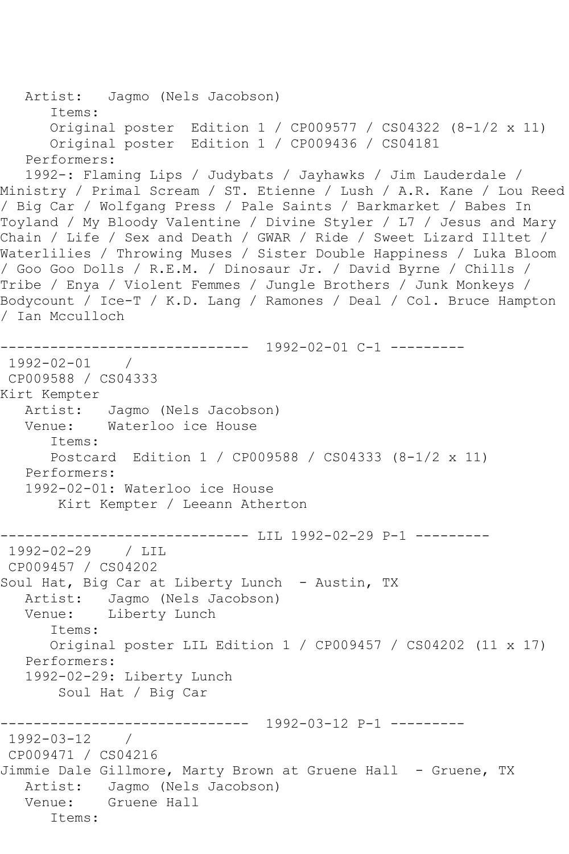```
 Artist: Jagmo (Nels Jacobson)
       Items:
       Original poster Edition 1 / CP009577 / CS04322 (8-1/2 x 11)
       Original poster Edition 1 / CP009436 / CS04181
    Performers:
    1992-: Flaming Lips / Judybats / Jayhawks / Jim Lauderdale / 
Ministry / Primal Scream / ST. Etienne / Lush / A.R. Kane / Lou Reed 
/ Big Car / Wolfgang Press / Pale Saints / Barkmarket / Babes In 
Toyland / My Bloody Valentine / Divine Styler / L7 / Jesus and Mary 
Chain / Life / Sex and Death / GWAR / Ride / Sweet Lizard Illtet / 
Waterlilies / Throwing Muses / Sister Double Happiness / Luka Bloom 
/ Goo Goo Dolls / R.E.M. / Dinosaur Jr. / David Byrne / Chills / 
Tribe / Enya / Violent Femmes / Jungle Brothers / Junk Monkeys / 
Bodycount / Ice-T / K.D. Lang / Ramones / Deal / Col. Bruce Hampton 
/ Ian Mcculloch
------------------------------ 1992-02-01 C-1 ---------
1992-02-01 / 
CP009588 / CS04333
Kirt Kempter
   Artist: Jagmo (Nels Jacobson)
   Venue: Waterloo ice House
       Items:
       Postcard Edition 1 / CP009588 / CS04333 (8-1/2 x 11)
   Performers:
    1992-02-01: Waterloo ice House
        Kirt Kempter / Leeann Atherton
                 ------------------------------ LIL 1992-02-29 P-1 ---------
1992-02-29 / LIL 
CP009457 / CS04202
Soul Hat, Big Car at Liberty Lunch - Austin, TX
  Artist: Jagmo (Nels Jacobson)<br>Venue: Liberty Lunch
            Liberty Lunch
       Items:
       Original poster LIL Edition 1 / CP009457 / CS04202 (11 x 17)
   Performers:
    1992-02-29: Liberty Lunch
        Soul Hat / Big Car
                  ------------------------------ 1992-03-12 P-1 ---------
1992-03-12 / 
CP009471 / CS04216
Jimmie Dale Gillmore, Marty Brown at Gruene Hall - Gruene, TX
   Artist: Jagmo (Nels Jacobson)
   Venue: Gruene Hall
       Items:
```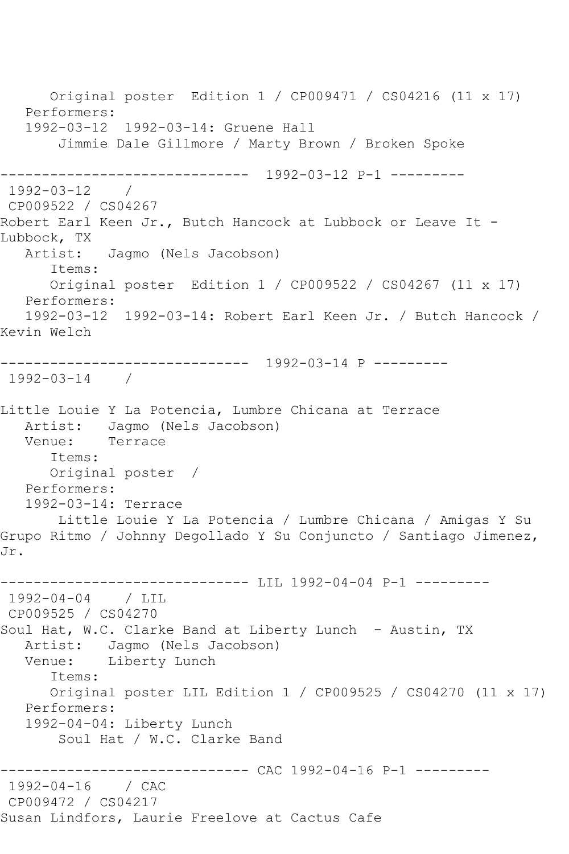Original poster Edition 1 / CP009471 / CS04216 (11 x 17) Performers: 1992-03-12 1992-03-14: Gruene Hall Jimmie Dale Gillmore / Marty Brown / Broken Spoke ------------------------------ 1992-03-12 P-1 --------- 1992-03-12 / CP009522 / CS04267 Robert Earl Keen Jr., Butch Hancock at Lubbock or Leave It -Lubbock, TX<br>Artist: Jagmo (Nels Jacobson) Items: Original poster Edition 1 / CP009522 / CS04267 (11 x 17) Performers: 1992-03-12 1992-03-14: Robert Earl Keen Jr. / Butch Hancock / Kevin Welch ------------------------------ 1992-03-14 P --------- 1992-03-14 / Little Louie Y La Potencia, Lumbre Chicana at Terrace Artist: Jagmo (Nels Jacobson) Venue: Terrace Items: Original poster / Performers: 1992-03-14: Terrace Little Louie Y La Potencia / Lumbre Chicana / Amigas Y Su Grupo Ritmo / Johnny Degollado Y Su Conjuncto / Santiago Jimenez, Jr. ------------------------------ LIL 1992-04-04 P-1 --------- 1992-04-04 / LIL CP009525 / CS04270 Soul Hat, W.C. Clarke Band at Liberty Lunch - Austin, TX Artist: Jagmo (Nels Jacobson)<br>Venue: Liberty Lunch Liberty Lunch Items: Original poster LIL Edition 1 / CP009525 / CS04270 (11 x 17) Performers: 1992-04-04: Liberty Lunch Soul Hat / W.C. Clarke Band ------------- CAC 1992-04-16 P-1 ---------1992-04-16 / CAC CP009472 / CS04217 Susan Lindfors, Laurie Freelove at Cactus Cafe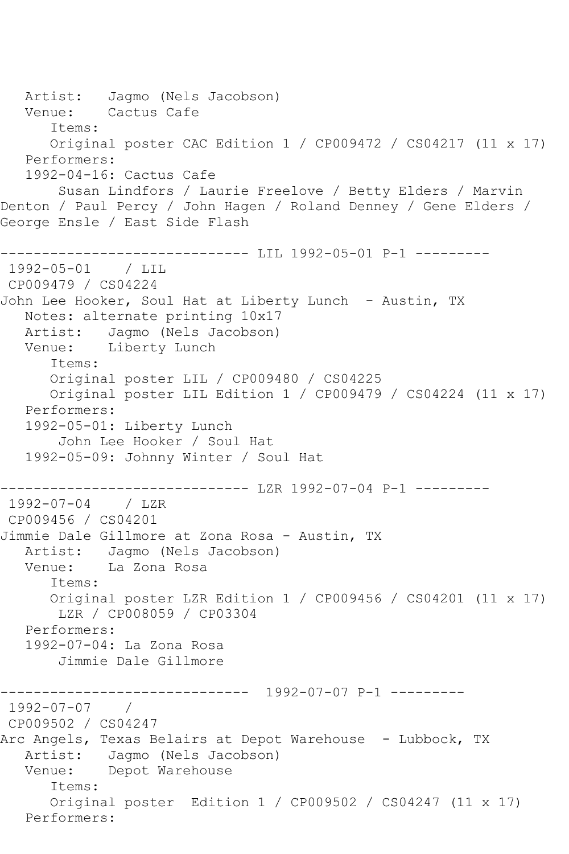Artist: Jagmo (Nels Jacobson) Venue: Cactus Cafe Items: Original poster CAC Edition 1 / CP009472 / CS04217 (11 x 17) Performers: 1992-04-16: Cactus Cafe Susan Lindfors / Laurie Freelove / Betty Elders / Marvin Denton / Paul Percy / John Hagen / Roland Denney / Gene Elders / George Ensle / East Side Flash ----------------------------- LIL 1992-05-01 P-1 ---------1992-05-01 / LIL CP009479 / CS04224 John Lee Hooker, Soul Hat at Liberty Lunch - Austin, TX Notes: alternate printing 10x17 Artist: Jagmo (Nels Jacobson) Venue: Liberty Lunch Items: Original poster LIL / CP009480 / CS04225 Original poster LIL Edition 1 / CP009479 / CS04224 (11 x 17) Performers: 1992-05-01: Liberty Lunch John Lee Hooker / Soul Hat 1992-05-09: Johnny Winter / Soul Hat ------------------------------ LZR 1992-07-04 P-1 --------- 1992-07-04 / LZR CP009456 / CS04201 Jimmie Dale Gillmore at Zona Rosa - Austin, TX Artist: Jagmo (Nels Jacobson)<br>Venue: La Zona Rosa La Zona Rosa Items: Original poster LZR Edition 1 / CP009456 / CS04201 (11 x 17) LZR / CP008059 / CP03304 Performers: 1992-07-04: La Zona Rosa Jimmie Dale Gillmore ------------------------------ 1992-07-07 P-1 ---------  $1992 - 07 - 07$ CP009502 / CS04247 Arc Angels, Texas Belairs at Depot Warehouse - Lubbock, TX Artist: Jagmo (Nels Jacobson) Venue: Depot Warehouse Items: Original poster Edition 1 / CP009502 / CS04247 (11 x 17) Performers: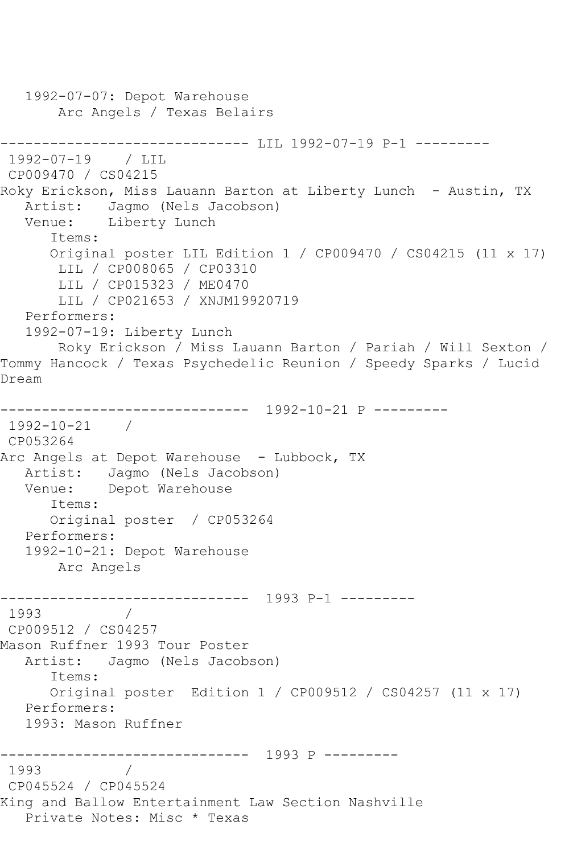1992-07-07: Depot Warehouse Arc Angels / Texas Belairs ------------------------------ LIL 1992-07-19 P-1 --------- 1992-07-19 / LIL CP009470 / CS04215 Roky Erickson, Miss Lauann Barton at Liberty Lunch - Austin, TX Artist: Jagmo (Nels Jacobson) Venue: Liberty Lunch Items: Original poster LIL Edition 1 / CP009470 / CS04215 (11 x 17) LIL / CP008065 / CP03310 LIL / CP015323 / ME0470 LIL / CP021653 / XNJM19920719 Performers: 1992-07-19: Liberty Lunch Roky Erickson / Miss Lauann Barton / Pariah / Will Sexton / Tommy Hancock / Texas Psychedelic Reunion / Speedy Sparks / Lucid Dream ------------------------------ 1992-10-21 P --------- 1992-10-21 / CP053264 Arc Angels at Depot Warehouse - Lubbock, TX Artist: Jagmo (Nels Jacobson) Venue: Depot Warehouse Items: Original poster / CP053264 Performers: 1992-10-21: Depot Warehouse Arc Angels ------------------------------ 1993 P-1 --------- 1993 / CP009512 / CS04257 Mason Ruffner 1993 Tour Poster Artist: Jagmo (Nels Jacobson) Items: Original poster Edition 1 / CP009512 / CS04257 (11 x 17) Performers: 1993: Mason Ruffner ------------------------------ 1993 P --------- 1993 / CP045524 / CP045524 King and Ballow Entertainment Law Section Nashville Private Notes: Misc \* Texas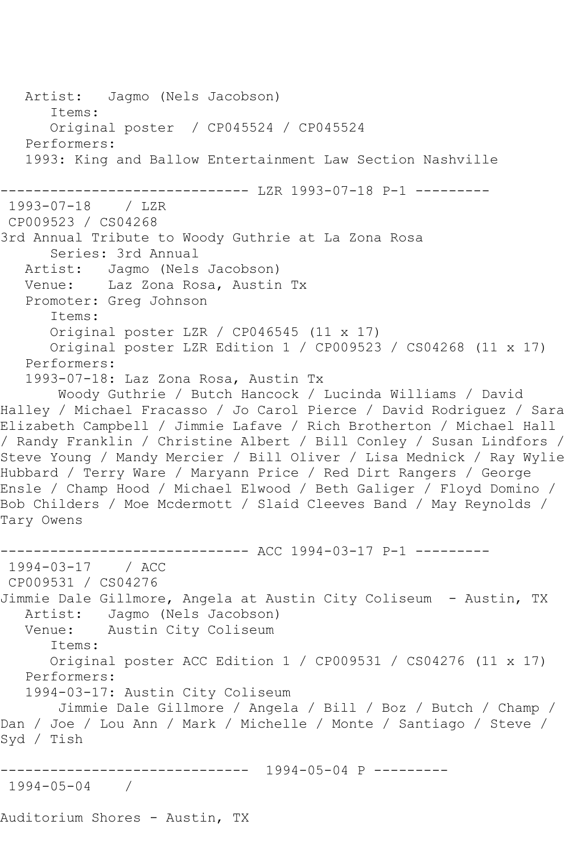```
 Artist: Jagmo (Nels Jacobson)
       Items:
       Original poster / CP045524 / CP045524
   Performers:
   1993: King and Ballow Entertainment Law Section Nashville
       ------------------------------ LZR 1993-07-18 P-1 ---------
1993-07-18 / LZR 
CP009523 / CS04268
3rd Annual Tribute to Woody Guthrie at La Zona Rosa
       Series: 3rd Annual
   Artist: Jagmo (Nels Jacobson)
   Venue: Laz Zona Rosa, Austin Tx
   Promoter: Greg Johnson
       Items:
       Original poster LZR / CP046545 (11 x 17)
      Original poster LZR Edition 1 / CP009523 / CS04268 (11 x 17)
   Performers:
   1993-07-18: Laz Zona Rosa, Austin Tx
       Woody Guthrie / Butch Hancock / Lucinda Williams / David 
Halley / Michael Fracasso / Jo Carol Pierce / David Rodriguez / Sara 
Elizabeth Campbell / Jimmie Lafave / Rich Brotherton / Michael Hall 
/ Randy Franklin / Christine Albert / Bill Conley / Susan Lindfors / 
Steve Young / Mandy Mercier / Bill Oliver / Lisa Mednick / Ray Wylie 
Hubbard / Terry Ware / Maryann Price / Red Dirt Rangers / George 
Ensle / Champ Hood / Michael Elwood / Beth Galiger / Floyd Domino / 
Bob Childers / Moe Mcdermott / Slaid Cleeves Band / May Reynolds / 
Tary Owens
------------------------------ ACC 1994-03-17 P-1 ---------
1994-03-17 / ACC 
CP009531 / CS04276
Jimmie Dale Gillmore, Angela at Austin City Coliseum - Austin, TX
   Artist: Jagmo (Nels Jacobson)
   Venue: Austin City Coliseum
       Items:
      Original poster ACC Edition 1 / CP009531 / CS04276 (11 x 17)
   Performers:
   1994-03-17: Austin City Coliseum
       Jimmie Dale Gillmore / Angela / Bill / Boz / Butch / Champ / 
Dan / Joe / Lou Ann / Mark / Michelle / Monte / Santiago / Steve / 
Syd / Tish
          ------------------------------ 1994-05-04 P ---------
1994-05-04 / 
Auditorium Shores - Austin, TX
```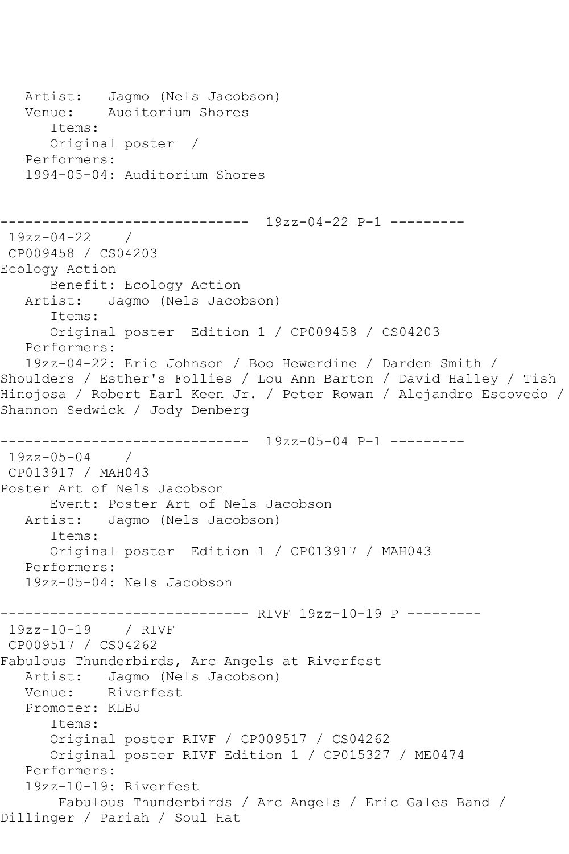```
 Artist: Jagmo (Nels Jacobson)
   Venue: Auditorium Shores
       Items:
      Original poster / 
   Performers:
   1994-05-04: Auditorium Shores
                   ------------------------------ 19zz-04-22 P-1 ---------
19zz-04-22 / 
CP009458 / CS04203
Ecology Action
      Benefit: Ecology Action
   Artist: Jagmo (Nels Jacobson)
       Items:
       Original poster Edition 1 / CP009458 / CS04203
   Performers:
   19zz-04-22: Eric Johnson / Boo Hewerdine / Darden Smith / 
Shoulders / Esther's Follies / Lou Ann Barton / David Halley / Tish 
Hinojosa / Robert Earl Keen Jr. / Peter Rowan / Alejandro Escovedo / 
Shannon Sedwick / Jody Denberg
       ------------------------------ 19zz-05-04 P-1 ---------
19zz-05-04 / 
CP013917 / MAH043
Poster Art of Nels Jacobson
      Event: Poster Art of Nels Jacobson
   Artist: Jagmo (Nels Jacobson)
       Items:
       Original poster Edition 1 / CP013917 / MAH043
   Performers:
   19zz-05-04: Nels Jacobson
------------------------------ RIVF 19zz-10-19 P ---------
19zz-10-19 / RIVF 
CP009517 / CS04262
Fabulous Thunderbirds, Arc Angels at Riverfest
   Artist: Jagmo (Nels Jacobson)
   Venue: Riverfest
   Promoter: KLBJ
       Items:
      Original poster RIVF / CP009517 / CS04262
       Original poster RIVF Edition 1 / CP015327 / ME0474
   Performers:
   19zz-10-19: Riverfest
        Fabulous Thunderbirds / Arc Angels / Eric Gales Band / 
Dillinger / Pariah / Soul Hat
```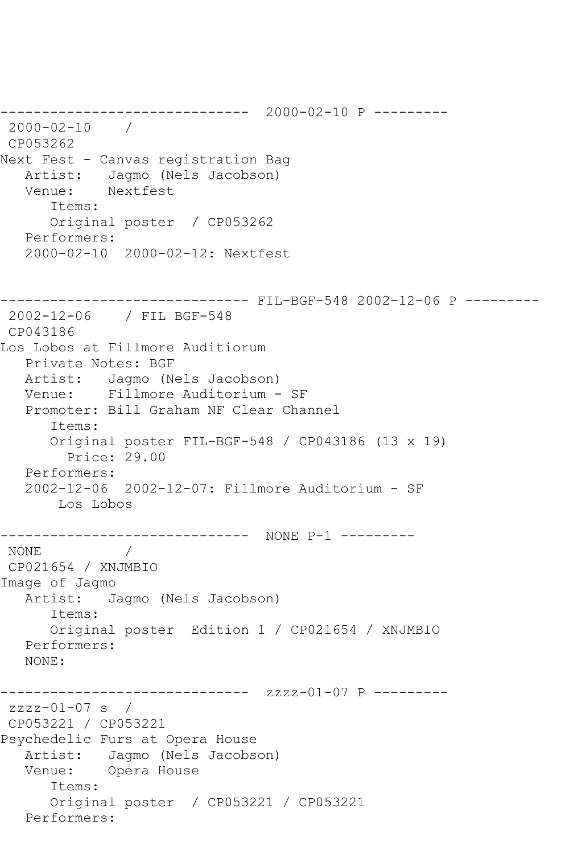------------------------------ 2000-02-10 P --------- 2000-02-10 / CP053262 Next Fest - Canvas registration Bag Artist: Jagmo (Nels Jacobson)<br>Venue: Nextfest Nextfest Items: Original poster / CP053262 Performers: 2000-02-10 2000-02-12: Nextfest ------------------------------ FIL-BGF-548 2002-12-06 P --------- 2002-12-06 / FIL BGF-548 CP043186 Los Lobos at Fillmore Auditiorum Private Notes: BGF Artist: Jagmo (Nels Jacobson) Venue: Fillmore Auditorium - SF Promoter: Bill Graham NF Clear Channel Items: Original poster FIL-BGF-548 / CP043186 (13 x 19) Price: 29.00 Performers: 2002-12-06 2002-12-07: Fillmore Auditorium - SF Los Lobos ------------------------------ NONE P-1 --------- NONE / CP021654 / XNJMBIO Image of Jagmo Artist: Jagmo (Nels Jacobson) Items: Original poster Edition 1 / CP021654 / XNJMBIO Performers: NONE: ------------------------------ zzzz-01-07 P --------  $zzzz-01-07$  s / CP053221 / CP053221 Psychedelic Furs at Opera House Artist: Jagmo (Nels Jacobson) Venue: Opera House Items: Original poster / CP053221 / CP053221 Performers: